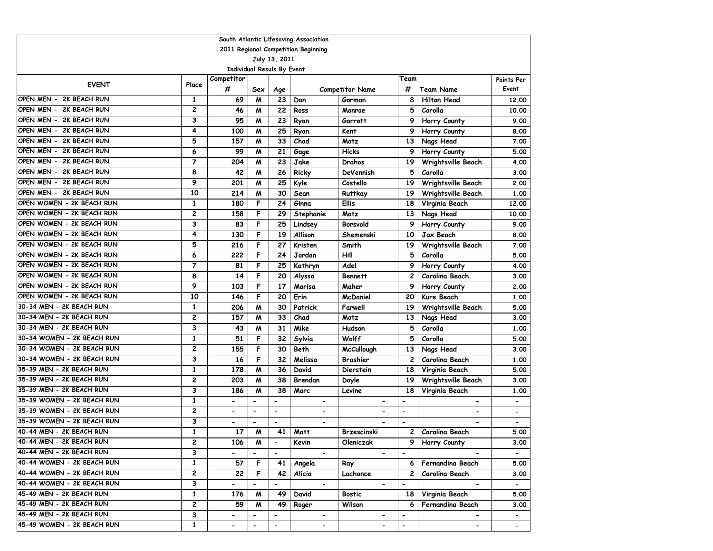| 2011 Regional Competition Beginning<br>July 13, 2011<br><b>Individual Resuls By Event</b><br>Competitor<br>Team<br>Points Per<br><b>EVENT</b><br>Place<br>#<br>#<br>Event<br>Sex<br><b>Team Name</b><br>Age<br><b>Competitor Name</b><br>OPEN MEN - 2K BEACH RUN<br>23<br><b>Hilton Head</b><br>69<br>M<br>Gorman<br>8<br>1<br>Dan<br>12.00<br>OPEN MEN - 2K BEACH RUN<br>2<br>22<br>5<br>Corolla<br>46<br>M<br>Ross<br>Monroe<br>10.00<br>OPEN MEN - 2K BEACH RUN<br>3<br>95<br>23<br>9<br>Garrott<br>Horry County<br>M<br>Ryan<br>9.00<br>OPEN MEN - 2K BEACH RUN<br>4<br>25<br>100<br>M<br>Kent<br>9<br>Horry County<br>Ryan<br>8.00<br>OPEN MEN - 2K BEACH RUN<br>5<br>157<br>33<br>Chad<br>M<br>Motz<br>13<br>Nags Head<br>7.00<br>OPEN MEN - 2K BEACH RUN<br>6<br>99<br>21<br><b>Hicks</b><br>M<br>Gage<br>9<br>Horry County<br>5.00<br>2K BEACH RUN<br>$\overline{7}$<br>OPEN MEN -<br>204<br>23<br>M<br>Jake<br>19<br>Wrightsville Beach<br>4.00<br>Drahos<br>2K BEACH RUN<br>OPEN MEN -<br>8<br>5<br>42<br>M<br>26<br>Ricky<br>DeVennish<br>Corolla<br>3.00<br>2K BEACH RUN<br>OPEN MEN -<br>9<br>25<br>201<br>M<br>Kyle<br>Costello<br>19<br>Wrightsville Beach<br>2.00<br>OPEN MEN - 2K BEACH RUN<br>10<br>214<br>M<br>30<br>Ruttkay<br>19<br>Wrightsville Beach<br>1.00<br>Sean<br>OPEN WOMEN - 2K BEACH RUN<br>$\mathbf{1}$<br>F<br>24<br><b>Ellis</b><br>180<br>Ginna<br>18<br>Virginia Beach<br>12.00<br>OPEN WOMEN - 2K BEACH RUN<br>2<br>F<br>Motz<br>158<br>29<br>Stephanie<br>13<br>Nags Head<br>10.00<br>OPEN WOMEN - 2K BEACH RUN<br>3<br>F<br>83<br>25<br>Borsvold<br>9<br>Horry County<br>Lindsey<br>9.00<br>OPEN WOMEN - 2K BEACH RUN<br>4<br>F<br>19<br>Allison<br>Shemenski<br>Jax Beach<br>130<br>10<br>8.00<br>OPEN WOMEN - 2K BEACH RUN<br>5<br>F<br>Kristen<br>216<br>27<br>Smith<br>19<br>Wrightsville Beach<br>7.00<br>OPEN WOMEN - 2K BEACH RUN<br>6<br>222<br>F<br>Hill<br>24<br>Jordan<br>5<br>Corolla<br>5.00<br>OPEN WOMEN - 2K BEACH RUN<br>$\overline{7}$<br>F<br>81<br>25<br>Adel<br>9<br>Horry County<br>Kathryn<br>4.00<br>OPEN WOMEN - 2K BEACH RUN<br>8<br>F<br>14<br>20<br>2<br>Carolina Beach<br><b>Bennett</b><br>Alyssa<br>3.00<br>OPEN WOMEN - 2K BEACH RUN<br>9<br>103<br>F<br>17<br>9<br>Marisa<br>Maher<br>Horry County<br>2.00<br>OPEN WOMEN - 2K BEACH RUN<br>F<br>10<br>146<br>20<br>Erin<br><b>McDaniel</b><br>20<br>Kure Beach<br>1.00<br>30-34 MEN - 2K BEACH RUN<br>1<br>206<br>M<br>30<br>Patrick<br>Farwell<br>19<br>Wrightsville Beach<br>5.00<br>30-34 MEN - 2K BEACH RUN<br>$\overline{c}$<br>157<br>33<br>M<br>Chad<br>Motz<br>13<br>Nags Head<br>3.00<br>30-34 MEN - 2K BEACH RUN<br>3<br>31<br>Mike<br>5<br>Corolla<br>43<br>M<br>Hudson<br>1.00<br>30-34 WOMEN - 2K BEACH RUN<br>$\mathbf{1}$<br>51<br>F<br>32<br>Wolff<br>5<br>Corolla<br>5.00<br>Sylvia<br>30-34 WOMEN - 2K BEACH RUN<br>2<br>155<br>F<br>30<br><b>Beth</b><br><b>McCullough</b><br>13<br>Nags Head<br>3.00<br>30-34 WOMEN - 2K BEACH RUN<br>3<br>16<br>F<br>32<br>$\overline{c}$<br>Carolina Beach<br>Melissa<br>Brashier<br>1.00<br>35-39 MEN - 2K BEACH RUN<br>1<br>36<br>178<br>M<br>David<br><b>Dierstein</b><br>Virginia Beach<br>5.00<br>18<br>35-39 MEN - 2K BEACH RUN<br>2<br>38<br>Wrightsville Beach<br>203<br>Brendan<br>19<br>3.00<br>M<br>Doyle<br>35-39 MEN - 2K BEACH RUN<br>3<br>38<br>186<br>18<br>Virginia Beach<br>M<br>Marc<br>Levine<br>1.00<br>35-39 WOMEN - 2K BEACH RUN<br>$\mathbf{1}$<br>$\overline{a}$<br>$\overline{\phantom{a}}$<br>$\overline{a}$<br>$\blacksquare$<br>$\overline{\phantom{a}}$<br>$\blacksquare$<br>$\overline{\phantom{a}}$<br>2<br>35-39 WOMEN - 2K BEACH RUN<br>$\blacksquare$<br>$\hbox{\small -}$<br>$\blacksquare$<br>$\overline{\phantom{a}}$<br>$\overline{\phantom{0}}$<br>-<br>$\blacksquare$<br>$\qquad \qquad \blacksquare$<br>35-39 WOMEN - 2K BEACH RUN<br>3<br>$\overline{\phantom{a}}$<br>$\qquad \qquad \blacksquare$<br>$\overline{\phantom{a}}$<br>$\overline{\phantom{a}}$<br>$\overline{\phantom{0}}$<br>$\overline{\phantom{a}}$<br>$\overline{\phantom{a}}$<br>40-44 MEN - 2K BEACH RUN<br>$\mathbf{1}$<br>17<br>M<br>41<br>2<br>Carolina Beach<br>5.00<br>Matt<br>Brzescinski<br>40-44 MEN - 2K BEACH RUN<br>2<br>106<br>M<br>Kevin<br>Oleniczak<br>Horry County<br>3.00<br>9  <br>3<br>$\mathbf{1}$<br>57<br>F<br>41<br>Fernandina Beach<br>5.00<br>Angela<br>Ray<br>6<br>2<br>$\overline{2}$<br>F<br>42<br>Alicia<br>$\overline{c}$<br>Carolina Beach<br>Lachance<br>3.00<br>3<br>$\overline{\phantom{a}}$<br>$\overline{\phantom{a}}$<br>$\overline{\phantom{a}}$<br>$\blacksquare$<br>$\overline{\phantom{a}}$<br>$\blacksquare$<br>$\overline{\phantom{0}}$<br>$\overline{\phantom{a}}$<br>45-49 MEN - 2K BEACH RUN<br>$\mathbf{1}$<br>176<br>49<br>David<br><b>Bostic</b><br>Virginia Beach<br>M<br>18 I<br>5.00<br>2<br>59<br>49<br>Fernandina Beach<br>M<br>Roger<br>Wilson<br>3.00<br>6<br>3<br>$\overline{\phantom{a}}$<br>$\blacksquare$<br>$\blacksquare$<br>٠<br>$\overline{\phantom{a}}$<br>-<br>$\overline{\phantom{a}}$<br>45-49 WOMEN - 2K BEACH RUN<br>$\mathbf{1}$<br>$\overline{\phantom{a}}$<br>$\overline{\phantom{m}}$<br>$\overline{\phantom{a}}$<br>$\overline{\phantom{0}}$<br>$\blacksquare$<br>$\overline{\phantom{a}}$<br>$\blacksquare$ | South Atlantic Lifesaving Association |  |  |  |  |  |  |  |  |  |  |  |
|-------------------------------------------------------------------------------------------------------------------------------------------------------------------------------------------------------------------------------------------------------------------------------------------------------------------------------------------------------------------------------------------------------------------------------------------------------------------------------------------------------------------------------------------------------------------------------------------------------------------------------------------------------------------------------------------------------------------------------------------------------------------------------------------------------------------------------------------------------------------------------------------------------------------------------------------------------------------------------------------------------------------------------------------------------------------------------------------------------------------------------------------------------------------------------------------------------------------------------------------------------------------------------------------------------------------------------------------------------------------------------------------------------------------------------------------------------------------------------------------------------------------------------------------------------------------------------------------------------------------------------------------------------------------------------------------------------------------------------------------------------------------------------------------------------------------------------------------------------------------------------------------------------------------------------------------------------------------------------------------------------------------------------------------------------------------------------------------------------------------------------------------------------------------------------------------------------------------------------------------------------------------------------------------------------------------------------------------------------------------------------------------------------------------------------------------------------------------------------------------------------------------------------------------------------------------------------------------------------------------------------------------------------------------------------------------------------------------------------------------------------------------------------------------------------------------------------------------------------------------------------------------------------------------------------------------------------------------------------------------------------------------------------------------------------------------------------------------------------------------------------------------------------------------------------------------------------------------------------------------------------------------------------------------------------------------------------------------------------------------------------------------------------------------------------------------------------------------------------------------------------------------------------------------------------------------------------------------------------------------------------------------------------------------------------------------------------------------------------------------------------------------------------------------------------------------------------------------------------------------------------------------------------------------------------------------------------------------------------------------------------------------------------------------------------------------------------------------------------------------------------------------------------------------------------------------------------------------------------------------------------------------------------------------------------------------------------------------------------------------------------------------------------------------------------------------------------------------------------------------------------------------------------------------------------------------------------------------------------------------------------------------------------------------------------------------------------------------------------------------------------------------------------------------------------------------------------------------------------------------------------------------------------------------------------------------------------------------------------------------------------------------------------------------------------------------------------------------------------------------------------------------------------------------------------------------------------------------------------------------------------------------------------------|---------------------------------------|--|--|--|--|--|--|--|--|--|--|--|
|                                                                                                                                                                                                                                                                                                                                                                                                                                                                                                                                                                                                                                                                                                                                                                                                                                                                                                                                                                                                                                                                                                                                                                                                                                                                                                                                                                                                                                                                                                                                                                                                                                                                                                                                                                                                                                                                                                                                                                                                                                                                                                                                                                                                                                                                                                                                                                                                                                                                                                                                                                                                                                                                                                                                                                                                                                                                                                                                                                                                                                                                                                                                                                                                                                                                                                                                                                                                                                                                                                                                                                                                                                                                                                                                                                                                                                                                                                                                                                                                                                                                                                                                                                                                                                                                                                                                                                                                                                                                                                                                                                                                                                                                                                                                                                                                                                                                                                                                                                                                                                                                                                                                                                                                                                                                                     |                                       |  |  |  |  |  |  |  |  |  |  |  |
|                                                                                                                                                                                                                                                                                                                                                                                                                                                                                                                                                                                                                                                                                                                                                                                                                                                                                                                                                                                                                                                                                                                                                                                                                                                                                                                                                                                                                                                                                                                                                                                                                                                                                                                                                                                                                                                                                                                                                                                                                                                                                                                                                                                                                                                                                                                                                                                                                                                                                                                                                                                                                                                                                                                                                                                                                                                                                                                                                                                                                                                                                                                                                                                                                                                                                                                                                                                                                                                                                                                                                                                                                                                                                                                                                                                                                                                                                                                                                                                                                                                                                                                                                                                                                                                                                                                                                                                                                                                                                                                                                                                                                                                                                                                                                                                                                                                                                                                                                                                                                                                                                                                                                                                                                                                                                     |                                       |  |  |  |  |  |  |  |  |  |  |  |
|                                                                                                                                                                                                                                                                                                                                                                                                                                                                                                                                                                                                                                                                                                                                                                                                                                                                                                                                                                                                                                                                                                                                                                                                                                                                                                                                                                                                                                                                                                                                                                                                                                                                                                                                                                                                                                                                                                                                                                                                                                                                                                                                                                                                                                                                                                                                                                                                                                                                                                                                                                                                                                                                                                                                                                                                                                                                                                                                                                                                                                                                                                                                                                                                                                                                                                                                                                                                                                                                                                                                                                                                                                                                                                                                                                                                                                                                                                                                                                                                                                                                                                                                                                                                                                                                                                                                                                                                                                                                                                                                                                                                                                                                                                                                                                                                                                                                                                                                                                                                                                                                                                                                                                                                                                                                                     |                                       |  |  |  |  |  |  |  |  |  |  |  |
|                                                                                                                                                                                                                                                                                                                                                                                                                                                                                                                                                                                                                                                                                                                                                                                                                                                                                                                                                                                                                                                                                                                                                                                                                                                                                                                                                                                                                                                                                                                                                                                                                                                                                                                                                                                                                                                                                                                                                                                                                                                                                                                                                                                                                                                                                                                                                                                                                                                                                                                                                                                                                                                                                                                                                                                                                                                                                                                                                                                                                                                                                                                                                                                                                                                                                                                                                                                                                                                                                                                                                                                                                                                                                                                                                                                                                                                                                                                                                                                                                                                                                                                                                                                                                                                                                                                                                                                                                                                                                                                                                                                                                                                                                                                                                                                                                                                                                                                                                                                                                                                                                                                                                                                                                                                                                     |                                       |  |  |  |  |  |  |  |  |  |  |  |
|                                                                                                                                                                                                                                                                                                                                                                                                                                                                                                                                                                                                                                                                                                                                                                                                                                                                                                                                                                                                                                                                                                                                                                                                                                                                                                                                                                                                                                                                                                                                                                                                                                                                                                                                                                                                                                                                                                                                                                                                                                                                                                                                                                                                                                                                                                                                                                                                                                                                                                                                                                                                                                                                                                                                                                                                                                                                                                                                                                                                                                                                                                                                                                                                                                                                                                                                                                                                                                                                                                                                                                                                                                                                                                                                                                                                                                                                                                                                                                                                                                                                                                                                                                                                                                                                                                                                                                                                                                                                                                                                                                                                                                                                                                                                                                                                                                                                                                                                                                                                                                                                                                                                                                                                                                                                                     |                                       |  |  |  |  |  |  |  |  |  |  |  |
|                                                                                                                                                                                                                                                                                                                                                                                                                                                                                                                                                                                                                                                                                                                                                                                                                                                                                                                                                                                                                                                                                                                                                                                                                                                                                                                                                                                                                                                                                                                                                                                                                                                                                                                                                                                                                                                                                                                                                                                                                                                                                                                                                                                                                                                                                                                                                                                                                                                                                                                                                                                                                                                                                                                                                                                                                                                                                                                                                                                                                                                                                                                                                                                                                                                                                                                                                                                                                                                                                                                                                                                                                                                                                                                                                                                                                                                                                                                                                                                                                                                                                                                                                                                                                                                                                                                                                                                                                                                                                                                                                                                                                                                                                                                                                                                                                                                                                                                                                                                                                                                                                                                                                                                                                                                                                     |                                       |  |  |  |  |  |  |  |  |  |  |  |
|                                                                                                                                                                                                                                                                                                                                                                                                                                                                                                                                                                                                                                                                                                                                                                                                                                                                                                                                                                                                                                                                                                                                                                                                                                                                                                                                                                                                                                                                                                                                                                                                                                                                                                                                                                                                                                                                                                                                                                                                                                                                                                                                                                                                                                                                                                                                                                                                                                                                                                                                                                                                                                                                                                                                                                                                                                                                                                                                                                                                                                                                                                                                                                                                                                                                                                                                                                                                                                                                                                                                                                                                                                                                                                                                                                                                                                                                                                                                                                                                                                                                                                                                                                                                                                                                                                                                                                                                                                                                                                                                                                                                                                                                                                                                                                                                                                                                                                                                                                                                                                                                                                                                                                                                                                                                                     |                                       |  |  |  |  |  |  |  |  |  |  |  |
|                                                                                                                                                                                                                                                                                                                                                                                                                                                                                                                                                                                                                                                                                                                                                                                                                                                                                                                                                                                                                                                                                                                                                                                                                                                                                                                                                                                                                                                                                                                                                                                                                                                                                                                                                                                                                                                                                                                                                                                                                                                                                                                                                                                                                                                                                                                                                                                                                                                                                                                                                                                                                                                                                                                                                                                                                                                                                                                                                                                                                                                                                                                                                                                                                                                                                                                                                                                                                                                                                                                                                                                                                                                                                                                                                                                                                                                                                                                                                                                                                                                                                                                                                                                                                                                                                                                                                                                                                                                                                                                                                                                                                                                                                                                                                                                                                                                                                                                                                                                                                                                                                                                                                                                                                                                                                     |                                       |  |  |  |  |  |  |  |  |  |  |  |
|                                                                                                                                                                                                                                                                                                                                                                                                                                                                                                                                                                                                                                                                                                                                                                                                                                                                                                                                                                                                                                                                                                                                                                                                                                                                                                                                                                                                                                                                                                                                                                                                                                                                                                                                                                                                                                                                                                                                                                                                                                                                                                                                                                                                                                                                                                                                                                                                                                                                                                                                                                                                                                                                                                                                                                                                                                                                                                                                                                                                                                                                                                                                                                                                                                                                                                                                                                                                                                                                                                                                                                                                                                                                                                                                                                                                                                                                                                                                                                                                                                                                                                                                                                                                                                                                                                                                                                                                                                                                                                                                                                                                                                                                                                                                                                                                                                                                                                                                                                                                                                                                                                                                                                                                                                                                                     |                                       |  |  |  |  |  |  |  |  |  |  |  |
|                                                                                                                                                                                                                                                                                                                                                                                                                                                                                                                                                                                                                                                                                                                                                                                                                                                                                                                                                                                                                                                                                                                                                                                                                                                                                                                                                                                                                                                                                                                                                                                                                                                                                                                                                                                                                                                                                                                                                                                                                                                                                                                                                                                                                                                                                                                                                                                                                                                                                                                                                                                                                                                                                                                                                                                                                                                                                                                                                                                                                                                                                                                                                                                                                                                                                                                                                                                                                                                                                                                                                                                                                                                                                                                                                                                                                                                                                                                                                                                                                                                                                                                                                                                                                                                                                                                                                                                                                                                                                                                                                                                                                                                                                                                                                                                                                                                                                                                                                                                                                                                                                                                                                                                                                                                                                     |                                       |  |  |  |  |  |  |  |  |  |  |  |
|                                                                                                                                                                                                                                                                                                                                                                                                                                                                                                                                                                                                                                                                                                                                                                                                                                                                                                                                                                                                                                                                                                                                                                                                                                                                                                                                                                                                                                                                                                                                                                                                                                                                                                                                                                                                                                                                                                                                                                                                                                                                                                                                                                                                                                                                                                                                                                                                                                                                                                                                                                                                                                                                                                                                                                                                                                                                                                                                                                                                                                                                                                                                                                                                                                                                                                                                                                                                                                                                                                                                                                                                                                                                                                                                                                                                                                                                                                                                                                                                                                                                                                                                                                                                                                                                                                                                                                                                                                                                                                                                                                                                                                                                                                                                                                                                                                                                                                                                                                                                                                                                                                                                                                                                                                                                                     |                                       |  |  |  |  |  |  |  |  |  |  |  |
|                                                                                                                                                                                                                                                                                                                                                                                                                                                                                                                                                                                                                                                                                                                                                                                                                                                                                                                                                                                                                                                                                                                                                                                                                                                                                                                                                                                                                                                                                                                                                                                                                                                                                                                                                                                                                                                                                                                                                                                                                                                                                                                                                                                                                                                                                                                                                                                                                                                                                                                                                                                                                                                                                                                                                                                                                                                                                                                                                                                                                                                                                                                                                                                                                                                                                                                                                                                                                                                                                                                                                                                                                                                                                                                                                                                                                                                                                                                                                                                                                                                                                                                                                                                                                                                                                                                                                                                                                                                                                                                                                                                                                                                                                                                                                                                                                                                                                                                                                                                                                                                                                                                                                                                                                                                                                     |                                       |  |  |  |  |  |  |  |  |  |  |  |
|                                                                                                                                                                                                                                                                                                                                                                                                                                                                                                                                                                                                                                                                                                                                                                                                                                                                                                                                                                                                                                                                                                                                                                                                                                                                                                                                                                                                                                                                                                                                                                                                                                                                                                                                                                                                                                                                                                                                                                                                                                                                                                                                                                                                                                                                                                                                                                                                                                                                                                                                                                                                                                                                                                                                                                                                                                                                                                                                                                                                                                                                                                                                                                                                                                                                                                                                                                                                                                                                                                                                                                                                                                                                                                                                                                                                                                                                                                                                                                                                                                                                                                                                                                                                                                                                                                                                                                                                                                                                                                                                                                                                                                                                                                                                                                                                                                                                                                                                                                                                                                                                                                                                                                                                                                                                                     |                                       |  |  |  |  |  |  |  |  |  |  |  |
|                                                                                                                                                                                                                                                                                                                                                                                                                                                                                                                                                                                                                                                                                                                                                                                                                                                                                                                                                                                                                                                                                                                                                                                                                                                                                                                                                                                                                                                                                                                                                                                                                                                                                                                                                                                                                                                                                                                                                                                                                                                                                                                                                                                                                                                                                                                                                                                                                                                                                                                                                                                                                                                                                                                                                                                                                                                                                                                                                                                                                                                                                                                                                                                                                                                                                                                                                                                                                                                                                                                                                                                                                                                                                                                                                                                                                                                                                                                                                                                                                                                                                                                                                                                                                                                                                                                                                                                                                                                                                                                                                                                                                                                                                                                                                                                                                                                                                                                                                                                                                                                                                                                                                                                                                                                                                     |                                       |  |  |  |  |  |  |  |  |  |  |  |
|                                                                                                                                                                                                                                                                                                                                                                                                                                                                                                                                                                                                                                                                                                                                                                                                                                                                                                                                                                                                                                                                                                                                                                                                                                                                                                                                                                                                                                                                                                                                                                                                                                                                                                                                                                                                                                                                                                                                                                                                                                                                                                                                                                                                                                                                                                                                                                                                                                                                                                                                                                                                                                                                                                                                                                                                                                                                                                                                                                                                                                                                                                                                                                                                                                                                                                                                                                                                                                                                                                                                                                                                                                                                                                                                                                                                                                                                                                                                                                                                                                                                                                                                                                                                                                                                                                                                                                                                                                                                                                                                                                                                                                                                                                                                                                                                                                                                                                                                                                                                                                                                                                                                                                                                                                                                                     |                                       |  |  |  |  |  |  |  |  |  |  |  |
|                                                                                                                                                                                                                                                                                                                                                                                                                                                                                                                                                                                                                                                                                                                                                                                                                                                                                                                                                                                                                                                                                                                                                                                                                                                                                                                                                                                                                                                                                                                                                                                                                                                                                                                                                                                                                                                                                                                                                                                                                                                                                                                                                                                                                                                                                                                                                                                                                                                                                                                                                                                                                                                                                                                                                                                                                                                                                                                                                                                                                                                                                                                                                                                                                                                                                                                                                                                                                                                                                                                                                                                                                                                                                                                                                                                                                                                                                                                                                                                                                                                                                                                                                                                                                                                                                                                                                                                                                                                                                                                                                                                                                                                                                                                                                                                                                                                                                                                                                                                                                                                                                                                                                                                                                                                                                     |                                       |  |  |  |  |  |  |  |  |  |  |  |
|                                                                                                                                                                                                                                                                                                                                                                                                                                                                                                                                                                                                                                                                                                                                                                                                                                                                                                                                                                                                                                                                                                                                                                                                                                                                                                                                                                                                                                                                                                                                                                                                                                                                                                                                                                                                                                                                                                                                                                                                                                                                                                                                                                                                                                                                                                                                                                                                                                                                                                                                                                                                                                                                                                                                                                                                                                                                                                                                                                                                                                                                                                                                                                                                                                                                                                                                                                                                                                                                                                                                                                                                                                                                                                                                                                                                                                                                                                                                                                                                                                                                                                                                                                                                                                                                                                                                                                                                                                                                                                                                                                                                                                                                                                                                                                                                                                                                                                                                                                                                                                                                                                                                                                                                                                                                                     |                                       |  |  |  |  |  |  |  |  |  |  |  |
|                                                                                                                                                                                                                                                                                                                                                                                                                                                                                                                                                                                                                                                                                                                                                                                                                                                                                                                                                                                                                                                                                                                                                                                                                                                                                                                                                                                                                                                                                                                                                                                                                                                                                                                                                                                                                                                                                                                                                                                                                                                                                                                                                                                                                                                                                                                                                                                                                                                                                                                                                                                                                                                                                                                                                                                                                                                                                                                                                                                                                                                                                                                                                                                                                                                                                                                                                                                                                                                                                                                                                                                                                                                                                                                                                                                                                                                                                                                                                                                                                                                                                                                                                                                                                                                                                                                                                                                                                                                                                                                                                                                                                                                                                                                                                                                                                                                                                                                                                                                                                                                                                                                                                                                                                                                                                     |                                       |  |  |  |  |  |  |  |  |  |  |  |
|                                                                                                                                                                                                                                                                                                                                                                                                                                                                                                                                                                                                                                                                                                                                                                                                                                                                                                                                                                                                                                                                                                                                                                                                                                                                                                                                                                                                                                                                                                                                                                                                                                                                                                                                                                                                                                                                                                                                                                                                                                                                                                                                                                                                                                                                                                                                                                                                                                                                                                                                                                                                                                                                                                                                                                                                                                                                                                                                                                                                                                                                                                                                                                                                                                                                                                                                                                                                                                                                                                                                                                                                                                                                                                                                                                                                                                                                                                                                                                                                                                                                                                                                                                                                                                                                                                                                                                                                                                                                                                                                                                                                                                                                                                                                                                                                                                                                                                                                                                                                                                                                                                                                                                                                                                                                                     |                                       |  |  |  |  |  |  |  |  |  |  |  |
|                                                                                                                                                                                                                                                                                                                                                                                                                                                                                                                                                                                                                                                                                                                                                                                                                                                                                                                                                                                                                                                                                                                                                                                                                                                                                                                                                                                                                                                                                                                                                                                                                                                                                                                                                                                                                                                                                                                                                                                                                                                                                                                                                                                                                                                                                                                                                                                                                                                                                                                                                                                                                                                                                                                                                                                                                                                                                                                                                                                                                                                                                                                                                                                                                                                                                                                                                                                                                                                                                                                                                                                                                                                                                                                                                                                                                                                                                                                                                                                                                                                                                                                                                                                                                                                                                                                                                                                                                                                                                                                                                                                                                                                                                                                                                                                                                                                                                                                                                                                                                                                                                                                                                                                                                                                                                     |                                       |  |  |  |  |  |  |  |  |  |  |  |
|                                                                                                                                                                                                                                                                                                                                                                                                                                                                                                                                                                                                                                                                                                                                                                                                                                                                                                                                                                                                                                                                                                                                                                                                                                                                                                                                                                                                                                                                                                                                                                                                                                                                                                                                                                                                                                                                                                                                                                                                                                                                                                                                                                                                                                                                                                                                                                                                                                                                                                                                                                                                                                                                                                                                                                                                                                                                                                                                                                                                                                                                                                                                                                                                                                                                                                                                                                                                                                                                                                                                                                                                                                                                                                                                                                                                                                                                                                                                                                                                                                                                                                                                                                                                                                                                                                                                                                                                                                                                                                                                                                                                                                                                                                                                                                                                                                                                                                                                                                                                                                                                                                                                                                                                                                                                                     |                                       |  |  |  |  |  |  |  |  |  |  |  |
|                                                                                                                                                                                                                                                                                                                                                                                                                                                                                                                                                                                                                                                                                                                                                                                                                                                                                                                                                                                                                                                                                                                                                                                                                                                                                                                                                                                                                                                                                                                                                                                                                                                                                                                                                                                                                                                                                                                                                                                                                                                                                                                                                                                                                                                                                                                                                                                                                                                                                                                                                                                                                                                                                                                                                                                                                                                                                                                                                                                                                                                                                                                                                                                                                                                                                                                                                                                                                                                                                                                                                                                                                                                                                                                                                                                                                                                                                                                                                                                                                                                                                                                                                                                                                                                                                                                                                                                                                                                                                                                                                                                                                                                                                                                                                                                                                                                                                                                                                                                                                                                                                                                                                                                                                                                                                     |                                       |  |  |  |  |  |  |  |  |  |  |  |
|                                                                                                                                                                                                                                                                                                                                                                                                                                                                                                                                                                                                                                                                                                                                                                                                                                                                                                                                                                                                                                                                                                                                                                                                                                                                                                                                                                                                                                                                                                                                                                                                                                                                                                                                                                                                                                                                                                                                                                                                                                                                                                                                                                                                                                                                                                                                                                                                                                                                                                                                                                                                                                                                                                                                                                                                                                                                                                                                                                                                                                                                                                                                                                                                                                                                                                                                                                                                                                                                                                                                                                                                                                                                                                                                                                                                                                                                                                                                                                                                                                                                                                                                                                                                                                                                                                                                                                                                                                                                                                                                                                                                                                                                                                                                                                                                                                                                                                                                                                                                                                                                                                                                                                                                                                                                                     |                                       |  |  |  |  |  |  |  |  |  |  |  |
|                                                                                                                                                                                                                                                                                                                                                                                                                                                                                                                                                                                                                                                                                                                                                                                                                                                                                                                                                                                                                                                                                                                                                                                                                                                                                                                                                                                                                                                                                                                                                                                                                                                                                                                                                                                                                                                                                                                                                                                                                                                                                                                                                                                                                                                                                                                                                                                                                                                                                                                                                                                                                                                                                                                                                                                                                                                                                                                                                                                                                                                                                                                                                                                                                                                                                                                                                                                                                                                                                                                                                                                                                                                                                                                                                                                                                                                                                                                                                                                                                                                                                                                                                                                                                                                                                                                                                                                                                                                                                                                                                                                                                                                                                                                                                                                                                                                                                                                                                                                                                                                                                                                                                                                                                                                                                     |                                       |  |  |  |  |  |  |  |  |  |  |  |
|                                                                                                                                                                                                                                                                                                                                                                                                                                                                                                                                                                                                                                                                                                                                                                                                                                                                                                                                                                                                                                                                                                                                                                                                                                                                                                                                                                                                                                                                                                                                                                                                                                                                                                                                                                                                                                                                                                                                                                                                                                                                                                                                                                                                                                                                                                                                                                                                                                                                                                                                                                                                                                                                                                                                                                                                                                                                                                                                                                                                                                                                                                                                                                                                                                                                                                                                                                                                                                                                                                                                                                                                                                                                                                                                                                                                                                                                                                                                                                                                                                                                                                                                                                                                                                                                                                                                                                                                                                                                                                                                                                                                                                                                                                                                                                                                                                                                                                                                                                                                                                                                                                                                                                                                                                                                                     |                                       |  |  |  |  |  |  |  |  |  |  |  |
|                                                                                                                                                                                                                                                                                                                                                                                                                                                                                                                                                                                                                                                                                                                                                                                                                                                                                                                                                                                                                                                                                                                                                                                                                                                                                                                                                                                                                                                                                                                                                                                                                                                                                                                                                                                                                                                                                                                                                                                                                                                                                                                                                                                                                                                                                                                                                                                                                                                                                                                                                                                                                                                                                                                                                                                                                                                                                                                                                                                                                                                                                                                                                                                                                                                                                                                                                                                                                                                                                                                                                                                                                                                                                                                                                                                                                                                                                                                                                                                                                                                                                                                                                                                                                                                                                                                                                                                                                                                                                                                                                                                                                                                                                                                                                                                                                                                                                                                                                                                                                                                                                                                                                                                                                                                                                     |                                       |  |  |  |  |  |  |  |  |  |  |  |
|                                                                                                                                                                                                                                                                                                                                                                                                                                                                                                                                                                                                                                                                                                                                                                                                                                                                                                                                                                                                                                                                                                                                                                                                                                                                                                                                                                                                                                                                                                                                                                                                                                                                                                                                                                                                                                                                                                                                                                                                                                                                                                                                                                                                                                                                                                                                                                                                                                                                                                                                                                                                                                                                                                                                                                                                                                                                                                                                                                                                                                                                                                                                                                                                                                                                                                                                                                                                                                                                                                                                                                                                                                                                                                                                                                                                                                                                                                                                                                                                                                                                                                                                                                                                                                                                                                                                                                                                                                                                                                                                                                                                                                                                                                                                                                                                                                                                                                                                                                                                                                                                                                                                                                                                                                                                                     |                                       |  |  |  |  |  |  |  |  |  |  |  |
|                                                                                                                                                                                                                                                                                                                                                                                                                                                                                                                                                                                                                                                                                                                                                                                                                                                                                                                                                                                                                                                                                                                                                                                                                                                                                                                                                                                                                                                                                                                                                                                                                                                                                                                                                                                                                                                                                                                                                                                                                                                                                                                                                                                                                                                                                                                                                                                                                                                                                                                                                                                                                                                                                                                                                                                                                                                                                                                                                                                                                                                                                                                                                                                                                                                                                                                                                                                                                                                                                                                                                                                                                                                                                                                                                                                                                                                                                                                                                                                                                                                                                                                                                                                                                                                                                                                                                                                                                                                                                                                                                                                                                                                                                                                                                                                                                                                                                                                                                                                                                                                                                                                                                                                                                                                                                     |                                       |  |  |  |  |  |  |  |  |  |  |  |
|                                                                                                                                                                                                                                                                                                                                                                                                                                                                                                                                                                                                                                                                                                                                                                                                                                                                                                                                                                                                                                                                                                                                                                                                                                                                                                                                                                                                                                                                                                                                                                                                                                                                                                                                                                                                                                                                                                                                                                                                                                                                                                                                                                                                                                                                                                                                                                                                                                                                                                                                                                                                                                                                                                                                                                                                                                                                                                                                                                                                                                                                                                                                                                                                                                                                                                                                                                                                                                                                                                                                                                                                                                                                                                                                                                                                                                                                                                                                                                                                                                                                                                                                                                                                                                                                                                                                                                                                                                                                                                                                                                                                                                                                                                                                                                                                                                                                                                                                                                                                                                                                                                                                                                                                                                                                                     |                                       |  |  |  |  |  |  |  |  |  |  |  |
|                                                                                                                                                                                                                                                                                                                                                                                                                                                                                                                                                                                                                                                                                                                                                                                                                                                                                                                                                                                                                                                                                                                                                                                                                                                                                                                                                                                                                                                                                                                                                                                                                                                                                                                                                                                                                                                                                                                                                                                                                                                                                                                                                                                                                                                                                                                                                                                                                                                                                                                                                                                                                                                                                                                                                                                                                                                                                                                                                                                                                                                                                                                                                                                                                                                                                                                                                                                                                                                                                                                                                                                                                                                                                                                                                                                                                                                                                                                                                                                                                                                                                                                                                                                                                                                                                                                                                                                                                                                                                                                                                                                                                                                                                                                                                                                                                                                                                                                                                                                                                                                                                                                                                                                                                                                                                     |                                       |  |  |  |  |  |  |  |  |  |  |  |
|                                                                                                                                                                                                                                                                                                                                                                                                                                                                                                                                                                                                                                                                                                                                                                                                                                                                                                                                                                                                                                                                                                                                                                                                                                                                                                                                                                                                                                                                                                                                                                                                                                                                                                                                                                                                                                                                                                                                                                                                                                                                                                                                                                                                                                                                                                                                                                                                                                                                                                                                                                                                                                                                                                                                                                                                                                                                                                                                                                                                                                                                                                                                                                                                                                                                                                                                                                                                                                                                                                                                                                                                                                                                                                                                                                                                                                                                                                                                                                                                                                                                                                                                                                                                                                                                                                                                                                                                                                                                                                                                                                                                                                                                                                                                                                                                                                                                                                                                                                                                                                                                                                                                                                                                                                                                                     |                                       |  |  |  |  |  |  |  |  |  |  |  |
|                                                                                                                                                                                                                                                                                                                                                                                                                                                                                                                                                                                                                                                                                                                                                                                                                                                                                                                                                                                                                                                                                                                                                                                                                                                                                                                                                                                                                                                                                                                                                                                                                                                                                                                                                                                                                                                                                                                                                                                                                                                                                                                                                                                                                                                                                                                                                                                                                                                                                                                                                                                                                                                                                                                                                                                                                                                                                                                                                                                                                                                                                                                                                                                                                                                                                                                                                                                                                                                                                                                                                                                                                                                                                                                                                                                                                                                                                                                                                                                                                                                                                                                                                                                                                                                                                                                                                                                                                                                                                                                                                                                                                                                                                                                                                                                                                                                                                                                                                                                                                                                                                                                                                                                                                                                                                     |                                       |  |  |  |  |  |  |  |  |  |  |  |
|                                                                                                                                                                                                                                                                                                                                                                                                                                                                                                                                                                                                                                                                                                                                                                                                                                                                                                                                                                                                                                                                                                                                                                                                                                                                                                                                                                                                                                                                                                                                                                                                                                                                                                                                                                                                                                                                                                                                                                                                                                                                                                                                                                                                                                                                                                                                                                                                                                                                                                                                                                                                                                                                                                                                                                                                                                                                                                                                                                                                                                                                                                                                                                                                                                                                                                                                                                                                                                                                                                                                                                                                                                                                                                                                                                                                                                                                                                                                                                                                                                                                                                                                                                                                                                                                                                                                                                                                                                                                                                                                                                                                                                                                                                                                                                                                                                                                                                                                                                                                                                                                                                                                                                                                                                                                                     |                                       |  |  |  |  |  |  |  |  |  |  |  |
|                                                                                                                                                                                                                                                                                                                                                                                                                                                                                                                                                                                                                                                                                                                                                                                                                                                                                                                                                                                                                                                                                                                                                                                                                                                                                                                                                                                                                                                                                                                                                                                                                                                                                                                                                                                                                                                                                                                                                                                                                                                                                                                                                                                                                                                                                                                                                                                                                                                                                                                                                                                                                                                                                                                                                                                                                                                                                                                                                                                                                                                                                                                                                                                                                                                                                                                                                                                                                                                                                                                                                                                                                                                                                                                                                                                                                                                                                                                                                                                                                                                                                                                                                                                                                                                                                                                                                                                                                                                                                                                                                                                                                                                                                                                                                                                                                                                                                                                                                                                                                                                                                                                                                                                                                                                                                     |                                       |  |  |  |  |  |  |  |  |  |  |  |
|                                                                                                                                                                                                                                                                                                                                                                                                                                                                                                                                                                                                                                                                                                                                                                                                                                                                                                                                                                                                                                                                                                                                                                                                                                                                                                                                                                                                                                                                                                                                                                                                                                                                                                                                                                                                                                                                                                                                                                                                                                                                                                                                                                                                                                                                                                                                                                                                                                                                                                                                                                                                                                                                                                                                                                                                                                                                                                                                                                                                                                                                                                                                                                                                                                                                                                                                                                                                                                                                                                                                                                                                                                                                                                                                                                                                                                                                                                                                                                                                                                                                                                                                                                                                                                                                                                                                                                                                                                                                                                                                                                                                                                                                                                                                                                                                                                                                                                                                                                                                                                                                                                                                                                                                                                                                                     |                                       |  |  |  |  |  |  |  |  |  |  |  |
|                                                                                                                                                                                                                                                                                                                                                                                                                                                                                                                                                                                                                                                                                                                                                                                                                                                                                                                                                                                                                                                                                                                                                                                                                                                                                                                                                                                                                                                                                                                                                                                                                                                                                                                                                                                                                                                                                                                                                                                                                                                                                                                                                                                                                                                                                                                                                                                                                                                                                                                                                                                                                                                                                                                                                                                                                                                                                                                                                                                                                                                                                                                                                                                                                                                                                                                                                                                                                                                                                                                                                                                                                                                                                                                                                                                                                                                                                                                                                                                                                                                                                                                                                                                                                                                                                                                                                                                                                                                                                                                                                                                                                                                                                                                                                                                                                                                                                                                                                                                                                                                                                                                                                                                                                                                                                     |                                       |  |  |  |  |  |  |  |  |  |  |  |
|                                                                                                                                                                                                                                                                                                                                                                                                                                                                                                                                                                                                                                                                                                                                                                                                                                                                                                                                                                                                                                                                                                                                                                                                                                                                                                                                                                                                                                                                                                                                                                                                                                                                                                                                                                                                                                                                                                                                                                                                                                                                                                                                                                                                                                                                                                                                                                                                                                                                                                                                                                                                                                                                                                                                                                                                                                                                                                                                                                                                                                                                                                                                                                                                                                                                                                                                                                                                                                                                                                                                                                                                                                                                                                                                                                                                                                                                                                                                                                                                                                                                                                                                                                                                                                                                                                                                                                                                                                                                                                                                                                                                                                                                                                                                                                                                                                                                                                                                                                                                                                                                                                                                                                                                                                                                                     |                                       |  |  |  |  |  |  |  |  |  |  |  |
|                                                                                                                                                                                                                                                                                                                                                                                                                                                                                                                                                                                                                                                                                                                                                                                                                                                                                                                                                                                                                                                                                                                                                                                                                                                                                                                                                                                                                                                                                                                                                                                                                                                                                                                                                                                                                                                                                                                                                                                                                                                                                                                                                                                                                                                                                                                                                                                                                                                                                                                                                                                                                                                                                                                                                                                                                                                                                                                                                                                                                                                                                                                                                                                                                                                                                                                                                                                                                                                                                                                                                                                                                                                                                                                                                                                                                                                                                                                                                                                                                                                                                                                                                                                                                                                                                                                                                                                                                                                                                                                                                                                                                                                                                                                                                                                                                                                                                                                                                                                                                                                                                                                                                                                                                                                                                     |                                       |  |  |  |  |  |  |  |  |  |  |  |
|                                                                                                                                                                                                                                                                                                                                                                                                                                                                                                                                                                                                                                                                                                                                                                                                                                                                                                                                                                                                                                                                                                                                                                                                                                                                                                                                                                                                                                                                                                                                                                                                                                                                                                                                                                                                                                                                                                                                                                                                                                                                                                                                                                                                                                                                                                                                                                                                                                                                                                                                                                                                                                                                                                                                                                                                                                                                                                                                                                                                                                                                                                                                                                                                                                                                                                                                                                                                                                                                                                                                                                                                                                                                                                                                                                                                                                                                                                                                                                                                                                                                                                                                                                                                                                                                                                                                                                                                                                                                                                                                                                                                                                                                                                                                                                                                                                                                                                                                                                                                                                                                                                                                                                                                                                                                                     |                                       |  |  |  |  |  |  |  |  |  |  |  |
|                                                                                                                                                                                                                                                                                                                                                                                                                                                                                                                                                                                                                                                                                                                                                                                                                                                                                                                                                                                                                                                                                                                                                                                                                                                                                                                                                                                                                                                                                                                                                                                                                                                                                                                                                                                                                                                                                                                                                                                                                                                                                                                                                                                                                                                                                                                                                                                                                                                                                                                                                                                                                                                                                                                                                                                                                                                                                                                                                                                                                                                                                                                                                                                                                                                                                                                                                                                                                                                                                                                                                                                                                                                                                                                                                                                                                                                                                                                                                                                                                                                                                                                                                                                                                                                                                                                                                                                                                                                                                                                                                                                                                                                                                                                                                                                                                                                                                                                                                                                                                                                                                                                                                                                                                                                                                     | 40-44 MEN - 2K BEACH RUN              |  |  |  |  |  |  |  |  |  |  |  |
|                                                                                                                                                                                                                                                                                                                                                                                                                                                                                                                                                                                                                                                                                                                                                                                                                                                                                                                                                                                                                                                                                                                                                                                                                                                                                                                                                                                                                                                                                                                                                                                                                                                                                                                                                                                                                                                                                                                                                                                                                                                                                                                                                                                                                                                                                                                                                                                                                                                                                                                                                                                                                                                                                                                                                                                                                                                                                                                                                                                                                                                                                                                                                                                                                                                                                                                                                                                                                                                                                                                                                                                                                                                                                                                                                                                                                                                                                                                                                                                                                                                                                                                                                                                                                                                                                                                                                                                                                                                                                                                                                                                                                                                                                                                                                                                                                                                                                                                                                                                                                                                                                                                                                                                                                                                                                     | 40-44 WOMEN - 2K BEACH RUN            |  |  |  |  |  |  |  |  |  |  |  |
|                                                                                                                                                                                                                                                                                                                                                                                                                                                                                                                                                                                                                                                                                                                                                                                                                                                                                                                                                                                                                                                                                                                                                                                                                                                                                                                                                                                                                                                                                                                                                                                                                                                                                                                                                                                                                                                                                                                                                                                                                                                                                                                                                                                                                                                                                                                                                                                                                                                                                                                                                                                                                                                                                                                                                                                                                                                                                                                                                                                                                                                                                                                                                                                                                                                                                                                                                                                                                                                                                                                                                                                                                                                                                                                                                                                                                                                                                                                                                                                                                                                                                                                                                                                                                                                                                                                                                                                                                                                                                                                                                                                                                                                                                                                                                                                                                                                                                                                                                                                                                                                                                                                                                                                                                                                                                     | 40-44 WOMEN - 2K BEACH RUN            |  |  |  |  |  |  |  |  |  |  |  |
|                                                                                                                                                                                                                                                                                                                                                                                                                                                                                                                                                                                                                                                                                                                                                                                                                                                                                                                                                                                                                                                                                                                                                                                                                                                                                                                                                                                                                                                                                                                                                                                                                                                                                                                                                                                                                                                                                                                                                                                                                                                                                                                                                                                                                                                                                                                                                                                                                                                                                                                                                                                                                                                                                                                                                                                                                                                                                                                                                                                                                                                                                                                                                                                                                                                                                                                                                                                                                                                                                                                                                                                                                                                                                                                                                                                                                                                                                                                                                                                                                                                                                                                                                                                                                                                                                                                                                                                                                                                                                                                                                                                                                                                                                                                                                                                                                                                                                                                                                                                                                                                                                                                                                                                                                                                                                     | 40-44 WOMEN - 2K BEACH RUN            |  |  |  |  |  |  |  |  |  |  |  |
|                                                                                                                                                                                                                                                                                                                                                                                                                                                                                                                                                                                                                                                                                                                                                                                                                                                                                                                                                                                                                                                                                                                                                                                                                                                                                                                                                                                                                                                                                                                                                                                                                                                                                                                                                                                                                                                                                                                                                                                                                                                                                                                                                                                                                                                                                                                                                                                                                                                                                                                                                                                                                                                                                                                                                                                                                                                                                                                                                                                                                                                                                                                                                                                                                                                                                                                                                                                                                                                                                                                                                                                                                                                                                                                                                                                                                                                                                                                                                                                                                                                                                                                                                                                                                                                                                                                                                                                                                                                                                                                                                                                                                                                                                                                                                                                                                                                                                                                                                                                                                                                                                                                                                                                                                                                                                     |                                       |  |  |  |  |  |  |  |  |  |  |  |
|                                                                                                                                                                                                                                                                                                                                                                                                                                                                                                                                                                                                                                                                                                                                                                                                                                                                                                                                                                                                                                                                                                                                                                                                                                                                                                                                                                                                                                                                                                                                                                                                                                                                                                                                                                                                                                                                                                                                                                                                                                                                                                                                                                                                                                                                                                                                                                                                                                                                                                                                                                                                                                                                                                                                                                                                                                                                                                                                                                                                                                                                                                                                                                                                                                                                                                                                                                                                                                                                                                                                                                                                                                                                                                                                                                                                                                                                                                                                                                                                                                                                                                                                                                                                                                                                                                                                                                                                                                                                                                                                                                                                                                                                                                                                                                                                                                                                                                                                                                                                                                                                                                                                                                                                                                                                                     | 45-49 MEN - 2K BEACH RUN              |  |  |  |  |  |  |  |  |  |  |  |
|                                                                                                                                                                                                                                                                                                                                                                                                                                                                                                                                                                                                                                                                                                                                                                                                                                                                                                                                                                                                                                                                                                                                                                                                                                                                                                                                                                                                                                                                                                                                                                                                                                                                                                                                                                                                                                                                                                                                                                                                                                                                                                                                                                                                                                                                                                                                                                                                                                                                                                                                                                                                                                                                                                                                                                                                                                                                                                                                                                                                                                                                                                                                                                                                                                                                                                                                                                                                                                                                                                                                                                                                                                                                                                                                                                                                                                                                                                                                                                                                                                                                                                                                                                                                                                                                                                                                                                                                                                                                                                                                                                                                                                                                                                                                                                                                                                                                                                                                                                                                                                                                                                                                                                                                                                                                                     | 45-49 MEN - 2K BEACH RUN              |  |  |  |  |  |  |  |  |  |  |  |
|                                                                                                                                                                                                                                                                                                                                                                                                                                                                                                                                                                                                                                                                                                                                                                                                                                                                                                                                                                                                                                                                                                                                                                                                                                                                                                                                                                                                                                                                                                                                                                                                                                                                                                                                                                                                                                                                                                                                                                                                                                                                                                                                                                                                                                                                                                                                                                                                                                                                                                                                                                                                                                                                                                                                                                                                                                                                                                                                                                                                                                                                                                                                                                                                                                                                                                                                                                                                                                                                                                                                                                                                                                                                                                                                                                                                                                                                                                                                                                                                                                                                                                                                                                                                                                                                                                                                                                                                                                                                                                                                                                                                                                                                                                                                                                                                                                                                                                                                                                                                                                                                                                                                                                                                                                                                                     |                                       |  |  |  |  |  |  |  |  |  |  |  |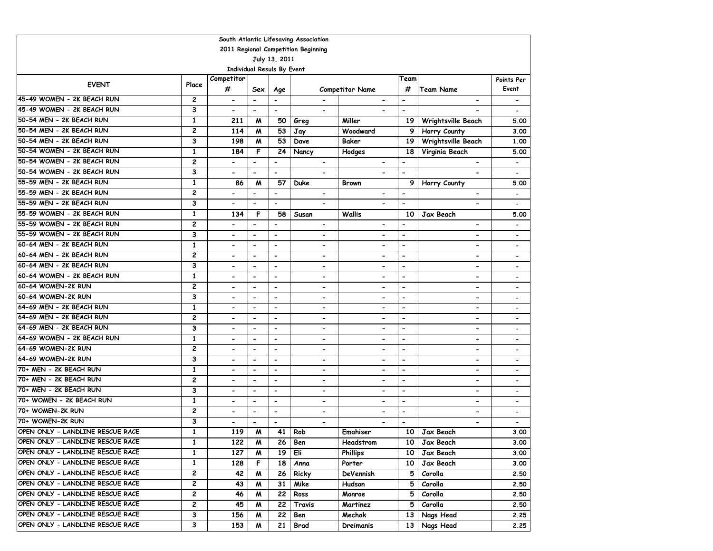| South Atlantic Lifesaving Association |                |                                   |                          |                          |                              |                              |                          |                              |                              |  |  |
|---------------------------------------|----------------|-----------------------------------|--------------------------|--------------------------|------------------------------|------------------------------|--------------------------|------------------------------|------------------------------|--|--|
| 2011 Regional Competition Beginning   |                |                                   |                          |                          |                              |                              |                          |                              |                              |  |  |
|                                       |                |                                   |                          | July 13, 2011            |                              |                              |                          |                              |                              |  |  |
|                                       |                | <b>Individual Resuls By Event</b> |                          |                          |                              |                              |                          |                              |                              |  |  |
|                                       | Place          | Competitor                        |                          |                          |                              |                              | Team                     |                              | Points Per                   |  |  |
| <b>EVENT</b>                          |                | #                                 | Sex                      | Age                      |                              | <b>Competitor Name</b>       | #                        | <b>Team Name</b>             | Event                        |  |  |
| 45-49 WOMEN - 2K BEACH RUN            | 2              | $\hbox{\small -}$                 | $\overline{\phantom{m}}$ | $\overline{\phantom{m}}$ |                              |                              | $\overline{\phantom{a}}$ | $\overline{a}$               | $\overline{\phantom{a}}$     |  |  |
| 45-49 WOMEN - 2K BEACH RUN            | 3              | $\overline{\phantom{a}}$          | -                        | $\overline{\phantom{a}}$ | $\overline{\phantom{a}}$     |                              | $\overline{\phantom{0}}$ |                              |                              |  |  |
| 50-54 MEN - 2K BEACH RUN              | $\mathbf{1}$   | 211                               | M                        | 50                       | Greg                         | Miller                       | 19                       | Wrightsville Beach           | 5.00                         |  |  |
| 50-54 MEN - 2K BEACH RUN              | $\overline{c}$ | 114                               | M                        | 53                       | Jay                          | Woodward                     | 9                        | Horry County                 | 3.00                         |  |  |
| 50-54 MEN - 2K BEACH RUN              | 3              | 198                               | M                        | $\overline{53}$          | Dave                         | Baker                        | 19                       | Wrightsville Beach           | 1,00                         |  |  |
| 50-54 WOMEN - 2K BEACH RUN            | $\mathbf{1}$   | 184                               | F                        | 24                       | Nancy                        | Hodges                       | 18                       | Virginia Beach               | 5.00                         |  |  |
| 50-54 WOMEN - 2K BEACH RUN            | $\overline{c}$ | $\blacksquare$                    | $\overline{a}$           | $\blacksquare$           |                              |                              | $\overline{\phantom{0}}$ |                              | $\overline{\phantom{a}}$     |  |  |
| 50-54 WOMEN - 2K BEACH RUN            | 3              | $\blacksquare$                    | $\overline{\phantom{0}}$ | $\overline{\phantom{a}}$ | $\qquad \qquad \blacksquare$ | $\blacksquare$               | $\blacksquare$           | $\blacksquare$               |                              |  |  |
| 55-59 MEN - 2K BEACH RUN              | 1              | 86                                | M                        | 57                       | Duke                         | <b>Brown</b>                 | 9                        | Horry County                 | 5.00                         |  |  |
| 55-59 MEN - 2K BEACH RUN              | $\overline{c}$ |                                   | $\overline{a}$           | $\overline{a}$           | $\blacksquare$               | $\overline{\phantom{0}}$     | $\blacksquare$           | $\blacksquare$               |                              |  |  |
| 55-59 MEN - 2K BEACH RUN              | 3              | $\blacksquare$                    | $\overline{\phantom{a}}$ | $\overline{\phantom{a}}$ | $\blacksquare$               | $\blacksquare$               | $\overline{\phantom{a}}$ | $\overline{\phantom{0}}$     | $\overline{\phantom{a}}$     |  |  |
| 55-59 WOMEN - 2K BEACH RUN            | $\mathbf{1}$   | 134                               | F                        | 58                       | Susan                        | <b>Wallis</b>                | 10                       | Jax Beach                    | 5.00                         |  |  |
| 55-59 WOMEN - 2K BEACH RUN            | $\overline{c}$ | $\blacksquare$                    | $\overline{a}$           | $\overline{\phantom{a}}$ | $\overline{\phantom{a}}$     | $\overline{\phantom{0}}$     |                          | $\qquad \qquad \blacksquare$ |                              |  |  |
| 55-59 WOMEN - 2K BEACH RUN            | 3              | $\blacksquare$                    | $\overline{\phantom{0}}$ | $\overline{\phantom{a}}$ | $\overline{\phantom{a}}$     | $\overline{a}$               | $\overline{\phantom{0}}$ | $\overline{a}$               | $\overline{\phantom{a}}$     |  |  |
| 60-64 MEN - 2K BEACH RUN              | 1              | $\overline{\phantom{0}}$          | $\hbox{\small -}$        | $\overline{\phantom{a}}$ | $\overline{\phantom{a}}$     | $\overline{\phantom{0}}$     | $\overline{\phantom{a}}$ | $\overline{\phantom{0}}$     |                              |  |  |
| 60-64 MEN - 2K BEACH RUN              | $\overline{c}$ |                                   | $\blacksquare$           | $\overline{\phantom{0}}$ | $\overline{\phantom{a}}$     | $\overline{\phantom{0}}$     | $\overline{\phantom{a}}$ | $\overline{a}$               | $\overline{\phantom{a}}$     |  |  |
| 60-64 MEN - 2K BEACH RUN              | 3              |                                   | $\overline{\phantom{a}}$ | $\blacksquare$           |                              |                              | $\blacksquare$           | $\blacksquare$               |                              |  |  |
| 60-64 WOMEN - 2K BEACH RUN            | $\mathbf{1}$   | $\overline{\phantom{a}}$          | $\overline{\phantom{a}}$ | $\blacksquare$           | $\blacksquare$               | $\blacksquare$               | $\overline{\phantom{a}}$ | $\blacksquare$               |                              |  |  |
| 60-64 WOMEN-2K RUN                    | 2              |                                   | $\overline{a}$           | $\overline{\phantom{a}}$ | $\overline{\phantom{a}}$     | $\overline{\phantom{a}}$     | $\overline{\phantom{0}}$ | $\overline{\phantom{a}}$     |                              |  |  |
| 60-64 WOMEN-2K RUN                    | 3              | $\overline{\phantom{a}}$          | $\overline{\phantom{a}}$ | $\blacksquare$           | $\qquad \qquad \blacksquare$ | $\blacksquare$               | $\blacksquare$           | $\blacksquare$               |                              |  |  |
| 64-69 MEN - 2K BEACH RUN              | 1              | $\blacksquare$                    | $\overline{\phantom{a}}$ | $\overline{a}$           | $\overline{\phantom{a}}$     | $\hbox{\small -}$            | $\overline{\phantom{a}}$ | $\overline{a}$               |                              |  |  |
| 64-69 MEN - 2K BEACH RUN              | 2              | $\overline{\phantom{a}}$          | -                        | $\overline{\phantom{0}}$ | $\overline{\phantom{a}}$     | $\overline{\phantom{0}}$     | $\overline{\phantom{a}}$ | $\qquad \qquad \blacksquare$ |                              |  |  |
| 64-69 MEN - 2K BEACH RUN              | 3              | $\blacksquare$                    | $\overline{a}$           | $\overline{a}$           | $\qquad \qquad \blacksquare$ | $\hbox{\small -}$            | $\overline{\phantom{a}}$ | $\overline{a}$               |                              |  |  |
| 64-69 WOMEN - 2K BEACH RUN            | 1              |                                   | $\overline{a}$           | $\blacksquare$           | $\qquad \qquad \blacksquare$ | $\blacksquare$               | $\overline{\phantom{a}}$ | $\qquad \qquad \blacksquare$ |                              |  |  |
| 64-69 WOMEN-2K RUN                    | 2              | $\blacksquare$                    | $\overline{\phantom{a}}$ | $\overline{\phantom{a}}$ | $\qquad \qquad \blacksquare$ | $\overline{\phantom{0}}$     | $\blacksquare$           | $\qquad \qquad \blacksquare$ | $\overline{\phantom{a}}$     |  |  |
| 64-69 WOMEN-2K RUN                    | 3              | $\blacksquare$                    | $\overline{\phantom{a}}$ | $\overline{\phantom{a}}$ | $\overline{\phantom{a}}$     | $\blacksquare$               | $\blacksquare$           | $\qquad \qquad \blacksquare$ | $\qquad \qquad \blacksquare$ |  |  |
| 70+ MEN - 2K BEACH RUN                | 1              | $\blacksquare$                    | $\overline{a}$           | $\overline{\phantom{a}}$ | $\overline{\phantom{a}}$     | $\overline{a}$               | $\blacksquare$           | $\overline{a}$               | $\overline{\phantom{a}}$     |  |  |
| 70+ MEN - 2K BEACH RUN                | 2              | $\overline{\phantom{a}}$          | $\hbox{\small -}$        | $\overline{\phantom{a}}$ | $\overline{\phantom{a}}$     | $\qquad \qquad \blacksquare$ | $\overline{\phantom{a}}$ | $\overline{\phantom{0}}$     | $\overline{\phantom{a}}$     |  |  |
| 70+ MEN - 2K BEACH RUN                | 3              | $\blacksquare$                    | $\blacksquare$           | $\overline{\phantom{0}}$ | $\hbox{\small -}$            | $\overline{\phantom{0}}$     | $\overline{\phantom{a}}$ | $\overline{a}$               | $\overline{\phantom{a}}$     |  |  |
| 70+ WOMEN - 2K BEACH RUN              | $\mathbf{1}$   |                                   | $\overline{\phantom{a}}$ | $\blacksquare$           | $\blacksquare$               | Ĭ.                           | $\blacksquare$           | $\blacksquare$               | $\blacksquare$               |  |  |
| 70+ WOMEN-2K RUN                      | 2              | $\overline{\phantom{a}}$          | $\overline{\phantom{a}}$ | $\overline{\phantom{a}}$ | $\qquad \qquad \blacksquare$ | $\blacksquare$               | $\overline{\phantom{a}}$ | $\blacksquare$               |                              |  |  |
| 70+ WOMEN-2K RUN                      | 3              | $\overline{\phantom{a}}$          | $\blacksquare$           | $\blacksquare$           | $\overline{\phantom{a}}$     | $\overline{\phantom{0}}$     | $\overline{\phantom{a}}$ | ۰                            | $\overline{\phantom{a}}$     |  |  |
| OPEN ONLY - LANDLINE RESCUE RACE      | $\mathbf{1}$   | 119                               | M                        | 41                       | Rob                          | Emahiser                     | 10                       | Jax Beach                    | 3.00                         |  |  |
| OPEN ONLY - LANDLINE RESCUE RACE      | 1              | 122                               | M                        | 26                       | Ben                          | Headstrom                    | 10                       | Jax Beach                    | 3.00                         |  |  |
| OPEN ONLY - LANDLINE RESCUE RACE      | 1              | 127                               | M                        | 19                       | Eli                          | <b>Phillips</b>              | 10                       | Jax Beach                    | 3.00                         |  |  |
| OPEN ONLY - LANDLINE RESCUE RACE      | 1              | 128                               | F                        | 18                       | Anna                         | Porter                       | 10                       | Jax Beach                    | 3.00                         |  |  |
| OPEN ONLY - LANDLINE RESCUE RACE      | 2              | 42                                | M                        | 26                       | Ricky                        | DeVennish                    | 5                        | Corolla                      | 2.50                         |  |  |
| OPEN ONLY - LANDLINE RESCUE RACE      | 2              | 43                                | M                        | 31                       | Mike                         | Hudson                       | 5                        | Corolla                      | 2.50                         |  |  |
| OPEN ONLY - LANDLINE RESCUE RACE      | 2              | 46                                | M                        | 22                       | Ross                         | Monroe                       | 5                        | Corolla                      | 2.50                         |  |  |
| OPEN ONLY - LANDLINE RESCUE RACE      | 2              | 45                                | M                        | 22                       | Travis                       | Martinez                     | 5                        | Corolla                      | 2.50                         |  |  |
| OPEN ONLY - LANDLINE RESCUE RACE      | З              | 156                               | M                        | 22                       | Ben                          | Mechak                       | 13                       | Nags Head                    | 2.25                         |  |  |
| OPEN ONLY - LANDLINE RESCUE RACE      | 3              | 153                               | M                        | 21                       | Brad                         | Dreimanis                    | 13                       | Nags Head                    | 2.25                         |  |  |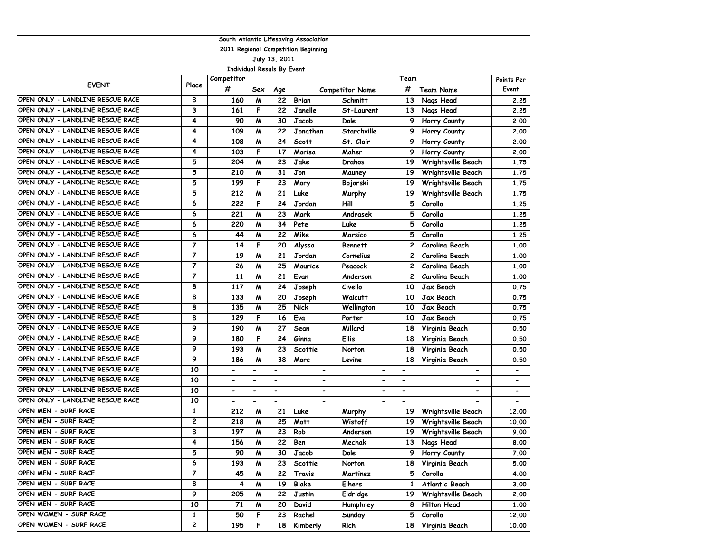| South Atlantic Lifesaving Association |                |                              |                                   |                          |                              |                          |                          |                          |                          |  |  |  |
|---------------------------------------|----------------|------------------------------|-----------------------------------|--------------------------|------------------------------|--------------------------|--------------------------|--------------------------|--------------------------|--|--|--|
| 2011 Regional Competition Beginning   |                |                              |                                   |                          |                              |                          |                          |                          |                          |  |  |  |
| July 13, 2011                         |                |                              |                                   |                          |                              |                          |                          |                          |                          |  |  |  |
|                                       |                |                              | <b>Individual Resuls By Event</b> |                          |                              |                          |                          |                          |                          |  |  |  |
| <b>EVENT</b>                          | Place          | Competitor                   |                                   |                          |                              |                          | Team                     |                          | Points Per               |  |  |  |
|                                       |                | #                            | Sex                               | Age                      |                              | <b>Competitor Name</b>   | #                        | <b>Team Name</b>         | Event                    |  |  |  |
| OPEN ONLY - LANDLINE RESCUE RACE      | 3              | 160                          | M                                 | 22                       | Brian                        | <b>Schmitt</b>           | 13                       | Nags Head                | 2.25                     |  |  |  |
| OPEN ONLY - LANDLINE RESCUE RACE      | 3              | 161                          | F                                 | 22                       | Janelle                      | St-Laurent               | 13                       | Nags Head                | 2.25                     |  |  |  |
| OPEN ONLY - LANDLINE RESCUE RACE      | 4              | 90                           | M                                 | 30                       | Jacob                        | Dole                     | 9                        | Horry County             | 2.00                     |  |  |  |
| OPEN ONLY - LANDLINE RESCUE RACE      | 4              | 109                          | M                                 | 22                       | Jonathan                     | Starchville              | 9                        | Horry County             | 2.00                     |  |  |  |
| OPEN ONLY - LANDLINE RESCUE RACE      | 4              | 108                          | M                                 | 24                       | <b>Scott</b>                 | St. Clair                | 9                        | Horry County             | 2.00                     |  |  |  |
| OPEN ONLY - LANDLINE RESCUE RACE      | 4              | 103                          | F                                 | 17                       | Marisa                       | Maher                    | 9                        | Horry County             | 2.00                     |  |  |  |
| OPEN ONLY - LANDLINE RESCUE RACE      | 5              | 204                          | M                                 | 23                       | Jake                         | Drahos                   | 19                       | Wrightsville Beach       | 1.75                     |  |  |  |
| OPEN ONLY - LANDLINE RESCUE RACE      | 5              | 210                          | M                                 | 31                       | Jon                          | Mauney                   | 19                       | Wrightsville Beach       | 1.75                     |  |  |  |
| OPEN ONLY - LANDLINE RESCUE RACE      | 5              | 199                          | F                                 | 23                       | Mary                         | Bojarski                 | 19                       | Wrightsville Beach       | 1.75                     |  |  |  |
| OPEN ONLY - LANDLINE RESCUE RACE      | 5              | 212                          | м                                 | 21                       | Luke                         | Murphy                   | 19                       | Wrightsville Beach       | 1.75                     |  |  |  |
| OPEN ONLY - LANDLINE RESCUE RACE      | 6              | 222                          | F                                 | 24                       | Jordan                       | Hill                     | 5                        | Corolla                  | 1.25                     |  |  |  |
| OPEN ONLY - LANDLINE RESCUE RACE      | 6              | 221                          | W                                 | 23                       | Mark                         | Andrasek                 | 5                        | Corolla                  | 1.25                     |  |  |  |
| OPEN ONLY - LANDLINE RESCUE RACE      | 6              | 220                          | M                                 | 34                       | Pete                         | Luke                     | 5                        | Corolla                  | 1.25                     |  |  |  |
| OPEN ONLY - LANDLINE RESCUE RACE      | 6              | 44                           | M                                 | 22                       | Mike                         | Marsico                  | 5                        | Corolla                  | 1.25                     |  |  |  |
| OPEN ONLY - LANDLINE RESCUE RACE      | $\overline{7}$ | 14                           | F                                 | 20                       | Alyssa                       | <b>Bennett</b>           | 2                        | Carolina Beach           | 1.00                     |  |  |  |
| OPEN ONLY - LANDLINE RESCUE RACE      | $\overline{7}$ | 19                           | M                                 | 21                       | Jordan                       | Cornelius                | 2                        | Carolina Beach           | 1.00                     |  |  |  |
| OPEN ONLY - LANDLINE RESCUE RACE      | $\overline{7}$ | 26                           | M                                 | 25                       | Maurice                      | Peacock                  | 2                        | Carolina Beach           | 1.00                     |  |  |  |
| OPEN ONLY - LANDLINE RESCUE RACE      | $\overline{7}$ | 11                           | M                                 | 21                       | Evan                         | Anderson                 | $\mathbf{2}$             | Carolina Beach           | 1.00                     |  |  |  |
| OPEN ONLY - LANDLINE RESCUE RACE      | 8              | 117                          | м                                 | 24                       | Joseph                       | Civello                  | 10                       | Jax Beach                | 0.75                     |  |  |  |
| OPEN ONLY - LANDLINE RESCUE RACE      | 8              | 133                          | M                                 | 20                       | Joseph                       | Walcutt                  | 10                       | Jax Beach                | 0.75                     |  |  |  |
| OPEN ONLY - LANDLINE RESCUE RACE      | 8              | 135                          | м                                 | 25                       | Nick                         | Wellington               | 10                       | Jax Beach                | 0.75                     |  |  |  |
| OPEN ONLY - LANDLINE RESCUE RACE      | 8              | 129                          | F                                 | 16                       | Eva                          | Porter                   | 10                       | Jax Beach                | 0.75                     |  |  |  |
| OPEN ONLY - LANDLINE RESCUE RACE      | 9              | 190                          | м                                 | 27                       | Sean                         | Millard                  | 18                       | Virginia Beach           | 0.50                     |  |  |  |
| OPEN ONLY - LANDLINE RESCUE RACE      | 9              | 180                          | F                                 | 24                       | Ginna                        | <b>Ellis</b>             | 18                       | Virginia Beach           | 0.50                     |  |  |  |
| OPEN ONLY - LANDLINE RESCUE RACE      | 9              | 193                          | W                                 | 23                       | Scottie                      | Norton                   | 18                       | Virginia Beach           | 0.50                     |  |  |  |
| OPEN ONLY - LANDLINE RESCUE RACE      | 9              | 186                          | W                                 | 38                       | Marc                         | Levine                   | 18                       | Virginia Beach           | 0.50                     |  |  |  |
| OPEN ONLY - LANDLINE RESCUE RACE      | 10             | $\qquad \qquad \blacksquare$ |                                   | -                        | $\blacksquare$               | $\overline{\phantom{a}}$ | -                        | -                        | $\overline{\phantom{a}}$ |  |  |  |
| OPEN ONLY - LANDLINE RESCUE RACE      | 10             | $\blacksquare$               | $\blacksquare$                    | $\blacksquare$           | $\qquad \qquad \blacksquare$ |                          | $\overline{\phantom{0}}$ | $\overline{\phantom{0}}$ | $\overline{\phantom{a}}$ |  |  |  |
| OPEN ONLY - LANDLINE RESCUE RACE      | 10             | $\blacksquare$               | $\overline{\phantom{a}}$          | $\overline{\phantom{a}}$ | $\overline{\phantom{0}}$     |                          | $\blacksquare$           | $\overline{\phantom{a}}$ | $\overline{\phantom{a}}$ |  |  |  |
| OPEN ONLY - LANDLINE RESCUE RACE      | 10             | $\overline{\phantom{0}}$     | $\blacksquare$                    | $\overline{\phantom{a}}$ | $\overline{\phantom{0}}$     |                          | $\overline{\phantom{a}}$ |                          | $\overline{\phantom{a}}$ |  |  |  |
| OPEN MEN - SURF RACE                  | 1              | 212                          | M                                 | 21                       | Luke                         | Murphy                   | 19                       | Wrightsville Beach       | 12.00                    |  |  |  |
| OPEN MEN - SURF RACE                  | 2              | 218                          | M                                 | 25                       | Matt                         | Wistoff                  | 19                       | Wrightsville Beach       | 10.00                    |  |  |  |
| OPEN MEN - SURF RACE                  | 3              | 197                          | м                                 | 23                       | Rob                          | Anderson                 | 19                       | Wrightsville Beach       | 9.00                     |  |  |  |
| OPEN MEN - SURF RACE                  | 4              | 156                          | M                                 | 22                       | Ben                          | Mechak                   |                          | 13 Nags Head             | 8.00                     |  |  |  |
| OPEN MEN - SURF RACE                  | 5              | 90                           | M                                 | 30                       | Jacob                        | Dole                     | 9                        | Horry County             | 7.00                     |  |  |  |
| OPEN MEN - SURF RACE                  | 6              | 193                          | M                                 | 23                       | Scottie                      | Norton                   | 18                       | Virginia Beach           | 5.00                     |  |  |  |
| OPEN MEN - SURF RACE                  | 7              | 45                           | M                                 | 22                       | Travis                       | Martinez                 | 5                        | Corolla                  | 4.00                     |  |  |  |
| OPEN MEN - SURF RACE                  | 8              | 4                            | M                                 | 19                       | Blake                        | <b>Elhers</b>            | 1                        | Atlantic Beach           | 3.00                     |  |  |  |
| OPEN MEN - SURF RACE                  | 9              | 205                          | M                                 | 22                       | Justin                       | Eldridge                 | 19                       | Wrightsville Beach       | 2.00                     |  |  |  |
| OPEN MEN - SURF RACE                  | 10             | 71                           | M                                 | 20                       | David                        | Humphrey                 | 8                        | Hilton Head              | 1.00                     |  |  |  |
| OPEN WOMEN - SURF RACE                | $\mathbf{1}$   | 50                           | F                                 | 23                       | Rachel                       | Sunday                   | 5                        | Corolla                  | 12.00                    |  |  |  |
| OPEN WOMEN - SURF RACE                | 2              | 195                          | F                                 | 18                       | Kimberly                     | Rich                     | 18                       | Virginia Beach           | 10.00                    |  |  |  |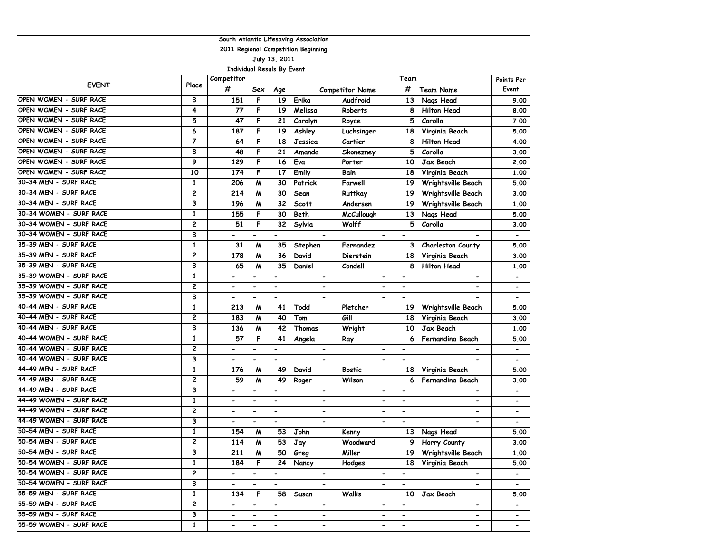| South Atlantic Lifesaving Association |                |                                   |                              |                              |                              |                              |                              |                          |                              |  |  |
|---------------------------------------|----------------|-----------------------------------|------------------------------|------------------------------|------------------------------|------------------------------|------------------------------|--------------------------|------------------------------|--|--|
| 2011 Regional Competition Beginning   |                |                                   |                              |                              |                              |                              |                              |                          |                              |  |  |
| July 13, 2011                         |                |                                   |                              |                              |                              |                              |                              |                          |                              |  |  |
|                                       |                | <b>Individual Resuls By Event</b> |                              |                              |                              |                              |                              |                          |                              |  |  |
| <b>EVENT</b>                          | Place          | Competitor                        |                              |                              |                              |                              | Team                         |                          | Points Per                   |  |  |
|                                       |                | #                                 | Sex                          | Age                          |                              | <b>Competitor Name</b>       | #                            | <b>Team Name</b>         | Event                        |  |  |
| OPEN WOMEN - SURF RACE                | 3              | 151                               | F                            | 19                           | Erika                        | Audfroid                     | 13                           | Nags Head                | 9.00                         |  |  |
| OPEN WOMEN - SURF RACE                | 4              | 77                                | F                            | 19                           | Melissa                      | Roberts                      | 8                            | <b>Hilton Head</b>       | 8.00                         |  |  |
| OPEN WOMEN - SURF RACE                | 5              | 47                                | F                            | 21                           | Carolyn                      | Royce                        | 5                            | Corolla                  | 7.00                         |  |  |
| OPEN WOMEN - SURF RACE                | 6              | 187                               | F                            | 19                           | Ashley                       | Luchsinger                   | 18                           | Virginia Beach           | 5.00                         |  |  |
| OPEN WOMEN - SURF RACE                | $\overline{7}$ | 64                                | F                            | 18                           | Jessica                      | Cartier                      | 8                            | <b>Hilton Head</b>       | 4.00                         |  |  |
| OPEN WOMEN - SURF RACE                | 8              | 48                                | F                            | 21                           | Amanda                       | Skonezney                    | 5                            | Corolla                  | 3.00                         |  |  |
| OPEN WOMEN - SURF RACE                | 9              | 129                               | F                            | 16                           | Eva                          | Porter                       | 10                           | Jax Beach                | 2.00                         |  |  |
| OPEN WOMEN - SURF RACE                | 10             | 174                               | F                            | 17                           | Emily                        | Bain                         | 18                           | Virginia Beach           | 1.00                         |  |  |
| 30-34 MEN - SURF RACE                 | 1              | 206                               | M                            | 30                           | Patrick                      | Farwell                      | 19                           | Wrightsville Beach       | 5.00                         |  |  |
| 30-34 MEN - SURF RACE                 | $\overline{c}$ | 214                               | M                            | 30                           | Sean                         | Ruttkay                      | 19                           | Wrightsville Beach       | 3.00                         |  |  |
| 30-34 MEN - SURF RACE                 | 3              | 196                               | M                            | 32                           | <b>Scott</b>                 | Andersen                     | 19                           | Wrightsville Beach       | 1.00                         |  |  |
| 30-34 WOMEN - SURF RACE               | $\mathbf{1}$   | 155                               | F                            | 30                           | Beth                         | <b>McCullough</b>            | 13                           | Nags Head                | 5.00                         |  |  |
| 30-34 WOMEN - SURF RACE               | 2              | 51                                | F                            | 32                           | Sylvia                       | Wolff                        | 5                            | Corolla                  | 3.00                         |  |  |
| 30-34 WOMEN - SURF RACE               | 3              |                                   | $\overline{\phantom{0}}$     | $\overline{\phantom{a}}$     | $\overline{\phantom{a}}$     |                              | $\overline{\phantom{a}}$     |                          |                              |  |  |
| 35-39 MEN - SURF RACE                 | 1              | 31                                | M                            | 35                           | Stephen                      | Fernandez                    | З                            | Charleston County        | 5.00                         |  |  |
| 35-39 MEN - SURF RACE                 | $\overline{c}$ | 178                               | M                            | 36                           | David                        | <b>Dierstein</b>             | 18                           | Virginia Beach           | 3.00                         |  |  |
| 35-39 MEN - SURF RACE                 | 3              | 65                                | M                            | 35                           | Daniel                       | Condell                      | 8                            | <b>Hilton Head</b>       | 1.00                         |  |  |
| 35-39 WOMEN - SURF RACE               | $\mathbf{1}$   | $\overline{\phantom{a}}$          | $\overline{\phantom{0}}$     | $\overline{\phantom{a}}$     | $\blacksquare$               | $\overline{\phantom{a}}$     | $\blacksquare$               | $\overline{\phantom{a}}$ | $\overline{\phantom{a}}$     |  |  |
| 35-39 WOMEN - SURF RACE               | $\overline{c}$ | $\blacksquare$                    | $\blacksquare$               | $\blacksquare$               | $\overline{\phantom{0}}$     |                              | $\overline{\phantom{a}}$     |                          | $\overline{\phantom{a}}$     |  |  |
| 35-39 WOMEN - SURF RACE               | 3              | $\blacksquare$                    | $\qquad \qquad \blacksquare$ | $\overline{\phantom{a}}$     |                              |                              | $\overline{\phantom{m}}$     |                          |                              |  |  |
| 40-44 MEN - SURF RACE                 | 1              | 213                               | M                            | 41                           | Todd                         | Pletcher                     | 19                           | Wrightsville Beach       | 5.00                         |  |  |
| 40-44 MEN - SURF RACE                 | $\overline{c}$ | 183                               | M                            | 40                           | Tom                          | Gill                         | 18                           | Virginia Beach           | 3.00                         |  |  |
| 40-44 MEN - SURF RACE                 | 3              | 136                               | M                            | 42                           | Thomas                       | Wright                       | 10                           | Jax Beach                | 1.00                         |  |  |
| 40-44 WOMEN - SURF RACE               | 1              | 57                                | F                            | 41                           | Angela                       | Ray                          | 6                            | Fernandina Beach         | 5.00                         |  |  |
| 40-44 WOMEN - SURF RACE               | 2              | $\overline{\phantom{a}}$          | $\qquad \qquad \blacksquare$ | $\overline{\phantom{a}}$     | $\overline{\phantom{a}}$     | $\overline{\phantom{a}}$     | $\overline{\phantom{a}}$     | -                        | $\overline{\phantom{a}}$     |  |  |
| 40-44 WOMEN - SURF RACE               | 3              | $\hbox{\small -}$                 | $\overline{\phantom{0}}$     | $\overline{\phantom{a}}$     | $\blacksquare$               |                              | $\overline{\phantom{a}}$     |                          | $\overline{\phantom{a}}$     |  |  |
| 44-49 MEN - SURF RACE                 | 1              | 176                               | M                            | 49                           | David                        | <b>Bostic</b>                | 18                           | Virginia Beach           | 5.00                         |  |  |
| 44-49 MEN - SURF RACE                 | $\overline{c}$ | 59                                | M                            | 49                           | Roger                        | Wilson                       | 6                            | Fernandina Beach         | 3.00                         |  |  |
| 44-49 MEN - SURF RACE                 | 3              | $\blacksquare$                    | $\overline{\phantom{0}}$     | $\overline{\phantom{a}}$     | -                            | $\blacksquare$               | $\blacksquare$               | -                        |                              |  |  |
| 44-49 WOMEN - SURF RACE               | $\mathbf{1}$   | $\overline{\phantom{a}}$          | $\blacksquare$               | $\overline{\phantom{a}}$     | $\overline{\phantom{0}}$     | $\overline{\phantom{0}}$     | $\blacksquare$               | $\overline{\phantom{0}}$ | $\overline{\phantom{a}}$     |  |  |
| 44-49 WOMEN - SURF RACE               | $\overline{c}$ | $\overline{\phantom{a}}$          | $\blacksquare$               | $\overline{\phantom{a}}$     | $\overline{\phantom{0}}$     | $\blacksquare$               | $\overline{\phantom{a}}$     | $\overline{\phantom{0}}$ | $\overline{\phantom{a}}$     |  |  |
| 44-49 WOMEN - SURF RACE               | 3              | $\overline{\phantom{a}}$          |                              | $\blacksquare$               | $\overline{\phantom{0}}$     |                              |                              | $\overline{\phantom{0}}$ | $\overline{\phantom{a}}$     |  |  |
| 50-54 MEN - SURF RACE                 | $\mathbf{1}$   | 154                               | M                            | 53                           | John                         | Kenny                        |                              | 13 Nags Head             | 5.00                         |  |  |
| 50-54 MEN - SURF RACE                 | 2              | 114                               | M                            | 53                           | Jay                          | Woodward                     |                              | 9 Horry County           | 3.00                         |  |  |
| 50-54 MEN - SURF RACE                 | 3              | 211                               | M                            | 50                           | Greg                         | Miller                       | 19                           | Wrightsville Beach       | 1.00                         |  |  |
| 50-54 WOMEN - SURF RACE               | $\mathbf{1}$   | 184                               | F                            | 24 <sup>1</sup>              | Nancy                        | Hodges                       | 18                           | Virginia Beach           | 5.00                         |  |  |
| 50-54 WOMEN - SURF RACE               | $\overline{2}$ | $\blacksquare$                    | $\blacksquare$               | $\qquad \qquad \blacksquare$ | $\overline{\phantom{a}}$     | $\blacksquare$               | $\qquad \qquad \blacksquare$ | $\overline{\phantom{a}}$ | $\overline{\phantom{a}}$     |  |  |
| 50-54 WOMEN - SURF RACE               | 3              | $\blacksquare$                    | $\blacksquare$               | $\overline{\phantom{0}}$     | $\blacksquare$               | $\qquad \qquad \blacksquare$ | $\overline{\phantom{m}}$     | $\overline{\phantom{0}}$ | $\blacksquare$               |  |  |
| 55-59 MEN - SURF RACE                 | 1              | 134                               | F                            | 58                           | Susan                        | Wallis                       | 10                           | Jax Beach                | 5.00                         |  |  |
| 55-59 MEN - SURF RACE                 | 2              | $\blacksquare$                    | $\blacksquare$               | $\blacksquare$               | $\blacksquare$               | $\overline{\phantom{a}}$     | $\overline{\phantom{a}}$     | $\blacksquare$           | $\qquad \qquad \blacksquare$ |  |  |
| 55-59 MEN - SURF RACE                 | 3              | $\blacksquare$                    | $\overline{\phantom{a}}$     | $\overline{\phantom{a}}$     | $\qquad \qquad \blacksquare$ | $\qquad \qquad \blacksquare$ | $\overline{\phantom{a}}$     | $\overline{\phantom{a}}$ | $\blacksquare$               |  |  |
| 55-59 WOMEN - SURF RACE               | $\mathbf{1}$   | $\hbox{\small -}$                 | $\overline{\phantom{a}}$     | $\overline{\phantom{a}}$     | $\blacksquare$               | $\blacksquare$               | $\overline{\phantom{a}}$     | $\overline{\phantom{a}}$ | $\blacksquare$               |  |  |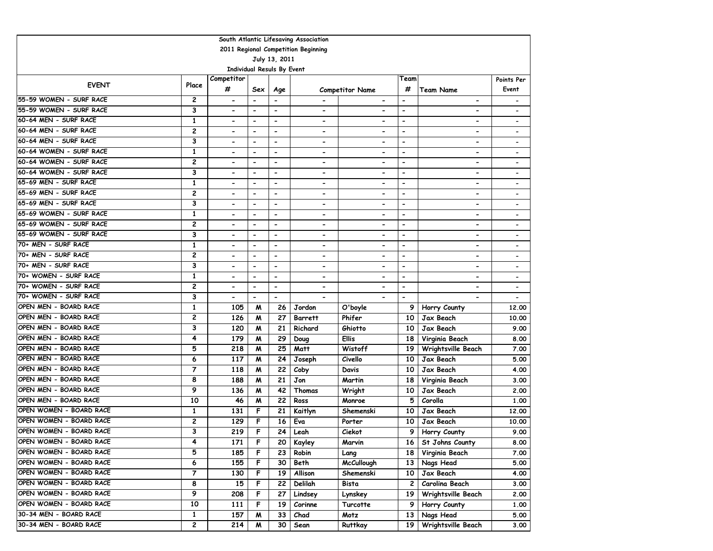| South Atlantic Lifesaving Association |                |                                   |                          |                          |                              |                              |                          |                              |                              |  |  |
|---------------------------------------|----------------|-----------------------------------|--------------------------|--------------------------|------------------------------|------------------------------|--------------------------|------------------------------|------------------------------|--|--|
| 2011 Regional Competition Beginning   |                |                                   |                          |                          |                              |                              |                          |                              |                              |  |  |
| July 13, 2011                         |                |                                   |                          |                          |                              |                              |                          |                              |                              |  |  |
|                                       |                | <b>Individual Resuls By Event</b> |                          |                          |                              |                              |                          |                              |                              |  |  |
| <b>EVENT</b>                          | Place          | Competitor                        |                          |                          |                              |                              | Team                     |                              | Points Per                   |  |  |
|                                       |                | #                                 | Sex                      | Age                      |                              | <b>Competitor Name</b>       | #                        | <b>Team Name</b>             | Event                        |  |  |
| 55-59 WOMEN - SURF RACE               | 2              | $\hbox{\small -}$                 |                          | $\overline{\phantom{a}}$ |                              | $\overline{\phantom{a}}$     | $\overline{\phantom{a}}$ | $\overline{\phantom{a}}$     | $\overline{\phantom{a}}$     |  |  |
| 55-59 WOMEN - SURF RACE               | 3              | $\overline{\phantom{0}}$          | $\overline{\phantom{0}}$ | $\overline{\phantom{a}}$ | $\qquad \qquad \blacksquare$ | $\overline{\phantom{0}}$     | $\overline{\phantom{a}}$ |                              |                              |  |  |
| 60-64 MEN - SURF RACE                 | $\mathbf{1}$   | $\blacksquare$                    | $\blacksquare$           | $\blacksquare$           | $\overline{\phantom{a}}$     |                              | $\overline{\phantom{a}}$ |                              |                              |  |  |
| 60-64 MEN - SURF RACE                 | $\overline{c}$ | $\blacksquare$                    | $\blacksquare$           | $\overline{\phantom{a}}$ | $\blacksquare$               |                              | $\overline{\phantom{a}}$ | $\overline{\phantom{0}}$     | $\overline{\phantom{a}}$     |  |  |
| 60-64 MEN - SURF RACE                 | 3              | $\blacksquare$                    | $\overline{\phantom{a}}$ | $\overline{\phantom{0}}$ | $\blacksquare$               | $\overline{\phantom{0}}$     | $\overline{\phantom{a}}$ | $\overline{\phantom{0}}$     | $\overline{\phantom{0}}$     |  |  |
| 60-64 WOMEN - SURF RACE               | $\mathbf{1}$   | $\blacksquare$                    | $\blacksquare$           | $\blacksquare$           | $\blacksquare$               | ۰                            | $\overline{\phantom{a}}$ | $\overline{\phantom{0}}$     | $\overline{\phantom{0}}$     |  |  |
| 60-64 WOMEN - SURF RACE               | 2              | $\blacksquare$                    | $\overline{\phantom{a}}$ | $\overline{\phantom{0}}$ | $\blacksquare$               | $\blacksquare$               | $\overline{\phantom{a}}$ | $\blacksquare$               | $\overline{\phantom{a}}$     |  |  |
| 60-64 WOMEN - SURF RACE               | 3              | $\blacksquare$                    | $\overline{\phantom{0}}$ | $\overline{\phantom{a}}$ | $\overline{\phantom{a}}$     | ۰                            | $\overline{\phantom{a}}$ | $\overline{\phantom{a}}$     | $\qquad \qquad \blacksquare$ |  |  |
| 65-69 MEN - SURF RACE                 | $\mathbf{1}$   | $\overline{\phantom{a}}$          | $\blacksquare$           | $\overline{\phantom{a}}$ | $\overline{\phantom{a}}$     | $\overline{\phantom{0}}$     | $\overline{\phantom{a}}$ | $\overline{\phantom{a}}$     | $\overline{\phantom{0}}$     |  |  |
| 65-69 MEN - SURF RACE                 | $\mathbf{2}$   |                                   | $\blacksquare$           | $\overline{\phantom{a}}$ | $\blacksquare$               | $\blacksquare$               | $\overline{\phantom{a}}$ |                              |                              |  |  |
| 65-69 MEN - SURF RACE                 | 3              | $\blacksquare$                    | $\blacksquare$           | $\blacksquare$           | $\overline{\phantom{a}}$     | $\overline{\phantom{0}}$     | $\blacksquare$           | $\overline{\phantom{a}}$     | $\overline{\phantom{a}}$     |  |  |
| 65-69 WOMEN - SURF RACE               | $\mathbf{1}$   | $\hbox{\small -}$                 | $\blacksquare$           | $\overline{\phantom{a}}$ | $\overline{\phantom{a}}$     | $\overline{\phantom{0}}$     | $\overline{\phantom{a}}$ | $\overline{\phantom{a}}$     | $\overline{\phantom{a}}$     |  |  |
| 65-69 WOMEN - SURF RACE               | 2              | $\hbox{\small -}$                 | $\blacksquare$           | $\overline{\phantom{0}}$ | $\overline{\phantom{0}}$     | $\qquad \qquad \blacksquare$ | $\overline{\phantom{a}}$ | $\hbox{\small -}$            | $\overline{\phantom{0}}$     |  |  |
| 65-69 WOMEN - SURF RACE               | 3              |                                   | $\overline{\phantom{a}}$ | $\overline{\phantom{a}}$ | $\qquad \qquad \blacksquare$ | $\qquad \qquad \blacksquare$ | $\overline{\phantom{a}}$ | $\qquad \qquad \blacksquare$ | $\overline{\phantom{a}}$     |  |  |
| 70+ MEN - SURF RACE                   | 1              | $\blacksquare$                    | $\overline{\phantom{a}}$ | $\overline{\phantom{0}}$ | $\overline{\phantom{a}}$     | ۰                            | $\overline{\phantom{a}}$ | $\overline{\phantom{a}}$     | $\overline{\phantom{a}}$     |  |  |
| 70+ MEN - SURF RACE                   | $\overline{c}$ |                                   | $\overline{\phantom{a}}$ | $\overline{\phantom{a}}$ |                              |                              | $\overline{\phantom{a}}$ |                              |                              |  |  |
| 70+ MEN - SURF RACE                   | 3              | $\blacksquare$                    | $\overline{\phantom{a}}$ | $\overline{\phantom{a}}$ | $\blacksquare$               | $\blacksquare$               | $\overline{\phantom{a}}$ | $\overline{\phantom{0}}$     | $\overline{\phantom{a}}$     |  |  |
| 70+ WOMEN - SURF RACE                 | $\mathbf{1}$   | $\blacksquare$                    | $\overline{\phantom{a}}$ | $\overline{\phantom{0}}$ | $\overline{\phantom{a}}$     | $\overline{\phantom{0}}$     | $\overline{\phantom{a}}$ | $\overline{\phantom{a}}$     | $\overline{\phantom{0}}$     |  |  |
| 70+ WOMEN - SURF RACE                 | $\overline{c}$ | $\blacksquare$                    | $\overline{\phantom{a}}$ | $\overline{\phantom{0}}$ | $\blacksquare$               | $\blacksquare$               | $\overline{\phantom{a}}$ |                              | $\overline{\phantom{a}}$     |  |  |
| 70+ WOMEN - SURF RACE                 | 3              | $\blacksquare$                    | $\blacksquare$           | $\blacksquare$           |                              |                              | $\overline{\phantom{a}}$ |                              |                              |  |  |
| OPEN MEN - BOARD RACE                 | $\mathbf{1}$   | 105                               | M                        | 26                       | Jordon                       | O'boyle                      | 9                        | Horry County                 | 12,00                        |  |  |
| OPEN MEN - BOARD RACE                 | $\overline{c}$ | 126                               | M                        | 27                       | <b>Barrett</b>               | Phifer                       | 10                       | Jax Beach                    | 10.00                        |  |  |
| OPEN MEN - BOARD RACE                 | 3              | 120                               | M                        | 21                       | Richard                      | Ghiotto                      | 10                       | Jax Beach                    | 9.00                         |  |  |
| OPEN MEN - BOARD RACE                 | 4              | 179                               | M                        | 29                       | Doug                         | <b>Ellis</b>                 | 18                       | Virginia Beach               | 8.00                         |  |  |
| OPEN MEN - BOARD RACE                 | 5              | 218                               | W                        | 25                       | Matt                         | Wistoff                      | 19                       | Wrightsville Beach           | 7.00                         |  |  |
| OPEN MEN - BOARD RACE                 | 6              | 117                               | м                        | 24                       | Joseph                       | Civello                      | 10                       | Jax Beach                    | 5.00                         |  |  |
| OPEN MEN - BOARD RACE                 | 7              | 118                               | м                        | 22                       | Coby                         | Davis                        | 10                       | Jax Beach                    | 4.00                         |  |  |
| OPEN MEN - BOARD RACE                 | 8              | 188                               | M                        | 21                       | Jon                          | Martin                       | 18                       | Virginia Beach               | 3.00                         |  |  |
| OPEN MEN - BOARD RACE                 | 9              | 136                               | M                        | 42                       | Thomas                       | Wright                       | 10                       | Jax Beach                    | 2.00                         |  |  |
| OPEN MEN - BOARD RACE                 | 10             | 46                                | M                        | 22                       | Ross                         | Monroe                       | 5                        | Corolla                      | 1.00                         |  |  |
| OPEN WOMEN - BOARD RACE               | 1              | 131                               | F                        | 21                       | Kaitlyn                      | Shemenski                    | 10                       | Jax Beach                    | 12,00                        |  |  |
| OPEN WOMEN - BOARD RACE               | 2              | 129                               | F                        | 16                       | Eva                          | Porter                       | 10                       | Jax Beach                    | 10.00                        |  |  |
| OPEN WOMEN - BOARD RACE               | 3              | 219                               | F                        | 24                       | Leah                         | Ciekot                       | 9                        | Horry County                 | 9.00                         |  |  |
| OPEN WOMEN - BOARD RACE               | 4              | 171                               | F                        | 20                       | Kayley                       | Marvin                       |                          | 16 St Johns County           | 8.00                         |  |  |
| OPEN WOMEN - BOARD RACE               | 5              | 185                               | F                        | 23                       | Robin                        | Lang                         | 18                       | Virginia Beach               | 7.00                         |  |  |
| OPEN WOMEN - BOARD RACE               | 6              | 155                               | F                        | 30                       | Beth                         | <b>McCullough</b>            | 13                       | Nags Head                    | 5.00                         |  |  |
| OPEN WOMEN - BOARD RACE               | 7              | 130                               | F                        | 19                       | Allison                      | Shemenski                    | 10                       | Jax Beach                    | 4.00                         |  |  |
| OPEN WOMEN - BOARD RACE               | 8              | 15                                | F                        | 22                       | Delilah                      | Bista                        | 2                        | Carolina Beach               | 3.00                         |  |  |
| OPEN WOMEN - BOARD RACE               | 9              | 208                               | F                        | 27                       | Lindsey                      | Lynskey                      | 19                       | Wrightsville Beach           | 2.00                         |  |  |
| OPEN WOMEN - BOARD RACE               | 10             | 111                               | F                        | 19                       | Corinne                      | Turcotte                     | 9                        | Horry County                 | 1.00                         |  |  |
| 30-34 MEN - BOARD RACE                | 1              | 157                               | M                        | 33                       | Chad                         | Motz                         | 13                       | Nags Head                    | 5.00                         |  |  |
| 30-34 MEN - BOARD RACE                | 2              | 214                               | M                        | 30                       | Sean                         | Ruttkay                      | 19                       | Wrightsville Beach           | 3.00                         |  |  |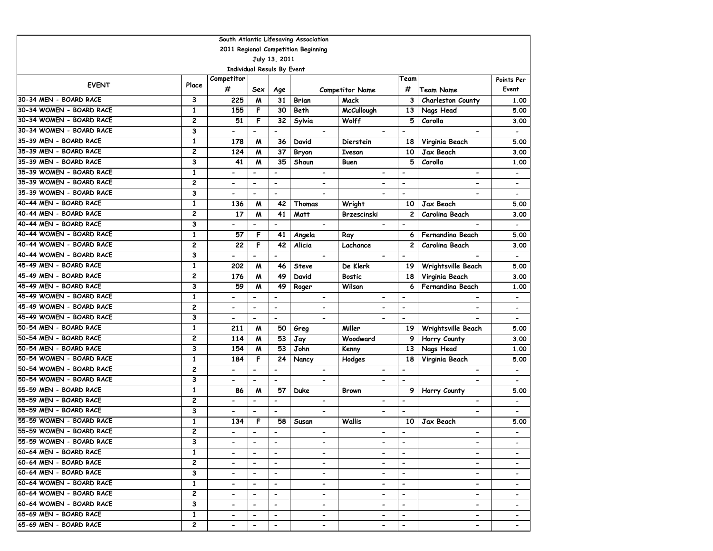| South Atlantic Lifesaving Association |               |                                   |                              |                              |                                                                                                                                                   |                              |                          |                              |                              |  |  |  |
|---------------------------------------|---------------|-----------------------------------|------------------------------|------------------------------|---------------------------------------------------------------------------------------------------------------------------------------------------|------------------------------|--------------------------|------------------------------|------------------------------|--|--|--|
| 2011 Regional Competition Beginning   |               |                                   |                              |                              |                                                                                                                                                   |                              |                          |                              |                              |  |  |  |
|                                       | July 13, 2011 |                                   |                              |                              |                                                                                                                                                   |                              |                          |                              |                              |  |  |  |
|                                       |               | <b>Individual Resuls By Event</b> |                              |                              |                                                                                                                                                   |                              |                          |                              |                              |  |  |  |
| <b>EVENT</b>                          | Place         | Competitor                        |                              |                              |                                                                                                                                                   |                              | Team                     |                              | Points Per                   |  |  |  |
|                                       |               | #                                 | Sex                          | Age                          |                                                                                                                                                   | <b>Competitor Name</b>       | #                        | <b>Team Name</b>             | Event                        |  |  |  |
| 30-34 MEN - BOARD RACE                | 3             | 225                               | M                            | 31                           | Brian                                                                                                                                             | Mack                         | З                        | Charleston County            | 1.00                         |  |  |  |
| 30-34 WOMEN - BOARD RACE              | $\mathbf{1}$  | 155                               | F                            | 30                           | Beth                                                                                                                                              | <b>McCullough</b>            | 13                       | Nags Head                    | 5.00                         |  |  |  |
| 30-34 WOMEN - BOARD RACE              | 2             | 51                                | F                            | 32                           | Sylvia                                                                                                                                            | Wolff                        | 5                        | Corolla                      | 3.00                         |  |  |  |
| 30-34 WOMEN - BOARD RACE              | 3             | $\blacksquare$                    | $\overline{\phantom{a}}$     | $\blacksquare$               | $\blacksquare$                                                                                                                                    |                              | $\overline{\phantom{a}}$ |                              | $\overline{\phantom{a}}$     |  |  |  |
| 35-39 MEN - BOARD RACE                | $\mathbf{1}$  | 178                               | M                            | 36                           | David                                                                                                                                             | <b>Dierstein</b>             | 18                       | Virginia Beach               | 5.00                         |  |  |  |
| 35-39 MEN - BOARD RACE                | 2             | 124                               | M                            | 37                           | Bryon                                                                                                                                             | <b>Iveson</b>                | 10                       | <b>Jax Beach</b>             | 3.00                         |  |  |  |
| 35-39 MEN - BOARD RACE                | 3             | 41                                | M                            | 35                           | Shaun                                                                                                                                             | Buen                         | 5                        | Corolla                      | 1.00                         |  |  |  |
| 35-39 WOMEN - BOARD RACE              | $\mathbf{1}$  | $\blacksquare$                    | $\overline{\phantom{0}}$     | $\overline{a}$               | $\blacksquare$                                                                                                                                    | $\qquad \qquad \blacksquare$ | $\overline{\phantom{a}}$ | $\overline{\phantom{0}}$     | $\qquad \qquad \blacksquare$ |  |  |  |
| 35-39 WOMEN - BOARD RACE              | 2             | $\blacksquare$                    | $\overline{\phantom{0}}$     | $\overline{a}$               | $\blacksquare$                                                                                                                                    | $\qquad \qquad \blacksquare$ | $\blacksquare$           | $\overline{\phantom{0}}$     | $\overline{\phantom{a}}$     |  |  |  |
| 35-39 WOMEN - BOARD RACE              | 3             | $\overline{\phantom{a}}$          | $\overline{\phantom{a}}$     | $\overline{\phantom{a}}$     | $\overline{\phantom{0}}$                                                                                                                          | $\blacksquare$               | $\overline{\phantom{a}}$ | $\overline{\phantom{0}}$     | $\blacksquare$               |  |  |  |
| 40-44 MEN - BOARD RACE                | $\mathbf{1}$  | 136                               | M                            | 42                           | Thomas                                                                                                                                            | Wright                       | 10                       | Jax Beach                    | 5.00                         |  |  |  |
| 40-44 MEN - BOARD RACE                | 2             | 17                                | M                            | 41                           | Matt                                                                                                                                              | Brzescinski                  | 2                        | Carolina Beach               | 3.00                         |  |  |  |
| 40-44 MEN - BOARD RACE                | 3             |                                   | $\overline{\phantom{a}}$     | $\overline{\phantom{a}}$     | $\overline{\phantom{a}}$                                                                                                                          | $\overline{\phantom{a}}$     | $\overline{\phantom{a}}$ |                              |                              |  |  |  |
| 40-44 WOMEN - BOARD RACE              | $\mathbf{1}$  | 57                                | F                            | 41                           | Angela                                                                                                                                            | Ray                          | 6                        | Fernandina Beach             | 5.00                         |  |  |  |
| 40-44 WOMEN - BOARD RACE              | 2             | 22                                | F                            | 42                           | Alicia                                                                                                                                            | Lachance                     | $\mathbf{2}$             | Carolina Beach               | 3.00                         |  |  |  |
| 40-44 WOMEN - BOARD RACE              | 3             | $\blacksquare$                    | $\overline{\phantom{0}}$     | $\blacksquare$               | $\overline{\phantom{a}}$                                                                                                                          |                              | $\blacksquare$           |                              | $\qquad \qquad \blacksquare$ |  |  |  |
| 45-49 MEN - BOARD RACE                | $\mathbf{1}$  | 202                               | M                            | 46                           | <b>Steve</b>                                                                                                                                      | De Klerk                     | 19                       | Wrightsville Beach           | 5.00                         |  |  |  |
| 45-49 MEN - BOARD RACE                | 2             | 176                               | M                            | 49                           | David                                                                                                                                             | <b>Bostic</b>                | 18                       | Virginia Beach               | 3.00                         |  |  |  |
| 45-49 MEN - BOARD RACE                | 3             | 59                                | M                            | 49                           | Roger                                                                                                                                             | Wilson                       | 6                        | Fernandina Beach             | 1.00                         |  |  |  |
| 45-49 WOMEN - BOARD RACE              | $\mathbf{1}$  | $\hbox{\small -}$                 | $\qquad \qquad \blacksquare$ | $\overline{\phantom{a}}$     | $\overline{\phantom{a}}$                                                                                                                          |                              | $\overline{\phantom{a}}$ |                              | $\overline{\phantom{a}}$     |  |  |  |
| 45-49 WOMEN - BOARD RACE              | 2             | $\blacksquare$                    | $\overline{a}$               | $\overline{\phantom{m}}$     | $\blacksquare$                                                                                                                                    | $\overline{\phantom{0}}$     | $\overline{\phantom{a}}$ | $\overline{\phantom{0}}$     | $\overline{\phantom{a}}$     |  |  |  |
| 45-49 WOMEN - BOARD RACE              | 3             | $\overline{\phantom{a}}$          | $\overline{\phantom{a}}$     | $\blacksquare$               | $\blacksquare$                                                                                                                                    | $\blacksquare$               | $\blacksquare$           | $\blacksquare$               | $\overline{\phantom{0}}$     |  |  |  |
| 50-54 MEN - BOARD RACE                | $\mathbf{1}$  | 211                               | M                            | 50                           | Greg                                                                                                                                              | Miller                       | 19                       | Wrightsville Beach           | 5.00                         |  |  |  |
| 50-54 MEN - BOARD RACE                | 2             | 114                               | M                            | 53                           | Jay                                                                                                                                               | Woodward                     | 9                        | Horry County                 | 3.00                         |  |  |  |
| 50-54 MEN - BOARD RACE                | 3             | 154                               | M                            | 53                           | John                                                                                                                                              | Kenny                        | 13                       | Nags Head                    | 1.00                         |  |  |  |
| 50-54 WOMEN - BOARD RACE              | 1             | 184                               | F                            | 24                           | Nancy                                                                                                                                             | <b>Hodges</b>                | 18                       | Virginia Beach               | 5.00                         |  |  |  |
| 50-54 WOMEN - BOARD RACE              | 2             | $\blacksquare$                    | $\overline{\phantom{0}}$     | $\qquad \qquad \blacksquare$ | $\overline{\phantom{0}}$                                                                                                                          | $\overline{\phantom{a}}$     | $\overline{\phantom{a}}$ | $\overline{\phantom{a}}$     | $\overline{\phantom{a}}$     |  |  |  |
| 50-54 WOMEN - BOARD RACE              | 3             | $\blacksquare$                    | $\blacksquare$               | $\frac{1}{2}$                | $\blacksquare$                                                                                                                                    |                              | $\overline{\phantom{a}}$ | $\overline{\phantom{0}}$     | $\overline{\phantom{a}}$     |  |  |  |
| 55-59 MEN - BOARD RACE                | $\mathbf{1}$  | 86                                | M                            | 57                           | Duke                                                                                                                                              | <b>Brown</b>                 | 9                        | Horry County                 | 5.00                         |  |  |  |
| 55-59 MEN - BOARD RACE                | 2             | $\blacksquare$                    | $\blacksquare$               | $\overline{\phantom{a}}$     | $\overline{\phantom{a}}$                                                                                                                          | $\overline{\phantom{a}}$     | $\overline{\phantom{a}}$ | $\overline{\phantom{a}}$     | $\overline{\phantom{a}}$     |  |  |  |
| 55-59 MEN - BOARD RACE                | 3             | $\blacksquare$                    | $\overline{\phantom{0}}$     | $\overline{\phantom{a}}$     | $\blacksquare$                                                                                                                                    | $\blacksquare$               | $\overline{\phantom{a}}$ |                              | $\overline{\phantom{a}}$     |  |  |  |
| 55-59 WOMEN - BOARD RACE              | $\mathbf{1}$  | 134                               | F                            | 58                           | Susan                                                                                                                                             | Wallis                       | 10                       | Jax Beach                    | 5.00                         |  |  |  |
| 55-59 WOMEN - BOARD RACE              | 2             |                                   | $\qquad \qquad \blacksquare$ | $\overline{\phantom{a}}$     | $\overline{\phantom{a}}$                                                                                                                          | $\overline{\phantom{0}}$     | $\overline{\phantom{0}}$ | $\qquad \qquad \blacksquare$ |                              |  |  |  |
| 55-59 WOMEN - BOARD RACE              | 3             | $\overline{\phantom{0}}$          | $\blacksquare$               | $\overline{\phantom{a}}$     | $\overline{\phantom{a}}$                                                                                                                          | $\qquad \qquad \blacksquare$ | $\overline{\phantom{a}}$ | -                            |                              |  |  |  |
| 60-64 MEN - BOARD RACE                | $\mathbf{1}$  | $\blacksquare$                    | $\blacksquare$               | $\blacksquare$               | $\overline{\phantom{0}}$                                                                                                                          | $\blacksquare$               | $\overline{\phantom{a}}$ | $\overline{\phantom{0}}$     |                              |  |  |  |
| 60-64 MEN - BOARD RACE                | 2             | $\blacksquare$                    | $\blacksquare$               | $\blacksquare$               | $\overline{\phantom{0}}$                                                                                                                          | $\overline{\phantom{0}}$     | $\overline{\phantom{a}}$ | $\overline{\phantom{0}}$     |                              |  |  |  |
| 60-64 MEN - BOARD RACE                | 3             | $\blacksquare$                    | $\overline{\phantom{0}}$     | $\blacksquare$               | $\overline{\phantom{0}}$                                                                                                                          | $\qquad \qquad \blacksquare$ | $\hbox{\small -}$        | $\blacksquare$               | $\overline{\phantom{0}}$     |  |  |  |
| 60-64 WOMEN - BOARD RACE              | $\mathbf{1}$  |                                   | $\overline{\phantom{a}}$     | $\overline{\phantom{a}}$     | $\qquad \qquad \blacksquare$                                                                                                                      |                              | $\hbox{\small -}$        | $\blacksquare$               |                              |  |  |  |
| 60-64 WOMEN - BOARD RACE              | 2             | $\blacksquare$                    | $\blacksquare$               | $\overline{\phantom{a}}$     | $\overline{\phantom{0}}$                                                                                                                          | $\overline{\phantom{a}}$     | $\overline{\phantom{a}}$ | $\overline{\phantom{0}}$     | $\overline{\phantom{a}}$     |  |  |  |
| 60-64 WOMEN - BOARD RACE              | 3             | $\overline{\phantom{a}}$          | $\blacksquare$               | $\overline{\phantom{a}}$     | $\blacksquare$                                                                                                                                    | $\overline{\phantom{0}}$     | $\overline{\phantom{a}}$ | $\blacksquare$               | $\overline{\phantom{a}}$     |  |  |  |
| 65-69 MEN - BOARD RACE                | $\mathbf{1}$  |                                   | $\overline{\phantom{a}}$     | $\hbox{\small -}$            | $\overline{\phantom{a}}$                                                                                                                          |                              | $\overline{\phantom{a}}$ | $\overline{\phantom{0}}$     |                              |  |  |  |
| 65-69 MEN - BOARD RACE                | 2             | $\overline{\phantom{0}}$          | $\overline{\phantom{0}}$     | $\overline{\phantom{0}}$     | $\hskip1.6pt\hskip1.6pt\hskip1.6pt\hskip1.6pt\hskip1.6pt\hskip1.6pt\hskip1.6pt\hskip1.6pt\hskip1.6pt\hskip1.6pt\hskip1.6pt\hskip1.6pt\hskip1.6pt$ | $\overline{\phantom{0}}$     | $\overline{\phantom{a}}$ | $\overline{\phantom{0}}$     |                              |  |  |  |
|                                       |               |                                   |                              |                              |                                                                                                                                                   |                              |                          |                              |                              |  |  |  |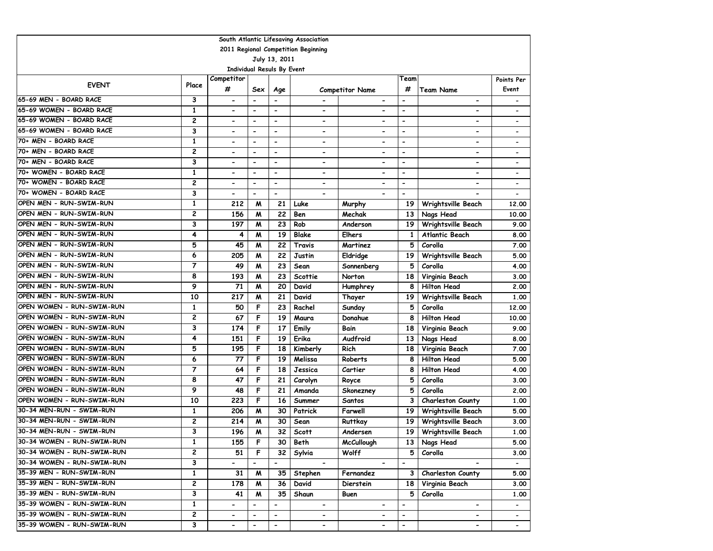| South Atlantic Lifesaving Association |                |                                   |                              |                              |                          |                              |                          |                          |                              |  |  |
|---------------------------------------|----------------|-----------------------------------|------------------------------|------------------------------|--------------------------|------------------------------|--------------------------|--------------------------|------------------------------|--|--|
| 2011 Regional Competition Beginning   |                |                                   |                              |                              |                          |                              |                          |                          |                              |  |  |
| July 13, 2011                         |                |                                   |                              |                              |                          |                              |                          |                          |                              |  |  |
|                                       |                | <b>Individual Resuls By Event</b> |                              |                              |                          |                              |                          |                          |                              |  |  |
| <b>EVENT</b>                          | Place          | Competitor                        |                              |                              |                          |                              | Team                     |                          | Points Per                   |  |  |
|                                       |                | #                                 | Sex                          | Age                          |                          | <b>Competitor Name</b>       | #                        | <b>Team Name</b>         | Event                        |  |  |
| 65-69 MEN - BOARD RACE                | 3              | $\hbox{\small -}$                 |                              | $\overline{\phantom{0}}$     |                          | $\hbox{\small -}$            | $\overline{\phantom{a}}$ | $\overline{\phantom{0}}$ |                              |  |  |
| 65-69 WOMEN - BOARD RACE              | 1              | $\overline{\phantom{a}}$          | $\qquad \qquad \blacksquare$ | $\qquad \qquad \blacksquare$ | -                        | $\qquad \qquad \blacksquare$ | $\overline{\phantom{a}}$ | -                        |                              |  |  |
| 65-69 WOMEN - BOARD RACE              | $\overline{c}$ | $\blacksquare$                    | $\overline{\phantom{a}}$     | $\blacksquare$               | -                        |                              | $\overline{a}$           | $\overline{\phantom{0}}$ | $\qquad \qquad \blacksquare$ |  |  |
| 65-69 WOMEN - BOARD RACE              | 3              | $\blacksquare$                    | $\overline{\phantom{a}}$     | $\overline{\phantom{a}}$     | $\overline{\phantom{0}}$ | $\blacksquare$               | $\overline{\phantom{a}}$ | $\overline{\phantom{0}}$ |                              |  |  |
| 70+ MEN - BOARD RACE                  | 1              | $\overline{\phantom{0}}$          | $\overline{\phantom{a}}$     | $\overline{\phantom{0}}$     | $\overline{\phantom{0}}$ | $\overline{\phantom{0}}$     | $\overline{\phantom{a}}$ | $\overline{\phantom{0}}$ | $\qquad \qquad \blacksquare$ |  |  |
| 70+ MEN - BOARD RACE                  | $\overline{c}$ | $\blacksquare$                    | $\blacksquare$               | $\blacksquare$               | -                        | $\blacksquare$               | $\blacksquare$           | $\overline{\phantom{0}}$ | $\qquad \qquad \blacksquare$ |  |  |
| 70+ MEN - BOARD RACE                  | 3              | $\blacksquare$                    | $\blacksquare$               | $\blacksquare$               | $\overline{\phantom{0}}$ | $\blacksquare$               | $\overline{\phantom{a}}$ | $\overline{\phantom{0}}$ | $\overline{\phantom{a}}$     |  |  |
| 70+ WOMEN - BOARD RACE                | 1              | $\qquad \qquad \blacksquare$      | $\qquad \qquad \blacksquare$ | $\blacksquare$               | -                        | $\qquad \qquad \blacksquare$ | $\overline{\phantom{a}}$ | -                        |                              |  |  |
| 70+ WOMEN - BOARD RACE                | $\overline{c}$ | $\overline{\phantom{a}}$          | $\overline{\phantom{0}}$     | $\overline{\phantom{a}}$     | $\overline{\phantom{0}}$ | $\hbox{\small -}$            | $\overline{\phantom{a}}$ | $\overline{a}$           | $\qquad \qquad \blacksquare$ |  |  |
| 70+ WOMEN - BOARD RACE                | 3              | $\blacksquare$                    | $\overline{\phantom{0}}$     | $\overline{a}$               |                          |                              | $\overline{a}$           |                          |                              |  |  |
| OPEN MEN - RUN-SWIM-RUN               | $\mathbf{1}$   | 212                               | M                            | 21                           | Luke                     | Murphy                       | 19                       | Wrightsville Beach       | 12,00                        |  |  |
| OPEN MEN - RUN-SWIM-RUN               | 2              | 156                               | M                            | 22                           | Ben                      | Mechak                       | 13                       | Nags Head                | 10.00                        |  |  |
| OPEN MEN - RUN-SWIM-RUN               | 3              | 197                               | M                            | 23                           | Rob                      | Anderson                     | 19                       | Wrightsville Beach       | 9.00                         |  |  |
| OPEN MEN - RUN-SWIM-RUN               | 4              | 4                                 | M                            | 19                           | <b>Blake</b>             | <b>Elhers</b>                | 1                        | <b>Atlantic Beach</b>    | 8.00                         |  |  |
| OPEN MEN - RUN-SWIM-RUN               | 5              | 45                                | M                            | 22                           | Travis                   | Martinez                     | 5                        | Corolla                  | 7.00                         |  |  |
| OPEN MEN - RUN-SWIM-RUN               | 6              | 205                               | M                            | 22                           | Justin                   | Eldridge                     | 19                       | Wrightsville Beach       | 5.00                         |  |  |
| OPEN MEN - RUN-SWIM-RUN               | $\overline{7}$ | 49                                | M                            | 23                           | Sean                     | Sonnenberg                   | 5                        | Corolla                  | 4.00                         |  |  |
| OPEN MEN - RUN-SWIM-RUN               | 8              | 193                               | M                            | 23                           | Scottie                  | Norton                       | 18                       | Virginia Beach           | 3.00                         |  |  |
| OPEN MEN - RUN-SWIM-RUN               | 9              | 71                                | M                            | 20                           | David                    | Humphrey                     | 8                        | <b>Hilton Head</b>       | 2.00                         |  |  |
| OPEN MEN - RUN-SWIM-RUN               | 10             | 217                               | M                            | 21                           | David                    | Thayer                       | 19                       | Wrightsville Beach       | 1.00                         |  |  |
| OPEN WOMEN - RUN-SWIM-RUN             | 1              | 50                                | F                            | 23                           | Rachel                   | Sunday                       | 5                        | Corolla                  | 12,00                        |  |  |
| OPEN WOMEN - RUN-SWIM-RUN             | $\overline{c}$ | 67                                | F                            | 19                           | Maura                    | Donahue                      | 8                        | <b>Hilton Head</b>       | 10.00                        |  |  |
| OPEN WOMEN - RUN-SWIM-RUN             | 3              | 174                               | F                            | 17                           | Emily                    | Bain                         | 18                       | Virginia Beach           | 9.00                         |  |  |
| OPEN WOMEN - RUN-SWIM-RUN             | 4              | 151                               | F                            | 19                           | Erika                    | Audfroid                     | 13                       | Nags Head                | 8.00                         |  |  |
| OPEN WOMEN - RUN-SWIM-RUN             | 5              | 195                               | F                            | 18                           | Kimberly                 | Rich                         | 18                       | Virginia Beach           | 7.00                         |  |  |
| OPEN WOMEN - RUN-SWIM-RUN             | 6              | 77                                | F                            | 19                           | Melissa                  | Roberts                      | 8                        | <b>Hilton Head</b>       | 5.00                         |  |  |
| OPEN WOMEN - RUN-SWIM-RUN             | 7              | 64                                | F                            | 18                           | Jessica                  | Cartier                      | 8                        | <b>Hilton Head</b>       | 4.00                         |  |  |
| OPEN WOMEN - RUN-SWIM-RUN             | 8              | 47                                | F                            | 21                           | Carolyn                  | Royce                        | 5                        | Corolla                  | 3.00                         |  |  |
| OPEN WOMEN - RUN-SWIM-RUN             | 9              | 48                                | F                            | 21                           | Amanda                   | Skonezney                    | 5                        | Corolla                  | 2.00                         |  |  |
| OPEN WOMEN - RUN-SWIM-RUN             | 10             | 223                               | F                            | 16                           | Summer                   | Santos                       | 3                        | Charleston County        | 1.00                         |  |  |
| 30-34 MEN-RUN - SWIM-RUN              | 1              | 206                               | M                            | 30                           | Patrick                  | Farwell                      | 19                       | Wrightsville Beach       | 5.00                         |  |  |
| 30-34 MEN-RUN - SWIM-RUN              | $\overline{c}$ | 214                               | M                            | 30                           | Sean                     | Ruttkay                      | 19                       | Wrightsville Beach       | 3.00                         |  |  |
| 30-34 MEN-RUN - SWIM-RUN              | 3              | 196                               | M                            | 32                           | <b>Scott</b>             | Andersen                     | 19                       | Wrightsville Beach       | 1.00                         |  |  |
| 30-34 WOMEN - RUN-SWIM-RUN            | 1              | 155                               | F                            | 30 I                         | Beth                     | <b>McCullough</b>            |                          | 13 Nags Head             | 5.00                         |  |  |
| 30-34 WOMEN - RUN-SWIM-RUN            | 2              | 51                                | F                            | 32 <sub>1</sub>              | Sylvia                   | Wolff                        | 5                        | Corolla                  | 3.00                         |  |  |
| 30-34 WOMEN - RUN-SWIM-RUN            | 3              | $\overline{\phantom{0}}$          | $\blacksquare$               | $\overline{\phantom{a}}$     | $\blacksquare$           | $\blacksquare$               | $\overline{\phantom{a}}$ | $\overline{\phantom{a}}$ | $\overline{\phantom{0}}$     |  |  |
| 35-39 MEN - RUN-SWIM-RUN              | $\mathbf{1}$   | 31                                | M                            | 35 <sub>1</sub>              | <b>Stephen</b>           | Fernandez                    | 3 <sup>1</sup>           | <b>Charleston County</b> | 5.00                         |  |  |
| 35-39 MEN - RUN-SWIM-RUN              | 2              | 178                               | M                            | 36                           | David                    | <b>Dierstein</b>             | 18                       | Virginia Beach           | 3.00                         |  |  |
| 35-39 MEN - RUN-SWIM-RUN              | 3              | 41                                | M                            | 35                           | Shaun                    | Buen                         | 5                        | Corolla                  | 1.00                         |  |  |
| 35-39 WOMEN - RUN-SWIM-RUN            | 1              | $\blacksquare$                    | $\blacksquare$               | $\blacksquare$               | $\blacksquare$           | $\overline{\phantom{a}}$     | $\overline{\phantom{a}}$ | $\blacksquare$           | $\blacksquare$               |  |  |
| 35-39 WOMEN - RUN-SWIM-RUN            | $\mathbf{2}$   | $\blacksquare$                    | $\overline{\phantom{a}}$     | $\overline{\phantom{a}}$     | $\blacksquare$           | $\hbox{\small -}$            | $\overline{\phantom{a}}$ | $\blacksquare$           | $\blacksquare$               |  |  |
| 35-39 WOMEN - RUN-SWIM-RUN            | 3              | $\hbox{\small -}$                 | $\overline{\phantom{a}}$     | $\blacksquare$               | $\blacksquare$           | $\overline{\phantom{a}}$     | $\overline{\phantom{a}}$ | $\hbox{\small -}$        | $\blacksquare$               |  |  |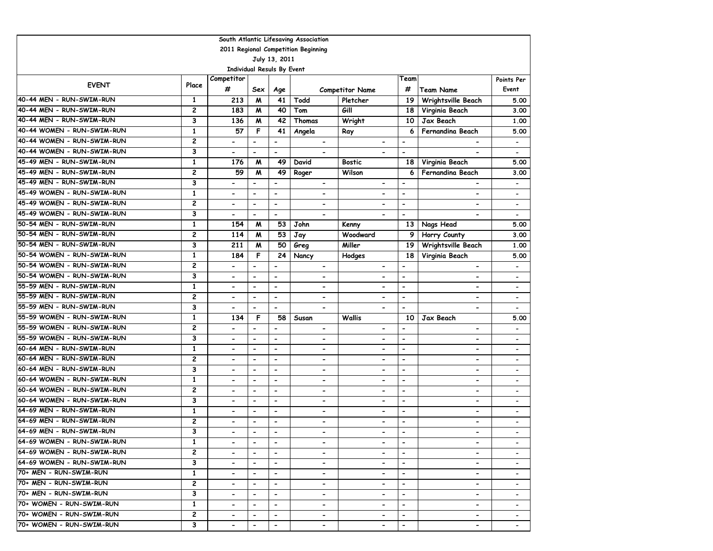| South Atlantic Lifesaving Association |               |                            |                              |                          |                              |                              |                          |                              |                              |  |  |  |
|---------------------------------------|---------------|----------------------------|------------------------------|--------------------------|------------------------------|------------------------------|--------------------------|------------------------------|------------------------------|--|--|--|
| 2011 Regional Competition Beginning   |               |                            |                              |                          |                              |                              |                          |                              |                              |  |  |  |
|                                       | July 13, 2011 |                            |                              |                          |                              |                              |                          |                              |                              |  |  |  |
|                                       |               | Individual Resuls By Event |                              |                          |                              |                              |                          |                              |                              |  |  |  |
| <b>EVENT</b>                          | Place         | Competitor                 |                              |                          |                              |                              | Team                     |                              | Points Per                   |  |  |  |
|                                       |               | #                          | Sex                          | Age                      |                              | <b>Competitor Name</b>       | #                        | Team Name                    | Event                        |  |  |  |
| 40-44 MEN - RUN-SWIM-RUN              | 1             | 213                        | M                            | 41                       | Todd                         | Pletcher                     | 19                       | Wrightsville Beach           | 5.00                         |  |  |  |
| 40-44 MEN - RUN-SWIM-RUN              | 2             | 183                        | M                            | 40                       | Tom                          | Gill                         | 18                       | Virginia Beach               | 3.00                         |  |  |  |
| 40-44 MEN - RUN-SWIM-RUN              | 3             | 136                        | M                            | 42                       | Thomas                       | Wright                       | 10                       | Jax Beach                    | 1.00                         |  |  |  |
| 40-44 WOMEN - RUN-SWIM-RUN            | $\mathbf{1}$  | 57                         | F                            | 41                       | Angela                       | Ray                          | 6                        | Fernandina Beach             | 5.00                         |  |  |  |
| 40-44 WOMEN - RUN-SWIM-RUN            | 2             | $\overline{\phantom{a}}$   | $\overline{\phantom{0}}$     | $\blacksquare$           | $\overline{\phantom{0}}$     | $\overline{\phantom{0}}$     | $\overline{\phantom{a}}$ | $\overline{\phantom{0}}$     | $\overline{\phantom{a}}$     |  |  |  |
| 40-44 WOMEN - RUN-SWIM-RUN            | 3             | $\overline{\phantom{a}}$   | $\qquad \qquad \blacksquare$ | $\overline{\phantom{a}}$ | $\blacksquare$               | $\overline{a}$               | $\overline{\phantom{a}}$ |                              | $\qquad \qquad \blacksquare$ |  |  |  |
| 45-49 MEN - RUN-SWIM-RUN              | 1             | 176                        | M                            | 49                       | David                        | Bostic                       | 18                       | Virginia Beach               | 5.00                         |  |  |  |
| 45-49 MEN - RUN-SWIM-RUN              | 2             | 59                         | M                            | 49                       | Roger                        | Wilson                       | 6                        | Fernandina Beach             | 3.00                         |  |  |  |
| 45-49 MEN - RUN-SWIM-RUN              | 3             | $\blacksquare$             | $\overline{a}$               | $\overline{\phantom{m}}$ | $\overline{\phantom{a}}$     | $\qquad \qquad \blacksquare$ | $\overline{\phantom{a}}$ |                              |                              |  |  |  |
| 45-49 WOMEN - RUN-SWIM-RUN            | $\mathbf{1}$  | $\overline{\phantom{0}}$   | $\overline{\phantom{0}}$     | $\overline{a}$           |                              | $\overline{\phantom{0}}$     | $\overline{\phantom{a}}$ | $\qquad \qquad \blacksquare$ |                              |  |  |  |
| 45-49 WOMEN - RUN-SWIM-RUN            | 2             | $\overline{\phantom{a}}$   | $\overline{\phantom{0}}$     | $\overline{\phantom{a}}$ | $\overline{\phantom{0}}$     | $\blacksquare$               | $\overline{\phantom{a}}$ | $\overline{\phantom{0}}$     | $\overline{\phantom{a}}$     |  |  |  |
| 45-49 WOMEN - RUN-SWIM-RUN            | 3             | $\blacksquare$             | $\overline{\phantom{0}}$     | $\overline{\phantom{a}}$ | $\blacksquare$               | $\overline{\phantom{0}}$     | $\overline{\phantom{a}}$ | $\qquad \qquad \blacksquare$ | $\overline{\phantom{a}}$     |  |  |  |
| 50-54 MEN - RUN-SWIM-RUN              | 1             | 154                        | M                            | 53                       | John                         | Kenny                        | 13                       | Nags Head                    | 5.00                         |  |  |  |
| 50-54 MEN - RUN-SWIM-RUN              | 2             | 114                        | M                            | 53                       | Jay                          | Woodward                     | 9                        | Horry County                 | 3.00                         |  |  |  |
| 50-54 MEN - RUN-SWIM-RUN              | 3             | 211                        | M                            | 50                       | Greg                         | Miller                       | 19                       | Wrightsville Beach           | 1.00                         |  |  |  |
| 50-54 WOMEN - RUN-SWIM-RUN            | $\mathbf{1}$  | 184                        | F                            | 24                       | Nancy                        | Hodges                       | 18                       | Virginia Beach               | 5.00                         |  |  |  |
| 50-54 WOMEN - RUN-SWIM-RUN            | 2             | $\blacksquare$             | $\qquad \qquad \blacksquare$ | $\overline{\phantom{a}}$ | $\blacksquare$               | $\overline{\phantom{0}}$     | $\blacksquare$           | $\overline{\phantom{0}}$     | $\overline{\phantom{a}}$     |  |  |  |
| 50-54 WOMEN - RUN-SWIM-RUN            | 3             | $\overline{\phantom{0}}$   | $\blacksquare$               | $\blacksquare$           | $\overline{\phantom{0}}$     | $\overline{\phantom{0}}$     | $\overline{\phantom{a}}$ | $\overline{\phantom{0}}$     | $\overline{\phantom{a}}$     |  |  |  |
| 55-59 MEN - RUN-SWIM-RUN              | $\mathbf{1}$  | $\overline{\phantom{0}}$   | $\blacksquare$               | $\blacksquare$           | $\blacksquare$               | $\overline{\phantom{0}}$     | $\blacksquare$           | $\blacksquare$               | $\overline{\phantom{a}}$     |  |  |  |
| 55-59 MEN - RUN-SWIM-RUN              | 2             | $\blacksquare$             | $\qquad \qquad \blacksquare$ | $\overline{\phantom{a}}$ | $\overline{\phantom{a}}$     | $\hbox{\small -}$            | $\hbox{\small -}$        | $\overline{\phantom{0}}$     | $\overline{\phantom{a}}$     |  |  |  |
| 55-59 MEN - RUN-SWIM-RUN              | 3             | $\blacksquare$             | $\overline{\phantom{0}}$     | $\overline{\phantom{a}}$ | $\blacksquare$               | $\overline{\phantom{a}}$     | $\blacksquare$           | $\overline{\phantom{0}}$     |                              |  |  |  |
| 55-59 WOMEN - RUN-SWIM-RUN            | 1             | 134                        | F                            | 58                       | Susan                        | <b>Wallis</b>                | 10                       | Jax Beach                    | 5.00                         |  |  |  |
| 55-59 WOMEN - RUN-SWIM-RUN            | 2             | $\overline{\phantom{a}}$   | $\qquad \qquad \blacksquare$ | $\overline{\phantom{a}}$ | $\blacksquare$               | $\qquad \qquad \blacksquare$ | $\blacksquare$           | $\overline{\phantom{0}}$     |                              |  |  |  |
| 55-59 WOMEN - RUN-SWIM-RUN            | 3             | $\overline{\phantom{a}}$   | $\qquad \qquad \blacksquare$ | $\overline{\phantom{a}}$ | $\overline{\phantom{0}}$     | $\qquad \qquad \blacksquare$ | $\overline{\phantom{a}}$ | $\qquad \qquad \blacksquare$ | $\overline{\phantom{a}}$     |  |  |  |
| 60-64 MEN - RUN-SWIM-RUN              | $\mathbf{1}$  | $\blacksquare$             | $\qquad \qquad \blacksquare$ | $\overline{\phantom{a}}$ | $\overline{\phantom{a}}$     | $\overline{\phantom{0}}$     | $\overline{\phantom{a}}$ | $\qquad \qquad \blacksquare$ | $\overline{\phantom{a}}$     |  |  |  |
| 60-64 MEN - RUN-SWIM-RUN              | 2             | $\overline{\phantom{a}}$   | $\overline{\phantom{a}}$     | $\hbox{\small -}$        | $\qquad \qquad \blacksquare$ | $\qquad \qquad \blacksquare$ | $\overline{\phantom{a}}$ | $\overline{a}$               |                              |  |  |  |
| 60-64 MEN - RUN-SWIM-RUN              | 3             | $\overline{\phantom{a}}$   | $\qquad \qquad \blacksquare$ | $\overline{\phantom{a}}$ | $\qquad \qquad \blacksquare$ | $\qquad \qquad \blacksquare$ | $\overline{\phantom{a}}$ | $\qquad \qquad \blacksquare$ | $\overline{\phantom{a}}$     |  |  |  |
| 60-64 WOMEN - RUN-SWIM-RUN            | $\mathbf{1}$  | $\blacksquare$             | $\qquad \qquad \blacksquare$ | $\overline{\phantom{a}}$ | $\qquad \qquad \blacksquare$ | $\qquad \qquad \blacksquare$ | $\overline{\phantom{a}}$ | $\overline{a}$               | $\overline{\phantom{a}}$     |  |  |  |
| 60-64 WOMEN - RUN-SWIM-RUN            | 2             |                            | $\overline{a}$               | $\overline{\phantom{a}}$ | $\blacksquare$               | $\overline{\phantom{0}}$     | $\overline{\phantom{a}}$ | $\blacksquare$               | $\overline{\phantom{a}}$     |  |  |  |
| 60-64 WOMEN - RUN-SWIM-RUN            | 3             | $\overline{\phantom{0}}$   | $\blacksquare$               | $\blacksquare$           | $\overline{\phantom{0}}$     | $\overline{\phantom{0}}$     | $\overline{\phantom{a}}$ | $\overline{\phantom{0}}$     | $\overline{\phantom{a}}$     |  |  |  |
| 64-69 MEN - RUN-SWIM-RUN              | $\mathbf{1}$  | $\blacksquare$             | $\blacksquare$               | $\blacksquare$           | $\blacksquare$               | $\overline{\phantom{0}}$     | $\blacksquare$           | $\overline{\phantom{0}}$     | $\qquad \qquad \blacksquare$ |  |  |  |
| 64-69 MEN - RUN-SWIM-RUN              | 2             | $\overline{\phantom{0}}$   | $\qquad \qquad \blacksquare$ | $\overline{\phantom{a}}$ | $\blacksquare$               | $\qquad \qquad \blacksquare$ | $\overline{\phantom{a}}$ | $\blacksquare$               | $\overline{\phantom{a}}$     |  |  |  |
| 64-69 MEN - RUN-SWIM-RUN              | 3             |                            | $\blacksquare$               | $\overline{\phantom{a}}$ | $\blacksquare$               | $\overline{\phantom{0}}$     | $\overline{\phantom{0}}$ | $\blacksquare$               |                              |  |  |  |
| 64-69 WOMEN - RUN-SWIM-RUN            | 1             | $\blacksquare$             | $\overline{\phantom{a}}$     | $\overline{\phantom{a}}$ |                              | $\overline{\phantom{a}}$     |                          | $\qquad \qquad \blacksquare$ |                              |  |  |  |
| 64-69 WOMEN - RUN-SWIM-RUN            | $\mathbf{2}$  | $\overline{\phantom{0}}$   | $\blacksquare$               | $\blacksquare$           | $\overline{\phantom{0}}$     | $\overline{\phantom{0}}$     | $\blacksquare$           | $\overline{\phantom{0}}$     |                              |  |  |  |
| 64-69 WOMEN - RUN-SWIM-RUN            | 3             | $\overline{\phantom{a}}$   | $\hbox{\small -}$            | $\overline{\phantom{a}}$ | $\overline{\phantom{0}}$     | $\hbox{\small -}$            | $\hbox{\small -}$        | $\overline{\phantom{a}}$     |                              |  |  |  |
| 70+ MEN - RUN-SWIM-RUN                | $\mathbf{1}$  | $\blacksquare$             | $\overline{\phantom{0}}$     | $\blacksquare$           | -                            | $\hbox{\small -}$            | $\hbox{\small -}$        | -                            |                              |  |  |  |
| 70+ MEN - RUN-SWIM-RUN                | 2             | $\blacksquare$             | $\hbox{\small -}$            | $\overline{\phantom{a}}$ | $\qquad \qquad \blacksquare$ | $\qquad \qquad \blacksquare$ | $\overline{\phantom{a}}$ | $\overline{\phantom{a}}$     | $\overline{\phantom{a}}$     |  |  |  |
| 70+ MEN - RUN-SWIM-RUN                | 3             |                            | $\hbox{\small -}$            | $\overline{\phantom{a}}$ |                              |                              | $\overline{\phantom{a}}$ | $\qquad \qquad \blacksquare$ |                              |  |  |  |
| 70+ WOMEN - RUN-SWIM-RUN              | 1             | $\hbox{\small -}$          | $\hbox{\small -}$            | $\blacksquare$           | $\hbox{\small -}$            | $\qquad \qquad \blacksquare$ |                          | $\overline{\phantom{a}}$     |                              |  |  |  |
| 70+ WOMEN - RUN-SWIM-RUN              | 2             | $\overline{\phantom{a}}$   | $\blacksquare$               | $\overline{\phantom{a}}$ | $\overline{\phantom{a}}$     | $\qquad \qquad \blacksquare$ | $\hbox{\small -}$        | $\qquad \qquad \blacksquare$ |                              |  |  |  |
| 70+ WOMEN - RUN-SWIM-RUN              | 3             | $\hbox{\small -}$          | $\hbox{\small -}$            | $\blacksquare$           | $\overline{\phantom{a}}$     | $\blacksquare$               | $\hbox{\small -}$        | $\qquad \qquad \blacksquare$ |                              |  |  |  |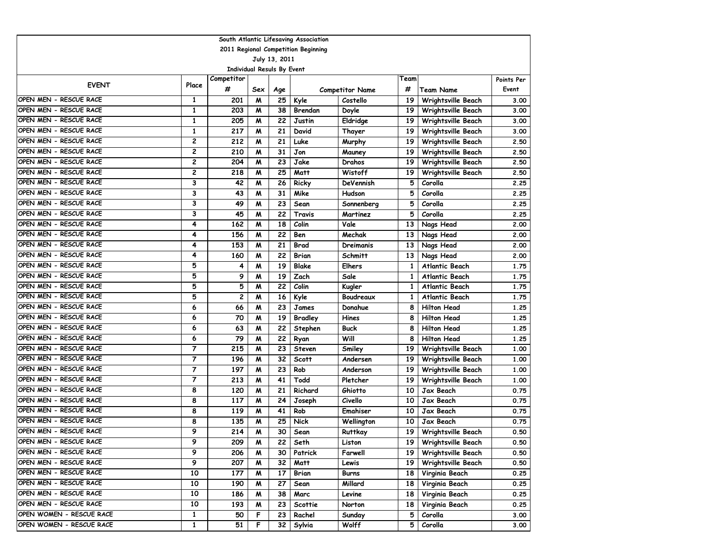| 2011 Regional Competition Beginning<br>July 13, 2011<br><b>Individual Resuls By Event</b><br>Competitor<br>Team<br>Points Per<br><b>EVENT</b><br>Place<br>#<br>#<br>Event<br><b>Competitor Name</b><br>Team Name<br>Sex<br>Age<br>OPEN MEN - RESCUE RACE<br>1<br>25<br>Kyle<br>19<br>Wrightsville Beach<br>201<br>M<br>Costello<br>3.00<br>OPEN MEN - RESCUE RACE<br>1<br>203<br>M<br>38<br>19<br>Brendan<br>Wrightsville Beach<br>3.00<br>Doyle<br>OPEN MEN - RESCUE RACE<br>$\mathbf{1}$<br>205<br>22<br>M<br>19<br>Wrightsville Beach<br>Justin<br>Eldridge<br>3.00<br>OPEN MEN - RESCUE RACE<br>$\mathbf{1}$<br>217<br>21<br>M<br>David<br>19<br>Wrightsville Beach<br>Thayer<br>3.00<br>2<br>OPEN MEN - RESCUE RACE<br>212<br>21<br>M<br>Luke<br>19<br>Wrightsville Beach<br>2.50<br>Murphy<br>OPEN MEN - RESCUE RACE<br>2<br>210<br>31<br>Jon<br>19<br><b>Wrightsville Beach</b><br>2.50<br>M<br>Mauney<br>OPEN MEN - RESCUE RACE<br>2<br>204<br>23<br>Jake<br>M<br>Drahos<br>19<br>Wrightsville Beach<br>2.50<br>OPEN MEN - RESCUE RACE<br>2<br>25<br>218<br>M<br>Matt<br>Wistoff<br>19<br>Wrightsville Beach<br>2.50<br>OPEN MEN - RESCUE RACE<br>3<br>26<br>5<br>Corolla<br>42<br>Ricky<br>DeVennish<br>2.25<br>M<br>OPEN MEN - RESCUE RACE<br>3<br>31<br>5<br>Corolla<br>43<br>Mike<br>Hudson<br>M<br>2.25<br>OPEN MEN - RESCUE RACE<br>3<br>23<br>49<br>Sean<br>5<br>Corolla<br>2.25<br>M<br>Sonnenberg<br>OPEN MEN - RESCUE RACE<br>3<br>5<br>45<br>22<br>Travis<br>Martinez<br>Corolla<br>M<br>2.25<br>OPEN MEN - RESCUE RACE<br>4<br>Vale<br>162<br>18<br>Colin<br>Nags Head<br>M<br>13<br>2.00<br>OPEN MEN - RESCUE RACE<br>4<br>156<br>22<br>Ben<br>Mechak<br>13<br>Nags Head<br>M<br>OPEN MEN - RESCUE RACE<br>4<br>153<br>21<br>M<br>13<br>Nags Head<br>Brad<br>Dreimanis<br>OPEN MEN - RESCUE RACE<br>4<br>160<br>22<br>M<br>Brian<br>13<br>Nags Head<br>Schmitt<br>OPEN MEN - RESCUE RACE<br>5<br>19<br><b>Blake</b><br>4<br>M<br><b>Elhers</b><br>1<br>Atlantic Beach<br>OPEN MEN - RESCUE RACE<br>5<br>9<br>19<br>Zach<br>Sale<br>M<br>$\mathbf{1}$<br><b>Atlantic Beach</b><br>OPEN MEN - RESCUE RACE<br>5<br>5<br>M<br>22<br>Colin<br>Kugler<br>1<br>Atlantic Beach<br>OPEN MEN - RESCUE RACE<br>5<br>2<br>16<br>Kyle<br>Boudreaux<br>Atlantic Beach<br>M<br>1<br>OPEN MEN - RESCUE RACE<br>6<br>23<br>66<br>M<br>Donahue<br><b>Hilton Head</b><br>James<br>8<br>OPEN MEN - RESCUE RACE<br>6<br>70<br>19<br>M<br><b>Bradley</b><br>Hines<br>8<br><b>Hilton Head</b><br>1.25<br>OPEN MEN - RESCUE RACE<br>22<br><b>Hilton Head</b><br>6<br>63<br><b>Buck</b><br>8<br>M<br>Stephen<br>OPEN MEN - RESCUE RACE<br><b>Hilton Head</b><br>6<br>22<br>Will<br>79<br>8<br>M<br>Ryan<br>OPEN MEN - RESCUE RACE<br>7<br>215<br>23<br>Wrightsville Beach<br>M<br>Steven<br>Smiley<br>19<br>OPEN MEN - RESCUE RACE<br>7<br>196<br>32<br><b>Scott</b><br>M<br>Andersen<br>19<br>Wrightsville Beach<br>OPEN MEN - RESCUE RACE<br>$\overline{7}$<br>197<br>M<br>23<br>Rob<br>19<br>Wrightsville Beach<br>Anderson<br>$\overline{7}$<br>OPEN MEN - RESCUE RACE<br>213<br>41<br>M<br>Todd<br>Pletcher<br>Wrightsville Beach<br>19<br>OPEN MEN - RESCUE RACE<br>8<br>120<br>21<br>M<br>Richard<br>Ghiotto<br>Jax Beach<br>10<br>OPEN MEN - RESCUE RACE<br>8<br>117<br>24<br>Civello<br>10<br>Jax Beach<br>M<br>Joseph<br>8<br>OPEN MEN - RESCUE RACE<br>41<br>119<br>Rob<br>Emahiser<br>Jax Beach<br>M<br>10<br>OPEN MEN - RESCUE RACE<br>8<br>135<br>25<br><b>Nick</b><br>M<br>Wellington<br>10<br>Jax Beach<br>OPEN MEN - RESCUE RACE<br>9<br>214<br>M<br>30<br>19<br>Sean<br>Ruttkay<br>Wrightsville Beach<br>OPEN MEN - RESCUE RACE<br>9<br>209<br>Wrightsville Beach<br>Seth<br>M<br>22  <br>Liston<br>19 I<br>9<br>OPEN MEN - RESCUE RACE<br>206<br>30<br>19 <sup>1</sup><br>Wrightsville Beach<br>M<br>Patrick<br>Farwell<br>9<br>OPEN MEN - RESCUE RACE<br>207<br>32<br>19 <sup>1</sup><br>Wrightsville Beach<br>M<br>Matt<br>Lewis<br>OPEN MEN - RESCUE RACE<br>10<br>Virginia Beach<br>177<br>M<br>17<br>Brian<br><b>Burns</b><br>18 <sup>1</sup><br>OPEN MEN - RESCUE RACE<br>10<br>190<br>27<br>Sean<br>Millard<br>Virginia Beach<br>M<br>18 <sup>1</sup> | South Atlantic Lifesaving Association |    |     |   |    |      |        |    |                |      |  |  |  |
|-----------------------------------------------------------------------------------------------------------------------------------------------------------------------------------------------------------------------------------------------------------------------------------------------------------------------------------------------------------------------------------------------------------------------------------------------------------------------------------------------------------------------------------------------------------------------------------------------------------------------------------------------------------------------------------------------------------------------------------------------------------------------------------------------------------------------------------------------------------------------------------------------------------------------------------------------------------------------------------------------------------------------------------------------------------------------------------------------------------------------------------------------------------------------------------------------------------------------------------------------------------------------------------------------------------------------------------------------------------------------------------------------------------------------------------------------------------------------------------------------------------------------------------------------------------------------------------------------------------------------------------------------------------------------------------------------------------------------------------------------------------------------------------------------------------------------------------------------------------------------------------------------------------------------------------------------------------------------------------------------------------------------------------------------------------------------------------------------------------------------------------------------------------------------------------------------------------------------------------------------------------------------------------------------------------------------------------------------------------------------------------------------------------------------------------------------------------------------------------------------------------------------------------------------------------------------------------------------------------------------------------------------------------------------------------------------------------------------------------------------------------------------------------------------------------------------------------------------------------------------------------------------------------------------------------------------------------------------------------------------------------------------------------------------------------------------------------------------------------------------------------------------------------------------------------------------------------------------------------------------------------------------------------------------------------------------------------------------------------------------------------------------------------------------------------------------------------------------------------------------------------------------------------------------------------------------------------------------------------------------------------------------------------------------------------------------------------------------------------------------------------------------------------------------------------------------------------------------------------------------------------------------------------------------------------------------------------------------------------------------------------------------------------------------------------------------------------------------------------------------------------------------------------------------------|---------------------------------------|----|-----|---|----|------|--------|----|----------------|------|--|--|--|
|                                                                                                                                                                                                                                                                                                                                                                                                                                                                                                                                                                                                                                                                                                                                                                                                                                                                                                                                                                                                                                                                                                                                                                                                                                                                                                                                                                                                                                                                                                                                                                                                                                                                                                                                                                                                                                                                                                                                                                                                                                                                                                                                                                                                                                                                                                                                                                                                                                                                                                                                                                                                                                                                                                                                                                                                                                                                                                                                                                                                                                                                                                                                                                                                                                                                                                                                                                                                                                                                                                                                                                                                                                                                                                                                                                                                                                                                                                                                                                                                                                                                                                                                                                             |                                       |    |     |   |    |      |        |    |                |      |  |  |  |
|                                                                                                                                                                                                                                                                                                                                                                                                                                                                                                                                                                                                                                                                                                                                                                                                                                                                                                                                                                                                                                                                                                                                                                                                                                                                                                                                                                                                                                                                                                                                                                                                                                                                                                                                                                                                                                                                                                                                                                                                                                                                                                                                                                                                                                                                                                                                                                                                                                                                                                                                                                                                                                                                                                                                                                                                                                                                                                                                                                                                                                                                                                                                                                                                                                                                                                                                                                                                                                                                                                                                                                                                                                                                                                                                                                                                                                                                                                                                                                                                                                                                                                                                                                             |                                       |    |     |   |    |      |        |    |                |      |  |  |  |
|                                                                                                                                                                                                                                                                                                                                                                                                                                                                                                                                                                                                                                                                                                                                                                                                                                                                                                                                                                                                                                                                                                                                                                                                                                                                                                                                                                                                                                                                                                                                                                                                                                                                                                                                                                                                                                                                                                                                                                                                                                                                                                                                                                                                                                                                                                                                                                                                                                                                                                                                                                                                                                                                                                                                                                                                                                                                                                                                                                                                                                                                                                                                                                                                                                                                                                                                                                                                                                                                                                                                                                                                                                                                                                                                                                                                                                                                                                                                                                                                                                                                                                                                                                             |                                       |    |     |   |    |      |        |    |                |      |  |  |  |
|                                                                                                                                                                                                                                                                                                                                                                                                                                                                                                                                                                                                                                                                                                                                                                                                                                                                                                                                                                                                                                                                                                                                                                                                                                                                                                                                                                                                                                                                                                                                                                                                                                                                                                                                                                                                                                                                                                                                                                                                                                                                                                                                                                                                                                                                                                                                                                                                                                                                                                                                                                                                                                                                                                                                                                                                                                                                                                                                                                                                                                                                                                                                                                                                                                                                                                                                                                                                                                                                                                                                                                                                                                                                                                                                                                                                                                                                                                                                                                                                                                                                                                                                                                             |                                       |    |     |   |    |      |        |    |                |      |  |  |  |
|                                                                                                                                                                                                                                                                                                                                                                                                                                                                                                                                                                                                                                                                                                                                                                                                                                                                                                                                                                                                                                                                                                                                                                                                                                                                                                                                                                                                                                                                                                                                                                                                                                                                                                                                                                                                                                                                                                                                                                                                                                                                                                                                                                                                                                                                                                                                                                                                                                                                                                                                                                                                                                                                                                                                                                                                                                                                                                                                                                                                                                                                                                                                                                                                                                                                                                                                                                                                                                                                                                                                                                                                                                                                                                                                                                                                                                                                                                                                                                                                                                                                                                                                                                             |                                       |    |     |   |    |      |        |    |                |      |  |  |  |
|                                                                                                                                                                                                                                                                                                                                                                                                                                                                                                                                                                                                                                                                                                                                                                                                                                                                                                                                                                                                                                                                                                                                                                                                                                                                                                                                                                                                                                                                                                                                                                                                                                                                                                                                                                                                                                                                                                                                                                                                                                                                                                                                                                                                                                                                                                                                                                                                                                                                                                                                                                                                                                                                                                                                                                                                                                                                                                                                                                                                                                                                                                                                                                                                                                                                                                                                                                                                                                                                                                                                                                                                                                                                                                                                                                                                                                                                                                                                                                                                                                                                                                                                                                             |                                       |    |     |   |    |      |        |    |                |      |  |  |  |
|                                                                                                                                                                                                                                                                                                                                                                                                                                                                                                                                                                                                                                                                                                                                                                                                                                                                                                                                                                                                                                                                                                                                                                                                                                                                                                                                                                                                                                                                                                                                                                                                                                                                                                                                                                                                                                                                                                                                                                                                                                                                                                                                                                                                                                                                                                                                                                                                                                                                                                                                                                                                                                                                                                                                                                                                                                                                                                                                                                                                                                                                                                                                                                                                                                                                                                                                                                                                                                                                                                                                                                                                                                                                                                                                                                                                                                                                                                                                                                                                                                                                                                                                                                             |                                       |    |     |   |    |      |        |    |                |      |  |  |  |
|                                                                                                                                                                                                                                                                                                                                                                                                                                                                                                                                                                                                                                                                                                                                                                                                                                                                                                                                                                                                                                                                                                                                                                                                                                                                                                                                                                                                                                                                                                                                                                                                                                                                                                                                                                                                                                                                                                                                                                                                                                                                                                                                                                                                                                                                                                                                                                                                                                                                                                                                                                                                                                                                                                                                                                                                                                                                                                                                                                                                                                                                                                                                                                                                                                                                                                                                                                                                                                                                                                                                                                                                                                                                                                                                                                                                                                                                                                                                                                                                                                                                                                                                                                             |                                       |    |     |   |    |      |        |    |                |      |  |  |  |
|                                                                                                                                                                                                                                                                                                                                                                                                                                                                                                                                                                                                                                                                                                                                                                                                                                                                                                                                                                                                                                                                                                                                                                                                                                                                                                                                                                                                                                                                                                                                                                                                                                                                                                                                                                                                                                                                                                                                                                                                                                                                                                                                                                                                                                                                                                                                                                                                                                                                                                                                                                                                                                                                                                                                                                                                                                                                                                                                                                                                                                                                                                                                                                                                                                                                                                                                                                                                                                                                                                                                                                                                                                                                                                                                                                                                                                                                                                                                                                                                                                                                                                                                                                             |                                       |    |     |   |    |      |        |    |                |      |  |  |  |
|                                                                                                                                                                                                                                                                                                                                                                                                                                                                                                                                                                                                                                                                                                                                                                                                                                                                                                                                                                                                                                                                                                                                                                                                                                                                                                                                                                                                                                                                                                                                                                                                                                                                                                                                                                                                                                                                                                                                                                                                                                                                                                                                                                                                                                                                                                                                                                                                                                                                                                                                                                                                                                                                                                                                                                                                                                                                                                                                                                                                                                                                                                                                                                                                                                                                                                                                                                                                                                                                                                                                                                                                                                                                                                                                                                                                                                                                                                                                                                                                                                                                                                                                                                             |                                       |    |     |   |    |      |        |    |                |      |  |  |  |
|                                                                                                                                                                                                                                                                                                                                                                                                                                                                                                                                                                                                                                                                                                                                                                                                                                                                                                                                                                                                                                                                                                                                                                                                                                                                                                                                                                                                                                                                                                                                                                                                                                                                                                                                                                                                                                                                                                                                                                                                                                                                                                                                                                                                                                                                                                                                                                                                                                                                                                                                                                                                                                                                                                                                                                                                                                                                                                                                                                                                                                                                                                                                                                                                                                                                                                                                                                                                                                                                                                                                                                                                                                                                                                                                                                                                                                                                                                                                                                                                                                                                                                                                                                             |                                       |    |     |   |    |      |        |    |                |      |  |  |  |
|                                                                                                                                                                                                                                                                                                                                                                                                                                                                                                                                                                                                                                                                                                                                                                                                                                                                                                                                                                                                                                                                                                                                                                                                                                                                                                                                                                                                                                                                                                                                                                                                                                                                                                                                                                                                                                                                                                                                                                                                                                                                                                                                                                                                                                                                                                                                                                                                                                                                                                                                                                                                                                                                                                                                                                                                                                                                                                                                                                                                                                                                                                                                                                                                                                                                                                                                                                                                                                                                                                                                                                                                                                                                                                                                                                                                                                                                                                                                                                                                                                                                                                                                                                             |                                       |    |     |   |    |      |        |    |                |      |  |  |  |
|                                                                                                                                                                                                                                                                                                                                                                                                                                                                                                                                                                                                                                                                                                                                                                                                                                                                                                                                                                                                                                                                                                                                                                                                                                                                                                                                                                                                                                                                                                                                                                                                                                                                                                                                                                                                                                                                                                                                                                                                                                                                                                                                                                                                                                                                                                                                                                                                                                                                                                                                                                                                                                                                                                                                                                                                                                                                                                                                                                                                                                                                                                                                                                                                                                                                                                                                                                                                                                                                                                                                                                                                                                                                                                                                                                                                                                                                                                                                                                                                                                                                                                                                                                             |                                       |    |     |   |    |      |        |    |                |      |  |  |  |
|                                                                                                                                                                                                                                                                                                                                                                                                                                                                                                                                                                                                                                                                                                                                                                                                                                                                                                                                                                                                                                                                                                                                                                                                                                                                                                                                                                                                                                                                                                                                                                                                                                                                                                                                                                                                                                                                                                                                                                                                                                                                                                                                                                                                                                                                                                                                                                                                                                                                                                                                                                                                                                                                                                                                                                                                                                                                                                                                                                                                                                                                                                                                                                                                                                                                                                                                                                                                                                                                                                                                                                                                                                                                                                                                                                                                                                                                                                                                                                                                                                                                                                                                                                             |                                       |    |     |   |    |      |        |    |                |      |  |  |  |
|                                                                                                                                                                                                                                                                                                                                                                                                                                                                                                                                                                                                                                                                                                                                                                                                                                                                                                                                                                                                                                                                                                                                                                                                                                                                                                                                                                                                                                                                                                                                                                                                                                                                                                                                                                                                                                                                                                                                                                                                                                                                                                                                                                                                                                                                                                                                                                                                                                                                                                                                                                                                                                                                                                                                                                                                                                                                                                                                                                                                                                                                                                                                                                                                                                                                                                                                                                                                                                                                                                                                                                                                                                                                                                                                                                                                                                                                                                                                                                                                                                                                                                                                                                             |                                       |    |     |   |    |      |        |    |                |      |  |  |  |
|                                                                                                                                                                                                                                                                                                                                                                                                                                                                                                                                                                                                                                                                                                                                                                                                                                                                                                                                                                                                                                                                                                                                                                                                                                                                                                                                                                                                                                                                                                                                                                                                                                                                                                                                                                                                                                                                                                                                                                                                                                                                                                                                                                                                                                                                                                                                                                                                                                                                                                                                                                                                                                                                                                                                                                                                                                                                                                                                                                                                                                                                                                                                                                                                                                                                                                                                                                                                                                                                                                                                                                                                                                                                                                                                                                                                                                                                                                                                                                                                                                                                                                                                                                             |                                       |    |     |   |    |      |        |    |                |      |  |  |  |
|                                                                                                                                                                                                                                                                                                                                                                                                                                                                                                                                                                                                                                                                                                                                                                                                                                                                                                                                                                                                                                                                                                                                                                                                                                                                                                                                                                                                                                                                                                                                                                                                                                                                                                                                                                                                                                                                                                                                                                                                                                                                                                                                                                                                                                                                                                                                                                                                                                                                                                                                                                                                                                                                                                                                                                                                                                                                                                                                                                                                                                                                                                                                                                                                                                                                                                                                                                                                                                                                                                                                                                                                                                                                                                                                                                                                                                                                                                                                                                                                                                                                                                                                                                             |                                       |    |     |   |    |      |        |    |                |      |  |  |  |
|                                                                                                                                                                                                                                                                                                                                                                                                                                                                                                                                                                                                                                                                                                                                                                                                                                                                                                                                                                                                                                                                                                                                                                                                                                                                                                                                                                                                                                                                                                                                                                                                                                                                                                                                                                                                                                                                                                                                                                                                                                                                                                                                                                                                                                                                                                                                                                                                                                                                                                                                                                                                                                                                                                                                                                                                                                                                                                                                                                                                                                                                                                                                                                                                                                                                                                                                                                                                                                                                                                                                                                                                                                                                                                                                                                                                                                                                                                                                                                                                                                                                                                                                                                             |                                       |    |     |   |    |      |        |    |                |      |  |  |  |
|                                                                                                                                                                                                                                                                                                                                                                                                                                                                                                                                                                                                                                                                                                                                                                                                                                                                                                                                                                                                                                                                                                                                                                                                                                                                                                                                                                                                                                                                                                                                                                                                                                                                                                                                                                                                                                                                                                                                                                                                                                                                                                                                                                                                                                                                                                                                                                                                                                                                                                                                                                                                                                                                                                                                                                                                                                                                                                                                                                                                                                                                                                                                                                                                                                                                                                                                                                                                                                                                                                                                                                                                                                                                                                                                                                                                                                                                                                                                                                                                                                                                                                                                                                             |                                       |    |     |   |    |      |        |    |                | 2.00 |  |  |  |
|                                                                                                                                                                                                                                                                                                                                                                                                                                                                                                                                                                                                                                                                                                                                                                                                                                                                                                                                                                                                                                                                                                                                                                                                                                                                                                                                                                                                                                                                                                                                                                                                                                                                                                                                                                                                                                                                                                                                                                                                                                                                                                                                                                                                                                                                                                                                                                                                                                                                                                                                                                                                                                                                                                                                                                                                                                                                                                                                                                                                                                                                                                                                                                                                                                                                                                                                                                                                                                                                                                                                                                                                                                                                                                                                                                                                                                                                                                                                                                                                                                                                                                                                                                             |                                       |    |     |   |    |      |        |    |                | 2.00 |  |  |  |
|                                                                                                                                                                                                                                                                                                                                                                                                                                                                                                                                                                                                                                                                                                                                                                                                                                                                                                                                                                                                                                                                                                                                                                                                                                                                                                                                                                                                                                                                                                                                                                                                                                                                                                                                                                                                                                                                                                                                                                                                                                                                                                                                                                                                                                                                                                                                                                                                                                                                                                                                                                                                                                                                                                                                                                                                                                                                                                                                                                                                                                                                                                                                                                                                                                                                                                                                                                                                                                                                                                                                                                                                                                                                                                                                                                                                                                                                                                                                                                                                                                                                                                                                                                             |                                       |    |     |   |    |      |        |    |                | 2.00 |  |  |  |
|                                                                                                                                                                                                                                                                                                                                                                                                                                                                                                                                                                                                                                                                                                                                                                                                                                                                                                                                                                                                                                                                                                                                                                                                                                                                                                                                                                                                                                                                                                                                                                                                                                                                                                                                                                                                                                                                                                                                                                                                                                                                                                                                                                                                                                                                                                                                                                                                                                                                                                                                                                                                                                                                                                                                                                                                                                                                                                                                                                                                                                                                                                                                                                                                                                                                                                                                                                                                                                                                                                                                                                                                                                                                                                                                                                                                                                                                                                                                                                                                                                                                                                                                                                             |                                       |    |     |   |    |      |        |    |                | 1.75 |  |  |  |
|                                                                                                                                                                                                                                                                                                                                                                                                                                                                                                                                                                                                                                                                                                                                                                                                                                                                                                                                                                                                                                                                                                                                                                                                                                                                                                                                                                                                                                                                                                                                                                                                                                                                                                                                                                                                                                                                                                                                                                                                                                                                                                                                                                                                                                                                                                                                                                                                                                                                                                                                                                                                                                                                                                                                                                                                                                                                                                                                                                                                                                                                                                                                                                                                                                                                                                                                                                                                                                                                                                                                                                                                                                                                                                                                                                                                                                                                                                                                                                                                                                                                                                                                                                             |                                       |    |     |   |    |      |        |    |                | 1.75 |  |  |  |
|                                                                                                                                                                                                                                                                                                                                                                                                                                                                                                                                                                                                                                                                                                                                                                                                                                                                                                                                                                                                                                                                                                                                                                                                                                                                                                                                                                                                                                                                                                                                                                                                                                                                                                                                                                                                                                                                                                                                                                                                                                                                                                                                                                                                                                                                                                                                                                                                                                                                                                                                                                                                                                                                                                                                                                                                                                                                                                                                                                                                                                                                                                                                                                                                                                                                                                                                                                                                                                                                                                                                                                                                                                                                                                                                                                                                                                                                                                                                                                                                                                                                                                                                                                             |                                       |    |     |   |    |      |        |    |                | 1.75 |  |  |  |
|                                                                                                                                                                                                                                                                                                                                                                                                                                                                                                                                                                                                                                                                                                                                                                                                                                                                                                                                                                                                                                                                                                                                                                                                                                                                                                                                                                                                                                                                                                                                                                                                                                                                                                                                                                                                                                                                                                                                                                                                                                                                                                                                                                                                                                                                                                                                                                                                                                                                                                                                                                                                                                                                                                                                                                                                                                                                                                                                                                                                                                                                                                                                                                                                                                                                                                                                                                                                                                                                                                                                                                                                                                                                                                                                                                                                                                                                                                                                                                                                                                                                                                                                                                             |                                       |    |     |   |    |      |        |    |                | 1.75 |  |  |  |
|                                                                                                                                                                                                                                                                                                                                                                                                                                                                                                                                                                                                                                                                                                                                                                                                                                                                                                                                                                                                                                                                                                                                                                                                                                                                                                                                                                                                                                                                                                                                                                                                                                                                                                                                                                                                                                                                                                                                                                                                                                                                                                                                                                                                                                                                                                                                                                                                                                                                                                                                                                                                                                                                                                                                                                                                                                                                                                                                                                                                                                                                                                                                                                                                                                                                                                                                                                                                                                                                                                                                                                                                                                                                                                                                                                                                                                                                                                                                                                                                                                                                                                                                                                             |                                       |    |     |   |    |      |        |    |                | 1.25 |  |  |  |
|                                                                                                                                                                                                                                                                                                                                                                                                                                                                                                                                                                                                                                                                                                                                                                                                                                                                                                                                                                                                                                                                                                                                                                                                                                                                                                                                                                                                                                                                                                                                                                                                                                                                                                                                                                                                                                                                                                                                                                                                                                                                                                                                                                                                                                                                                                                                                                                                                                                                                                                                                                                                                                                                                                                                                                                                                                                                                                                                                                                                                                                                                                                                                                                                                                                                                                                                                                                                                                                                                                                                                                                                                                                                                                                                                                                                                                                                                                                                                                                                                                                                                                                                                                             |                                       |    |     |   |    |      |        |    |                |      |  |  |  |
|                                                                                                                                                                                                                                                                                                                                                                                                                                                                                                                                                                                                                                                                                                                                                                                                                                                                                                                                                                                                                                                                                                                                                                                                                                                                                                                                                                                                                                                                                                                                                                                                                                                                                                                                                                                                                                                                                                                                                                                                                                                                                                                                                                                                                                                                                                                                                                                                                                                                                                                                                                                                                                                                                                                                                                                                                                                                                                                                                                                                                                                                                                                                                                                                                                                                                                                                                                                                                                                                                                                                                                                                                                                                                                                                                                                                                                                                                                                                                                                                                                                                                                                                                                             |                                       |    |     |   |    |      |        |    |                | 1.25 |  |  |  |
|                                                                                                                                                                                                                                                                                                                                                                                                                                                                                                                                                                                                                                                                                                                                                                                                                                                                                                                                                                                                                                                                                                                                                                                                                                                                                                                                                                                                                                                                                                                                                                                                                                                                                                                                                                                                                                                                                                                                                                                                                                                                                                                                                                                                                                                                                                                                                                                                                                                                                                                                                                                                                                                                                                                                                                                                                                                                                                                                                                                                                                                                                                                                                                                                                                                                                                                                                                                                                                                                                                                                                                                                                                                                                                                                                                                                                                                                                                                                                                                                                                                                                                                                                                             |                                       |    |     |   |    |      |        |    |                | 1.25 |  |  |  |
|                                                                                                                                                                                                                                                                                                                                                                                                                                                                                                                                                                                                                                                                                                                                                                                                                                                                                                                                                                                                                                                                                                                                                                                                                                                                                                                                                                                                                                                                                                                                                                                                                                                                                                                                                                                                                                                                                                                                                                                                                                                                                                                                                                                                                                                                                                                                                                                                                                                                                                                                                                                                                                                                                                                                                                                                                                                                                                                                                                                                                                                                                                                                                                                                                                                                                                                                                                                                                                                                                                                                                                                                                                                                                                                                                                                                                                                                                                                                                                                                                                                                                                                                                                             |                                       |    |     |   |    |      |        |    |                | 1.00 |  |  |  |
|                                                                                                                                                                                                                                                                                                                                                                                                                                                                                                                                                                                                                                                                                                                                                                                                                                                                                                                                                                                                                                                                                                                                                                                                                                                                                                                                                                                                                                                                                                                                                                                                                                                                                                                                                                                                                                                                                                                                                                                                                                                                                                                                                                                                                                                                                                                                                                                                                                                                                                                                                                                                                                                                                                                                                                                                                                                                                                                                                                                                                                                                                                                                                                                                                                                                                                                                                                                                                                                                                                                                                                                                                                                                                                                                                                                                                                                                                                                                                                                                                                                                                                                                                                             |                                       |    |     |   |    |      |        |    |                | 1.00 |  |  |  |
|                                                                                                                                                                                                                                                                                                                                                                                                                                                                                                                                                                                                                                                                                                                                                                                                                                                                                                                                                                                                                                                                                                                                                                                                                                                                                                                                                                                                                                                                                                                                                                                                                                                                                                                                                                                                                                                                                                                                                                                                                                                                                                                                                                                                                                                                                                                                                                                                                                                                                                                                                                                                                                                                                                                                                                                                                                                                                                                                                                                                                                                                                                                                                                                                                                                                                                                                                                                                                                                                                                                                                                                                                                                                                                                                                                                                                                                                                                                                                                                                                                                                                                                                                                             |                                       |    |     |   |    |      |        |    |                | 1.00 |  |  |  |
|                                                                                                                                                                                                                                                                                                                                                                                                                                                                                                                                                                                                                                                                                                                                                                                                                                                                                                                                                                                                                                                                                                                                                                                                                                                                                                                                                                                                                                                                                                                                                                                                                                                                                                                                                                                                                                                                                                                                                                                                                                                                                                                                                                                                                                                                                                                                                                                                                                                                                                                                                                                                                                                                                                                                                                                                                                                                                                                                                                                                                                                                                                                                                                                                                                                                                                                                                                                                                                                                                                                                                                                                                                                                                                                                                                                                                                                                                                                                                                                                                                                                                                                                                                             |                                       |    |     |   |    |      |        |    |                | 1.00 |  |  |  |
|                                                                                                                                                                                                                                                                                                                                                                                                                                                                                                                                                                                                                                                                                                                                                                                                                                                                                                                                                                                                                                                                                                                                                                                                                                                                                                                                                                                                                                                                                                                                                                                                                                                                                                                                                                                                                                                                                                                                                                                                                                                                                                                                                                                                                                                                                                                                                                                                                                                                                                                                                                                                                                                                                                                                                                                                                                                                                                                                                                                                                                                                                                                                                                                                                                                                                                                                                                                                                                                                                                                                                                                                                                                                                                                                                                                                                                                                                                                                                                                                                                                                                                                                                                             |                                       |    |     |   |    |      |        |    |                | 0.75 |  |  |  |
|                                                                                                                                                                                                                                                                                                                                                                                                                                                                                                                                                                                                                                                                                                                                                                                                                                                                                                                                                                                                                                                                                                                                                                                                                                                                                                                                                                                                                                                                                                                                                                                                                                                                                                                                                                                                                                                                                                                                                                                                                                                                                                                                                                                                                                                                                                                                                                                                                                                                                                                                                                                                                                                                                                                                                                                                                                                                                                                                                                                                                                                                                                                                                                                                                                                                                                                                                                                                                                                                                                                                                                                                                                                                                                                                                                                                                                                                                                                                                                                                                                                                                                                                                                             |                                       |    |     |   |    |      |        |    |                | 0.75 |  |  |  |
|                                                                                                                                                                                                                                                                                                                                                                                                                                                                                                                                                                                                                                                                                                                                                                                                                                                                                                                                                                                                                                                                                                                                                                                                                                                                                                                                                                                                                                                                                                                                                                                                                                                                                                                                                                                                                                                                                                                                                                                                                                                                                                                                                                                                                                                                                                                                                                                                                                                                                                                                                                                                                                                                                                                                                                                                                                                                                                                                                                                                                                                                                                                                                                                                                                                                                                                                                                                                                                                                                                                                                                                                                                                                                                                                                                                                                                                                                                                                                                                                                                                                                                                                                                             |                                       |    |     |   |    |      |        |    |                | 0.75 |  |  |  |
|                                                                                                                                                                                                                                                                                                                                                                                                                                                                                                                                                                                                                                                                                                                                                                                                                                                                                                                                                                                                                                                                                                                                                                                                                                                                                                                                                                                                                                                                                                                                                                                                                                                                                                                                                                                                                                                                                                                                                                                                                                                                                                                                                                                                                                                                                                                                                                                                                                                                                                                                                                                                                                                                                                                                                                                                                                                                                                                                                                                                                                                                                                                                                                                                                                                                                                                                                                                                                                                                                                                                                                                                                                                                                                                                                                                                                                                                                                                                                                                                                                                                                                                                                                             |                                       |    |     |   |    |      |        |    |                | 0.75 |  |  |  |
|                                                                                                                                                                                                                                                                                                                                                                                                                                                                                                                                                                                                                                                                                                                                                                                                                                                                                                                                                                                                                                                                                                                                                                                                                                                                                                                                                                                                                                                                                                                                                                                                                                                                                                                                                                                                                                                                                                                                                                                                                                                                                                                                                                                                                                                                                                                                                                                                                                                                                                                                                                                                                                                                                                                                                                                                                                                                                                                                                                                                                                                                                                                                                                                                                                                                                                                                                                                                                                                                                                                                                                                                                                                                                                                                                                                                                                                                                                                                                                                                                                                                                                                                                                             |                                       |    |     |   |    |      |        |    |                | 0.50 |  |  |  |
|                                                                                                                                                                                                                                                                                                                                                                                                                                                                                                                                                                                                                                                                                                                                                                                                                                                                                                                                                                                                                                                                                                                                                                                                                                                                                                                                                                                                                                                                                                                                                                                                                                                                                                                                                                                                                                                                                                                                                                                                                                                                                                                                                                                                                                                                                                                                                                                                                                                                                                                                                                                                                                                                                                                                                                                                                                                                                                                                                                                                                                                                                                                                                                                                                                                                                                                                                                                                                                                                                                                                                                                                                                                                                                                                                                                                                                                                                                                                                                                                                                                                                                                                                                             |                                       |    |     |   |    |      |        |    |                | 0.50 |  |  |  |
|                                                                                                                                                                                                                                                                                                                                                                                                                                                                                                                                                                                                                                                                                                                                                                                                                                                                                                                                                                                                                                                                                                                                                                                                                                                                                                                                                                                                                                                                                                                                                                                                                                                                                                                                                                                                                                                                                                                                                                                                                                                                                                                                                                                                                                                                                                                                                                                                                                                                                                                                                                                                                                                                                                                                                                                                                                                                                                                                                                                                                                                                                                                                                                                                                                                                                                                                                                                                                                                                                                                                                                                                                                                                                                                                                                                                                                                                                                                                                                                                                                                                                                                                                                             |                                       |    |     |   |    |      |        |    |                | 0.50 |  |  |  |
|                                                                                                                                                                                                                                                                                                                                                                                                                                                                                                                                                                                                                                                                                                                                                                                                                                                                                                                                                                                                                                                                                                                                                                                                                                                                                                                                                                                                                                                                                                                                                                                                                                                                                                                                                                                                                                                                                                                                                                                                                                                                                                                                                                                                                                                                                                                                                                                                                                                                                                                                                                                                                                                                                                                                                                                                                                                                                                                                                                                                                                                                                                                                                                                                                                                                                                                                                                                                                                                                                                                                                                                                                                                                                                                                                                                                                                                                                                                                                                                                                                                                                                                                                                             |                                       |    |     |   |    |      |        |    |                | 0.50 |  |  |  |
|                                                                                                                                                                                                                                                                                                                                                                                                                                                                                                                                                                                                                                                                                                                                                                                                                                                                                                                                                                                                                                                                                                                                                                                                                                                                                                                                                                                                                                                                                                                                                                                                                                                                                                                                                                                                                                                                                                                                                                                                                                                                                                                                                                                                                                                                                                                                                                                                                                                                                                                                                                                                                                                                                                                                                                                                                                                                                                                                                                                                                                                                                                                                                                                                                                                                                                                                                                                                                                                                                                                                                                                                                                                                                                                                                                                                                                                                                                                                                                                                                                                                                                                                                                             |                                       |    |     |   |    |      |        |    |                | 0.25 |  |  |  |
|                                                                                                                                                                                                                                                                                                                                                                                                                                                                                                                                                                                                                                                                                                                                                                                                                                                                                                                                                                                                                                                                                                                                                                                                                                                                                                                                                                                                                                                                                                                                                                                                                                                                                                                                                                                                                                                                                                                                                                                                                                                                                                                                                                                                                                                                                                                                                                                                                                                                                                                                                                                                                                                                                                                                                                                                                                                                                                                                                                                                                                                                                                                                                                                                                                                                                                                                                                                                                                                                                                                                                                                                                                                                                                                                                                                                                                                                                                                                                                                                                                                                                                                                                                             |                                       |    |     |   |    |      |        |    |                | 0.25 |  |  |  |
|                                                                                                                                                                                                                                                                                                                                                                                                                                                                                                                                                                                                                                                                                                                                                                                                                                                                                                                                                                                                                                                                                                                                                                                                                                                                                                                                                                                                                                                                                                                                                                                                                                                                                                                                                                                                                                                                                                                                                                                                                                                                                                                                                                                                                                                                                                                                                                                                                                                                                                                                                                                                                                                                                                                                                                                                                                                                                                                                                                                                                                                                                                                                                                                                                                                                                                                                                                                                                                                                                                                                                                                                                                                                                                                                                                                                                                                                                                                                                                                                                                                                                                                                                                             | OPEN MEN - RESCUE RACE                | 10 | 186 | M | 38 | Marc | Levine | 18 | Virginia Beach | 0.25 |  |  |  |
| OPEN MEN - RESCUE RACE<br>10<br>193<br>23<br>M<br>Scottie<br>18<br>Virginia Beach<br>Norton                                                                                                                                                                                                                                                                                                                                                                                                                                                                                                                                                                                                                                                                                                                                                                                                                                                                                                                                                                                                                                                                                                                                                                                                                                                                                                                                                                                                                                                                                                                                                                                                                                                                                                                                                                                                                                                                                                                                                                                                                                                                                                                                                                                                                                                                                                                                                                                                                                                                                                                                                                                                                                                                                                                                                                                                                                                                                                                                                                                                                                                                                                                                                                                                                                                                                                                                                                                                                                                                                                                                                                                                                                                                                                                                                                                                                                                                                                                                                                                                                                                                                 |                                       |    |     |   |    |      |        |    |                | 0.25 |  |  |  |
| OPEN WOMEN - RESCUE RACE<br>$\mathbf{1}$<br>50<br>F<br>23<br>Corolla<br>Rachel<br>5<br>Sunday                                                                                                                                                                                                                                                                                                                                                                                                                                                                                                                                                                                                                                                                                                                                                                                                                                                                                                                                                                                                                                                                                                                                                                                                                                                                                                                                                                                                                                                                                                                                                                                                                                                                                                                                                                                                                                                                                                                                                                                                                                                                                                                                                                                                                                                                                                                                                                                                                                                                                                                                                                                                                                                                                                                                                                                                                                                                                                                                                                                                                                                                                                                                                                                                                                                                                                                                                                                                                                                                                                                                                                                                                                                                                                                                                                                                                                                                                                                                                                                                                                                                               |                                       |    |     |   |    |      |        |    |                | 3.00 |  |  |  |
| OPEN WOMEN - RESCUE RACE<br>$\mathbf{1}$<br>51<br>F<br>32 <sub>2</sub><br>Wolff<br>Sylvia<br>5<br>Corolla                                                                                                                                                                                                                                                                                                                                                                                                                                                                                                                                                                                                                                                                                                                                                                                                                                                                                                                                                                                                                                                                                                                                                                                                                                                                                                                                                                                                                                                                                                                                                                                                                                                                                                                                                                                                                                                                                                                                                                                                                                                                                                                                                                                                                                                                                                                                                                                                                                                                                                                                                                                                                                                                                                                                                                                                                                                                                                                                                                                                                                                                                                                                                                                                                                                                                                                                                                                                                                                                                                                                                                                                                                                                                                                                                                                                                                                                                                                                                                                                                                                                   |                                       |    |     |   |    |      |        |    |                | 3.00 |  |  |  |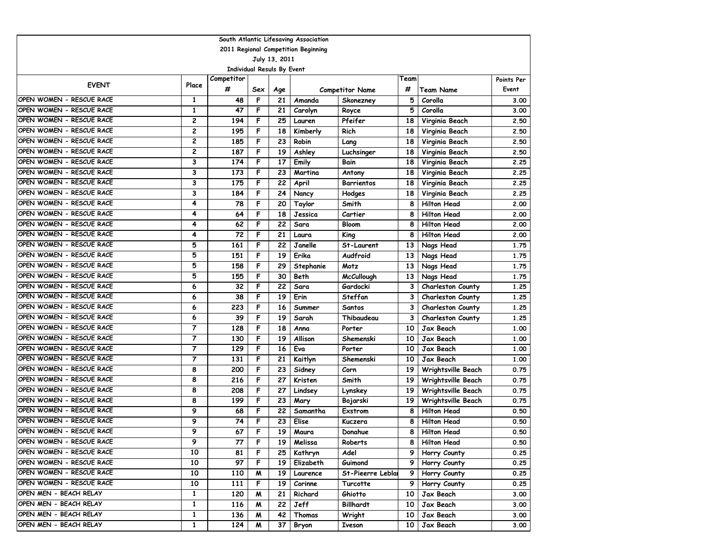| South Atlantic Lifesaving Association |                |                  |     |     |           |                        |      |                          |            |  |  |  |
|---------------------------------------|----------------|------------------|-----|-----|-----------|------------------------|------|--------------------------|------------|--|--|--|
| 2011 Regional Competition Beginning   |                |                  |     |     |           |                        |      |                          |            |  |  |  |
| July 13, 2011                         |                |                  |     |     |           |                        |      |                          |            |  |  |  |
| <b>Individual Resuls By Event</b>     |                |                  |     |     |           |                        |      |                          |            |  |  |  |
| <b>EVENT</b>                          | Place          | Competitor       |     |     |           |                        | Team |                          | Points Per |  |  |  |
|                                       |                | #                | Sex | Age |           | <b>Competitor Name</b> | #    | <b>Team Name</b>         | Event      |  |  |  |
| OPEN WOMEN - RESCUE RACE              | 1              | 48               | F   | 21  | Amanda    | Skonezney              | 5    | Corolla                  | 3.00       |  |  |  |
| OPEN WOMEN - RESCUE RACE              | $\mathbf{1}$   | 47               | F   | 21  | Carolyn   | Royce                  | 5    | Corolla                  | 3.00       |  |  |  |
| OPEN WOMEN - RESCUE RACE              | 2              | 194              | F   | 25  | Lauren    | Pfeifer                | 18   | Virginia Beach           | 2.50       |  |  |  |
| OPEN WOMEN - RESCUE RACE              | 2              | 195              | F   | 18  | Kimberly  | Rich                   | 18   | Virginia Beach           | 2.50       |  |  |  |
| OPEN WOMEN - RESCUE RACE              | 2              | 185              | F   | 23  | Robin     | Lang                   | 18   | Virginia Beach           | 2.50       |  |  |  |
| OPEN WOMEN - RESCUE RACE              | 2              | 187              | F   | 19  | Ashley    | Luchsinger             | 18   | Virginia Beach           | 2.50       |  |  |  |
| OPEN WOMEN - RESCUE RACE              | 3              | 174              | F   | 17  | Emily     | Bain                   | 18   | Virginia Beach           | 2.25       |  |  |  |
| OPEN WOMEN - RESCUE RACE              | 3              | 173              | F   | 23  | Martina   | Antony                 | 18   | Virginia Beach           | 2.25       |  |  |  |
| OPEN WOMEN - RESCUE RACE              | 3              | 175              | F   | 22  | April     | <b>Barrientos</b>      | 18   | Virginia Beach           | 2.25       |  |  |  |
| OPEN WOMEN - RESCUE RACE              | 3              | 184              | F   | 24  | Nancy     | <b>Hodges</b>          | 18   | Virginia Beach           | 2.25       |  |  |  |
| OPEN WOMEN - RESCUE RACE              | 4              | 78               | F   | 20  | Taylor    | Smith                  | 8    | <b>Hilton Head</b>       | 2.00       |  |  |  |
| OPEN WOMEN - RESCUE RACE              | 4              | 64               | F   | 18  | Jessica   | Cartier                | 8    | <b>Hilton Head</b>       | 2.00       |  |  |  |
| OPEN WOMEN - RESCUE RACE              | 4              | 62               | F   | 22  | Sara      | <b>Bloom</b>           | 8    | <b>Hilton Head</b>       | 2.00       |  |  |  |
| OPEN WOMEN - RESCUE RACE              | 4              | 72               | F   | 21  | Laura     | King                   | 8    | <b>Hilton Head</b>       | 2.00       |  |  |  |
| OPEN WOMEN - RESCUE RACE              | 5              | 161              | F   | 22  | Janelle   | St-Laurent             | 13   | Nags Head                | 1.75       |  |  |  |
| OPEN WOMEN - RESCUE RACE              | 5              | 151              | F   | 19  | Erika     | Audfroid               | 13   | Nags Head                | 1.75       |  |  |  |
| OPEN WOMEN - RESCUE RACE              | 5              | 158              | F   | 29  | Stephanie | Motz                   | 13   | Nags Head                | 1.75       |  |  |  |
| OPEN WOMEN - RESCUE RACE              | 5              | 155              | F   | 30  | Beth      | <b>McCullough</b>      | 13   | Nags Head                | 1.75       |  |  |  |
| OPEN WOMEN - RESCUE RACE              | 6              | 32               | F   | 22  | Sara      | Gardocki               | 3    | Charleston County        | 1.25       |  |  |  |
| OPEN WOMEN - RESCUE RACE              | 6              | 38               | F   | 19  | Erin      | Steffan                | 3    | <b>Charleston County</b> | 1.25       |  |  |  |
| OPEN WOMEN - RESCUE RACE              | 6              | 223              | F   | 16  | Summer    | <b>Santos</b>          | 3    | <b>Charleston County</b> | 1.25       |  |  |  |
| OPEN WOMEN - RESCUE RACE              | 6              | 39               | F   | 19  | Sarah     | Thibaudeau             | 3    | Charleston County        | 1.25       |  |  |  |
| OPEN WOMEN - RESCUE RACE              | $\overline{7}$ | 128              | F   | 18  | Anna      | Porter                 | 10   | Jax Beach                | 1.00       |  |  |  |
| OPEN WOMEN - RESCUE RACE              | 7              | 130              | F   | 19  | Allison   | Shemenski              | 10   | Jax Beach                | 1.00       |  |  |  |
| OPEN WOMEN - RESCUE RACE              | $\overline{7}$ | 129              | F   | 16  | Eva       | Porter                 | 10   | Jax Beach                | 1.00       |  |  |  |
| OPEN WOMEN - RESCUE RACE              | $\overline{7}$ | 131              | F   | 21  | Kaitlyn   | Shemenski              | 10   | Jax Beach                | 1.00       |  |  |  |
| OPEN WOMEN - RESCUE RACE              | 8              | 200              | F   | 23  | Sidney    | Corn                   | 19   | Wrightsville Beach       | 0.75       |  |  |  |
| OPEN WOMEN - RESCUE RACE              | 8              | 216              | F   | 27  | Kristen   | Smith                  | 19   | Wrightsville Beach       | 0.75       |  |  |  |
| OPEN WOMEN - RESCUE RACE              | 8              | 208              | F   | 27  | Lindsey   | Lynskey                | 19   | Wrightsville Beach       | 0.75       |  |  |  |
| OPEN WOMEN - RESCUE RACE              | 8              | 199              | F   | 23  | Mary      | Bojarski               | 19   | Wrightsville Beach       | 0.75       |  |  |  |
| OPEN WOMEN - RESCUE RACE              | 9              | 68               | F   | 22  | Samantha  | Exstrom                | 8    | <b>Hilton Head</b>       | 0.50       |  |  |  |
| OPEN WOMEN - RESCUE RACE              | 9              | 74               | F   | 23  | Elise     | Kuczera                | 8    | <b>Hilton Head</b>       | 0.50       |  |  |  |
| OPEN WOMEN - RESCUE RACE              | 9              | 67               | F   | 19  | Maura     | Donahue                | 8    | <b>Hilton Head</b>       | 0.50       |  |  |  |
| OPEN WOMEN - RESCUE RACE              | 9              | 77               | F   | 19  | Melissa   | Roberts                | 8    | <b>Hilton Head</b>       | 0.50       |  |  |  |
| OPEN WOMEN - RESCUE RACE              | 10             | 81               | F   | 25  | Kathryn   | Adel                   | 9    | Horry County             | 0.25       |  |  |  |
| OPEN WOMEN - RESCUE RACE              | 10             | 97               | F   | 19  | Elizabeth | Guimond                | 9    | Horry County             | 0.25       |  |  |  |
| OPEN WOMEN - RESCUE RACE              | 10             | 110              | M   | 19  | Laurence  | St-Pieerre Leblai      | 9    | Horry County             | 0.25       |  |  |  |
| OPEN WOMEN - RESCUE RACE              | 10             | 111              | F   | 19  | Corinne   | Turcotte               | 9    | Horry County             | 0.25       |  |  |  |
| OPEN MEN - BEACH RELAY                | 1              | 120              | M   | 21  | Richard   | Ghiotto                | 10   | Jax Beach                | 3.00       |  |  |  |
| OPEN MEN - BEACH RELAY                | $\mathbf{1}$   | 116              | M   | 22  | Jeff      | Billhardt              | 10   | Jax Beach                | 3.00       |  |  |  |
| OPEN MEN - BEACH RELAY                | 1              | $\overline{136}$ | M   | 42  | Thomas    | Wright                 | 10   | Jax Beach                | 3.00       |  |  |  |
| OPEN MEN - BEACH RELAY                | $\mathbf{1}$   | 124              | M   | 37  | Bryon     | Iveson                 | 10   | Jax Beach                | 3.00       |  |  |  |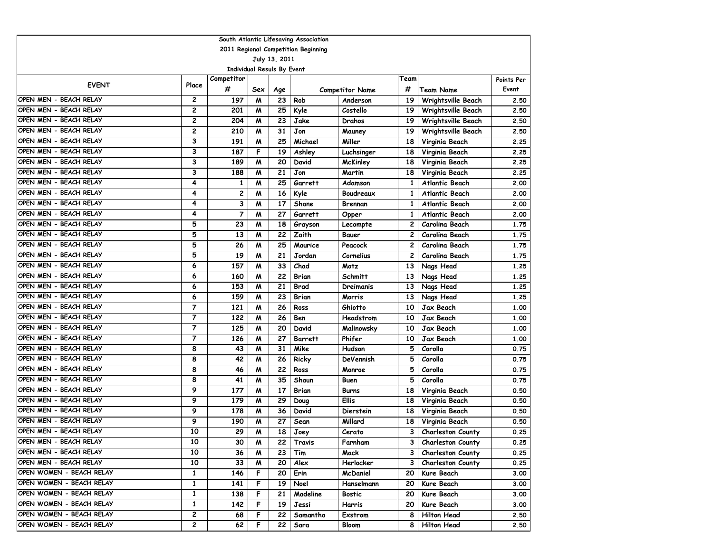| South Atlantic Lifesaving Association |                |                                   |     |     |                |                        |      |                          |            |  |  |  |
|---------------------------------------|----------------|-----------------------------------|-----|-----|----------------|------------------------|------|--------------------------|------------|--|--|--|
| 2011 Regional Competition Beginning   |                |                                   |     |     |                |                        |      |                          |            |  |  |  |
| July 13, 2011                         |                |                                   |     |     |                |                        |      |                          |            |  |  |  |
|                                       |                | <b>Individual Resuls By Event</b> |     |     |                |                        |      |                          |            |  |  |  |
| <b>EVENT</b>                          | Place          | Competitor                        |     |     |                |                        | Team |                          | Points Per |  |  |  |
|                                       |                | #                                 | Sex | Age |                | <b>Competitor Name</b> | #    | Team Name                | Event      |  |  |  |
| OPEN MEN - BEACH RELAY                | 2              | 197                               | M   | 23  | Rob            | Anderson               | 19   | Wrightsville Beach       | 2.50       |  |  |  |
| OPEN MEN - BEACH RELAY                | 2              | 201                               | M   | 25  | Kyle           | Costello               | 19   | Wrightsville Beach       | 2.50       |  |  |  |
| OPEN MEN - BEACH RELAY                | 2              | 204                               | M   | 23  | Jake           | Drahos                 | 19   | Wrightsville Beach       | 2.50       |  |  |  |
| OPEN MEN - BEACH RELAY                | 2              | 210                               | M   | 31  | Jon            | Mauney                 | 19   | Wrightsville Beach       | 2.50       |  |  |  |
| OPEN MEN - BEACH RELAY                | 3              | 191                               | M   | 25  | Michael        | Miller                 | 18   | Virginia Beach           | 2.25       |  |  |  |
| OPEN MEN - BEACH RELAY                | 3              | 187                               | F   | 19  | Ashley         | Luchsinger             | 18   | Virginia Beach           | 2.25       |  |  |  |
| OPEN MEN - BEACH RELAY                | 3              | 189                               | M   | 20  | David          | McKinley               | 18   | Virginia Beach           | 2.25       |  |  |  |
| OPEN MEN - BEACH RELAY                | 3              | 188                               | M   | 21  | Jon            | Martin                 | 18   | Virginia Beach           | 2.25       |  |  |  |
| OPEN MEN - BEACH RELAY                | 4              | 1                                 | M   | 25  | Garrett        | Adamson                | 1    | <b>Atlantic Beach</b>    | 2.00       |  |  |  |
| OPEN MEN - BEACH RELAY                | 4              | 2                                 | M   | 16  | Kyle           | Boudreaux              | 1    | <b>Atlantic Beach</b>    | 2.00       |  |  |  |
| OPEN MEN - BEACH RELAY                | 4              | 3                                 | M   | 17  | Shane          | Brennan                | 1    | <b>Atlantic Beach</b>    | 2.00       |  |  |  |
| OPEN MEN - BEACH RELAY                | 4              | $\overline{7}$                    | M   | 27  | Garrett        | Opper                  | 1    | <b>Atlantic Beach</b>    | 2.00       |  |  |  |
| OPEN MEN - BEACH RELAY                | 5              | 23                                | M   | 18  | Grayson        | Lecompte               | 2    | Carolina Beach           | 1.75       |  |  |  |
| OPEN MEN - BEACH RELAY                | 5              | 13                                | M   | 22  | Zaith          | Bauer                  | 2    | Carolina Beach           | 1.75       |  |  |  |
| OPEN MEN - BEACH RELAY                | 5              | 26                                | M   | 25  | Maurice        | Peacock                | 2    | Carolina Beach           | 1.75       |  |  |  |
| OPEN MEN - BEACH RELAY                | 5              | 19                                | M   | 21  | Jordan         | Cornelius              | 2    | Carolina Beach           | 1.75       |  |  |  |
| OPEN MEN - BEACH RELAY                | 6              | 157                               | M   | 33  | Chad           | Motz                   | 13   | Nags Head                | 1.25       |  |  |  |
| OPEN MEN - BEACH RELAY                | 6              | 160                               | M   | 22  | Brian          | Schmitt                | 13   | Nags Head                | 1.25       |  |  |  |
| OPEN MEN - BEACH RELAY                | 6              | 153                               | M   | 21  | Brad           | Dreimanis              | 13   | Nags Head                | 1.25       |  |  |  |
| OPEN MEN - BEACH RELAY                | 6              | 159                               | M   | 23  | Brian          | Morris                 | 13   | Nags Head                | 1.25       |  |  |  |
| OPEN MEN - BEACH RELAY                | $\overline{7}$ | 121                               | M   | 26  | Ross           | Ghiotto                | 10   | Jax Beach                | 1.00       |  |  |  |
| OPEN MEN - BEACH RELAY                | $\overline{7}$ | 122                               | M   | 26  | Ben            | Headstrom              | 10   | Jax Beach                | 1.00       |  |  |  |
| OPEN MEN - BEACH RELAY                | 7              | 125                               | M   | 20  | David          | Malinowsky             | 10   | Jax Beach                | 1.00       |  |  |  |
| OPEN MEN - BEACH RELAY                | 7              | 126                               | M   | 27  | <b>Barrett</b> | Phifer                 | 10   | Jax Beach                | 1.00       |  |  |  |
| OPEN MEN - BEACH RELAY                | 8              | 43                                | M   | 31  | Mike           | Hudson                 | 5    | Corolla                  | 0.75       |  |  |  |
| OPEN MEN - BEACH RELAY                | 8              | 42                                | M   | 26  | Ricky          | DeVennish              | 5    | Corolla                  | 0.75       |  |  |  |
| OPEN MEN - BEACH RELAY                | 8              | 46                                | M   | 22  | Ross           | Monroe                 | 5    | Corolla                  | 0.75       |  |  |  |
| OPEN MEN - BEACH RELAY                | 8              | 41                                | M   | 35  | Shaun          | Buen                   | 5    | Corolla                  | 0.75       |  |  |  |
| OPEN MEN - BEACH RELAY                | 9              | 177                               | M   | 17  | Brian          | Burns                  | 18   | Virginia Beach           | 0.50       |  |  |  |
| OPEN MEN - BEACH RELAY                | 9              | 179                               | M   | 29  | Doug           | <b>Ellis</b>           | 18   | Virginia Beach           | 0.50       |  |  |  |
| OPEN MEN - BEACH RELAY                | 9              | 178                               | M   | 36  | David          | Dierstein              | 18   | Virginia Beach           | 0.50       |  |  |  |
| OPEN MEN - BEACH RELAY                | 9              | 190                               | M   | 27  | Sean           | Millard                | 18   | Virginia Beach           | 0.50       |  |  |  |
| OPEN MEN - BEACH RELAY                | 10             | 29                                | M   | 18  | Joey           | Cerato                 | 3    | <b>Charleston County</b> | 0.25       |  |  |  |
| OPEN MEN - BEACH RELAY                | 10             | 30                                | M   | 22  | Travis         | Farnham                | З    | <b>Charleston County</b> | 0.25       |  |  |  |
| OPEN MEN - BEACH RELAY                | 10             | 36                                | M   | 23  | Tim            | Mack                   | 3    | <b>Charleston County</b> | 0.25       |  |  |  |
| OPEN MEN - BEACH RELAY                | 10             | 33                                | M   | 20  | Alex           | Herlocker              | 3    | <b>Charleston County</b> | 0.25       |  |  |  |
| OPEN WOMEN - BEACH RELAY              | 1              | 146                               | F   | 20  | Erin           | McDaniel               | 20   | Kure Beach               | 3.00       |  |  |  |
| OPEN WOMEN - BEACH RELAY              | 1              | 141                               | F   | 19  | Noel           | Hanselmann             | 20   | Kure Beach               | 3.00       |  |  |  |
| OPEN WOMEN - BEACH RELAY              | $\mathbf{1}$   | 138                               | F   | 21  | Madeline       | Bostic                 | 20   | Kure Beach               | 3.00       |  |  |  |
| OPEN WOMEN - BEACH RELAY              | 1              | 142                               | F   | 19  | Jessi          | Harris                 | 20   | Kure Beach               | 3.00       |  |  |  |
| OPEN WOMEN - BEACH RELAY              | $\mathbf{2}$   | 68                                | F   | 22  | Samantha       | <b>Exstrom</b>         | 8    | Hilton Head              | 2.50       |  |  |  |
| OPEN WOMEN - BEACH RELAY              | $\mathbf{2}$   | 62                                | F   | 22  | Sara           | Bloom                  | 8    | Hilton Head              | 2.50       |  |  |  |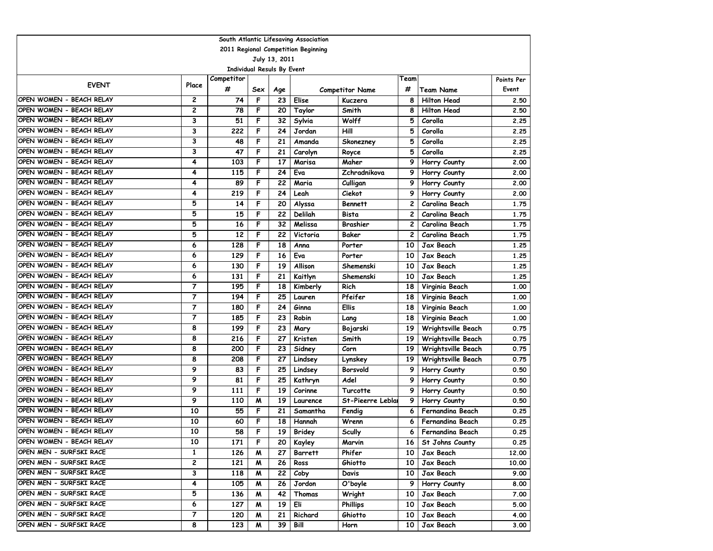| South Atlantic Lifesaving Association |                |                                   |     |      |               |                        |                |                         |            |  |  |
|---------------------------------------|----------------|-----------------------------------|-----|------|---------------|------------------------|----------------|-------------------------|------------|--|--|
| 2011 Regional Competition Beginning   |                |                                   |     |      |               |                        |                |                         |            |  |  |
| July 13, 2011                         |                |                                   |     |      |               |                        |                |                         |            |  |  |
|                                       |                | <b>Individual Resuls By Event</b> |     |      |               |                        |                |                         |            |  |  |
| <b>EVENT</b>                          | Place          | Competitor                        |     |      |               |                        | Team           |                         | Points Per |  |  |
|                                       |                | #                                 | Sex | Age  |               | <b>Competitor Name</b> | #              | <b>Team Name</b>        | Event      |  |  |
| OPEN WOMEN - BEACH RELAY              | 2              | 74                                | F   | 23   | Elise         | Kuczera                | 8              | <b>Hilton Head</b>      | 2.50       |  |  |
| OPEN WOMEN - BEACH RELAY              | 2              | 78                                | F   | 20   | Taylor        | Smith                  | 8              | <b>Hilton Head</b>      | 2.50       |  |  |
| OPEN WOMEN - BEACH RELAY              | 3              | 51                                | F   | 32   | Sylvia        | Wolff                  | 5              | Corolla                 | 2.25       |  |  |
| OPEN WOMEN - BEACH RELAY              | 3              | 222                               | F   | 24   | Jordan        | Hill                   | 5              | Corolla                 | 2.25       |  |  |
| OPEN WOMEN - BEACH RELAY              | 3              | 48                                | F   | 21   | Amanda        | Skonezney              | 5              | Corolla                 | 2.25       |  |  |
| OPEN WOMEN - BEACH RELAY              | 3              | 47                                | F   | 21   | Carolyn       | Royce                  | 5              | Corolla                 | 2.25       |  |  |
| OPEN WOMEN - BEACH RELAY              | 4              | 103                               | F   | 17   | Marisa        | Maher                  | 9              | Horry County            | 2.00       |  |  |
| OPEN WOMEN - BEACH RELAY              | 4              | 115                               | F   | 24   | Eva           | Zchradnikova           | 9              | Horry County            | 2.00       |  |  |
| OPEN WOMEN - BEACH RELAY              | 4              | 89                                | F   | 22   | Maria         | Culligan               | 9              | Horry County            | 2.00       |  |  |
| OPEN WOMEN - BEACH RELAY              | 4              | 219                               | F   | 24   | Leah          | Ciekot                 | 9              | Horry County            | 2.00       |  |  |
| OPEN WOMEN - BEACH RELAY              | 5              | 14                                | F   | 20   | Alyssa        | <b>Bennett</b>         | $\overline{c}$ | Carolina Beach          | 1.75       |  |  |
| OPEN WOMEN - BEACH RELAY              | 5              | 15                                | F   | 22   | Delilah       | Bista                  | $\overline{c}$ | Carolina Beach          | 1.75       |  |  |
| OPEN WOMEN - BEACH RELAY              | 5              | 16                                | F   | 32   | Melissa       | <b>Brashier</b>        | 2              | Carolina Beach          | 1.75       |  |  |
| OPEN WOMEN - BEACH RELAY              | 5              | 12                                | F   | 22   | Victoria      | Baker                  | $\mathbf{2}$   | Carolina Beach          | 1.75       |  |  |
| OPEN WOMEN - BEACH RELAY              | 6              | 128                               | F   | 18   | Anna          | Porter                 | 10             | Jax Beach               | 1.25       |  |  |
| OPEN WOMEN - BEACH RELAY              | 6              | 129                               | F   | 16   | Eva           | Porter                 | 10             | Jax Beach               | 1.25       |  |  |
| OPEN WOMEN - BEACH RELAY              | 6              | 130                               | F   | 19   | Allison       | Shemenski              | 10             | Jax Beach               | 1.25       |  |  |
| OPEN WOMEN - BEACH RELAY              | 6              | 131                               | F   | 21   | Kaitlyn       | Shemenski              | 10             | Jax Beach               | 1.25       |  |  |
| OPEN WOMEN - BEACH RELAY              | $\overline{7}$ | 195                               | F   | 18   | Kimberly      | Rich                   | 18             | Virginia Beach          | 1.00       |  |  |
| OPEN WOMEN - BEACH RELAY              | $\overline{7}$ | 194                               | F   | 25   | Lauren        | Pfeifer                | 18             | Virginia Beach          | 1.00       |  |  |
| OPEN WOMEN - BEACH RELAY              | 7              | 180                               | F   | 24   | Ginna         | Ellis                  | 18             | Virginia Beach          | 1.00       |  |  |
| OPEN WOMEN - BEACH RELAY              | 7              | 185                               | F   | 23   | Robin         | Lang                   | 18             | Virginia Beach          | 1.00       |  |  |
| OPEN WOMEN - BEACH RELAY              | 8              | 199                               | F   | 23   | Mary          | Bojarski               | 19             | Wrightsville Beach      | 0.75       |  |  |
| OPEN WOMEN - BEACH RELAY              | 8              | 216                               | F   | 27   | Kristen       | Smith                  | 19             | Wrightsville Beach      | 0.75       |  |  |
| OPEN WOMEN - BEACH RELAY              | 8              | 200                               | F   | 23   | Sidney        | Corn                   | 19             | Wrightsville Beach      | 0.75       |  |  |
| OPEN WOMEN - BEACH RELAY              | 8              | 208                               | F   | 27   | Lindsey       | Lynskey                | 19             | Wrightsville Beach      | 0.75       |  |  |
| OPEN WOMEN - BEACH RELAY              | 9              | 83                                | F   | 25   | Lindsey       | Borsvold               | 9              | Horry County            | 0.50       |  |  |
| OPEN WOMEN - BEACH RELAY              | 9              | 81                                | F   | 25   | Kathryn       | Adel                   | 9              | Horry County            | 0.50       |  |  |
| OPEN WOMEN - BEACH RELAY              | 9              | 111                               | F   | 19   | Corinne       | Turcotte               | 9              | Horry County            | 0.50       |  |  |
| OPEN WOMEN - BEACH RELAY              | 9              | 110                               | M   | 19   | Laurence      | St-Pieerre Leblai      | 9              | Horry County            | 0.50       |  |  |
| OPEN WOMEN - BEACH RELAY              | 10             | 55                                | F   | 21   | Samantha      | Fendig                 | 6              | Fernandina Beach        | 0.25       |  |  |
| OPEN WOMEN - BEACH RELAY              | 10             | 60                                | F   | 18   | Hannah        | Wrenn                  | 6              | Fernandina Beach        | 0.25       |  |  |
| OPEN WOMEN - BEACH RELAY              | 10             | 58                                | F   | 19   | <b>Bridey</b> | <b>Scully</b>          | 6              | <b>Fernandina Beach</b> | 0.25       |  |  |
| OPEN WOMEN - BEACH RELAY              | 10             | 171                               | F   | 20 I | Kayley        | Marvin                 |                | 16   St Johns County    | 0.25       |  |  |
| OPEN MEN - SURFSKI RACE               | 1              | 126                               | M   | 27   | Barrett       | Phifer                 | 10             | Jax Beach               | 12.00      |  |  |
| OPEN MEN - SURFSKI RACE               | 2              | 121                               | M   | 26   | Ross          | Ghiotto                | 10             | Jax Beach               | 10.00      |  |  |
| OPEN MEN - SURFSKI RACE               | 3              | 118                               | M   | 22   | Coby          | Davis                  | 10 l           | Jax Beach               | 9.00       |  |  |
| OPEN MEN - SURFSKI RACE               | 4              | 105                               | M   | 26   | Jordon        | O'boyle                | 9              | Horry County            | 8.00       |  |  |
| OPEN MEN - SURFSKI RACE               | 5              | 136                               | M   | 42   | Thomas        | Wright                 | 10             | Jax Beach               | 7.00       |  |  |
| OPEN MEN - SURFSKI RACE               | 6              | 127                               | M   | 19   | Eli           | <b>Phillips</b>        | 10             | Jax Beach               | 5.00       |  |  |
| OPEN MEN - SURFSKI RACE               | 7              | 120                               | M   | 21   | Richard       | Ghiotto                | 10             | Jax Beach               | 4.00       |  |  |
| OPEN MEN - SURFSKI RACE               | 8              | 123                               | M   | 39   | Bill          | Horn                   | 10             | Jax Beach               | 3.00       |  |  |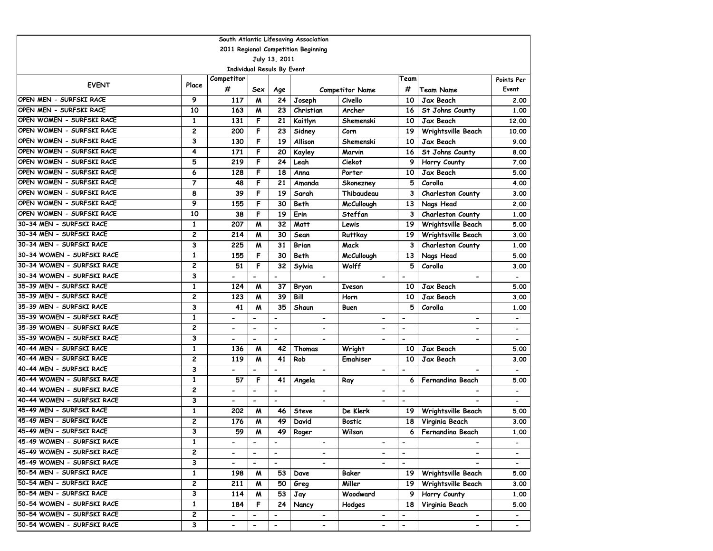|                                     |                |                          |                              |                          | South Atlantic Lifesaving Association |                              |                          |                          |                          |  |  |
|-------------------------------------|----------------|--------------------------|------------------------------|--------------------------|---------------------------------------|------------------------------|--------------------------|--------------------------|--------------------------|--|--|
| 2011 Regional Competition Beginning |                |                          |                              |                          |                                       |                              |                          |                          |                          |  |  |
| July 13, 2011                       |                |                          |                              |                          |                                       |                              |                          |                          |                          |  |  |
| Individual Resuls By Event          |                |                          |                              |                          |                                       |                              |                          |                          |                          |  |  |
| <b>EVENT</b>                        | Place          | Competitor               |                              |                          |                                       |                              | Team                     |                          | Points Per               |  |  |
|                                     |                | #                        | Sex                          | Age                      |                                       | <b>Competitor Name</b>       | #                        | <b>Team Name</b>         | Event                    |  |  |
| OPEN MEN - SURFSKI RACE             | 9              | 117                      | M                            | 24                       | Joseph                                | Civello                      | 10                       | Jax Beach                | 2.00                     |  |  |
| OPEN MEN - SURFSKI RACE             | 10             | 163                      | M                            | 23                       | Christian                             | Archer                       | 16                       | St Johns County          | 1.00                     |  |  |
| OPEN WOMEN - SURFSKI RACE           | 1              | 131                      | F                            | 21                       | Kaitlyn                               | Shemenski                    | 10                       | Jax Beach                | 12,00                    |  |  |
| OPEN WOMEN - SURFSKI RACE           | 2              | 200                      | F                            | 23                       | Sidney                                | Corn                         | 19                       | Wrightsville Beach       | 10.00                    |  |  |
| OPEN WOMEN - SURFSKI RACE           | 3              | 130                      | F                            | 19                       | Allison                               | Shemenski                    | 10                       | Jax Beach                | 9.00                     |  |  |
| OPEN WOMEN - SURFSKI RACE           | 4              | 171                      | F                            | 20                       | Kayley                                | Marvin                       | 16                       | St Johns County          | 8.00                     |  |  |
| OPEN WOMEN - SURFSKI RACE           | 5              | 219                      | F                            | 24                       | Leah                                  | Ciekot                       | 9                        | Horry County             | 7.00                     |  |  |
| OPEN WOMEN - SURFSKI RACE           | 6              | 128                      | F                            | 18                       | Anna                                  | Porter                       | 10                       | Jax Beach                | 5.00                     |  |  |
| OPEN WOMEN - SURFSKI RACE           | $\overline{7}$ | 48                       | F                            | 21                       | Amanda                                | Skonezney                    | 5                        | Corolla                  | 4.00                     |  |  |
| OPEN WOMEN - SURFSKI RACE           | 8              | 39                       | F                            | 19                       | Sarah                                 | Thibaudeau                   | 3                        | Charleston County        | 3.00                     |  |  |
| OPEN WOMEN - SURFSKI RACE           | 9              | 155                      | F                            | 30                       | Beth                                  | <b>McCullough</b>            | 13                       | Nags Head                | 2.00                     |  |  |
| OPEN WOMEN - SURFSKI RACE           | 10             | 38                       | F                            | 19                       | Erin                                  | Steffan                      | 3                        | Charleston County        | 1.00                     |  |  |
| 30-34 MEN - SURFSKI RACE            | 1              | 207                      | M                            | 32                       | Matt                                  | Lewis                        | 19                       | Wrightsville Beach       | 5.00                     |  |  |
| 30-34 MEN - SURFSKI RACE            | 2              | 214                      | M                            | 30                       | Sean                                  | Ruttkay                      | 19                       | Wrightsville Beach       | 3.00                     |  |  |
| 30-34 MEN - SURFSKI RACE            | 3              | 225                      | M                            | 31                       | <b>Brian</b>                          | Mack                         | 3                        | Charleston County        | 1.00                     |  |  |
| 30-34 WOMEN - SURFSKI RACE          | $\mathbf{1}$   | 155                      | F                            | 30                       | Beth                                  | <b>McCullough</b>            | 13                       | Nags Head                | 5.00                     |  |  |
| 30-34 WOMEN - SURFSKI RACE          | 2              | 51                       | F                            | 32                       | Sylvia                                | Wolff                        | 5                        | Corolla                  | 3.00                     |  |  |
| 30-34 WOMEN - SURFSKI RACE          | 3              | $\blacksquare$           | $\overline{\phantom{a}}$     | $\blacksquare$           | $\overline{\phantom{a}}$              | $\overline{\phantom{0}}$     | $\blacksquare$           | $\overline{\phantom{a}}$ | $\overline{\phantom{0}}$ |  |  |
| 35-39 MEN - SURFSKI RACE            | $\mathbf{1}$   | 124                      | M                            | 37                       | Bryon                                 | <b>Iveson</b>                | 10                       | Jax Beach                | 5.00                     |  |  |
| 35-39 MEN - SURFSKI RACE            | 2              | 123                      | M                            | 39                       | Bill                                  | Horn                         | 10                       | Jax Beach                | 3.00                     |  |  |
| 35-39 MEN - SURFSKI RACE            | 3              | 41                       | M                            | 35                       | Shaun                                 | Buen                         | 5                        | Corolla                  | 1.00                     |  |  |
| 35-39 WOMEN - SURFSKI RACE          | 1              | $\overline{a}$           | $\overline{\phantom{0}}$     | $\overline{\phantom{m}}$ | $\blacksquare$                        | $\qquad \qquad \blacksquare$ | $\overline{\phantom{a}}$ | $\overline{\phantom{a}}$ |                          |  |  |
| 35-39 WOMEN - SURFSKI RACE          | 2              | $\overline{\phantom{a}}$ | $\qquad \qquad \blacksquare$ | $\overline{\phantom{a}}$ | $\blacksquare$                        | $\qquad \qquad \blacksquare$ | $\overline{\phantom{a}}$ | $\overline{\phantom{a}}$ | $\overline{\phantom{a}}$ |  |  |
| 35-39 WOMEN - SURFSKI RACE          | 3              | $\blacksquare$           | $\overline{\phantom{0}}$     | $\blacksquare$           |                                       | $\overline{\phantom{0}}$     | $\blacksquare$           | $\overline{\phantom{a}}$ | $\overline{\phantom{0}}$ |  |  |
| 40-44 MEN - SURFSKI RACE            | 1              | 136                      | M                            | 42                       | Thomas                                | Wright                       | 10                       | Jax Beach                | 5.00                     |  |  |
| 40-44 MEN - SURFSKI RACE            | 2              | 119                      | M                            | 41                       | Rob                                   | <b>Emahiser</b>              | 10                       | Jax Beach                | 3.00                     |  |  |
| 40-44 MEN - SURFSKI RACE            | 3              |                          | $\overline{\phantom{0}}$     | $\hbox{\small -}$        |                                       | $\qquad \qquad \blacksquare$ | $\blacksquare$           |                          |                          |  |  |
| 40-44 WOMEN - SURFSKI RACE          | $\mathbf{1}$   | 57                       | F                            | 41                       | Angela                                | Ray                          | 6                        | Fernandina Beach         | 5.00                     |  |  |
| 40-44 WOMEN - SURFSKI RACE          | 2              |                          | $\overline{\phantom{0}}$     | $\overline{\phantom{m}}$ |                                       | $\qquad \qquad \blacksquare$ | $\overline{\phantom{a}}$ |                          |                          |  |  |
| 40-44 WOMEN - SURFSKI RACE          | 3              | $\blacksquare$           | $\overline{\phantom{0}}$     | $\blacksquare$           |                                       | $\overline{\phantom{0}}$     | $\blacksquare$           |                          | $\overline{\phantom{a}}$ |  |  |
| 45-49 MEN - SURFSKI RACE            | $\mathbf{1}$   | 202                      | M                            | 46                       | <b>Steve</b>                          | De Klerk                     | 19                       | Wrightsville Beach       | 5.00                     |  |  |
| 45-49 MEN - SURFSKI RACE            | 2              | 176                      | M                            | 49                       | David                                 | <b>Bostic</b>                | 18                       | Virginia Beach           | 3.00                     |  |  |
| 45-49 MEN - SURFSKI RACE            | 3              | 59                       | M                            | 49                       | Roger                                 | Wilson                       | 6                        | <b>Fernandina Beach</b>  | 1.00                     |  |  |
| 45-49 WOMEN - SURFSKI RACE          | 1              | $\blacksquare$           | $\overline{\phantom{a}}$     | $\overline{\phantom{0}}$ | $\overline{\phantom{a}}$              | $\qquad \qquad \blacksquare$ | $\blacksquare$           | $\overline{\phantom{a}}$ |                          |  |  |
| 45-49 WOMEN - SURFSKI RACE          | 2              | $\blacksquare$           | $\overline{\phantom{a}}$     | $\blacksquare$           |                                       |                              | $\blacksquare$           |                          | $\blacksquare$           |  |  |
| 45-49 WOMEN - SURFSKI RACE          | 3              | $\overline{\phantom{0}}$ | $\blacksquare$               | $\blacksquare$           | $\overline{\phantom{0}}$              | $\overline{\phantom{0}}$     | $\overline{\phantom{a}}$ | $\overline{\phantom{0}}$ | $\blacksquare$           |  |  |
| 50-54 MEN - SURFSKI RACE            | $\mathbf{1}$   | 198                      | M                            | 53                       | Dave                                  | Baker                        | 19 I                     | Wrightsville Beach       | 5.00                     |  |  |
| 50-54 MEN - SURFSKI RACE            | 2              | 211                      | M                            | 50                       | Greg                                  | Miller                       | 19 <sup>1</sup>          | Wrightsville Beach       | 3.00                     |  |  |
| 50-54 MEN - SURFSKI RACE            | 3              | 114                      | M                            | 53                       | Jay                                   | Woodward                     | 9                        | Horry County             | 1.00                     |  |  |
| 50-54 WOMEN - SURFSKI RACE          | 1              | 184                      | F                            | 24                       | Nancy                                 | Hodges                       | 18                       | Virginia Beach           | 5.00                     |  |  |
| 50-54 WOMEN - SURFSKI RACE          | $\mathbf{z}$   | $\blacksquare$           |                              | $\overline{\phantom{a}}$ | $\qquad \qquad \blacksquare$          |                              | $\overline{\phantom{a}}$ | $\blacksquare$           |                          |  |  |
| 50-54 WOMEN - SURFSKI RACE          | 3              | $\blacksquare$           | $\overline{\phantom{a}}$     | $\blacksquare$           | $\qquad \qquad \blacksquare$          | $\overline{\phantom{a}}$     | $\overline{\phantom{a}}$ | $\overline{\phantom{0}}$ | $\sim$                   |  |  |
|                                     |                |                          |                              |                          |                                       |                              |                          |                          |                          |  |  |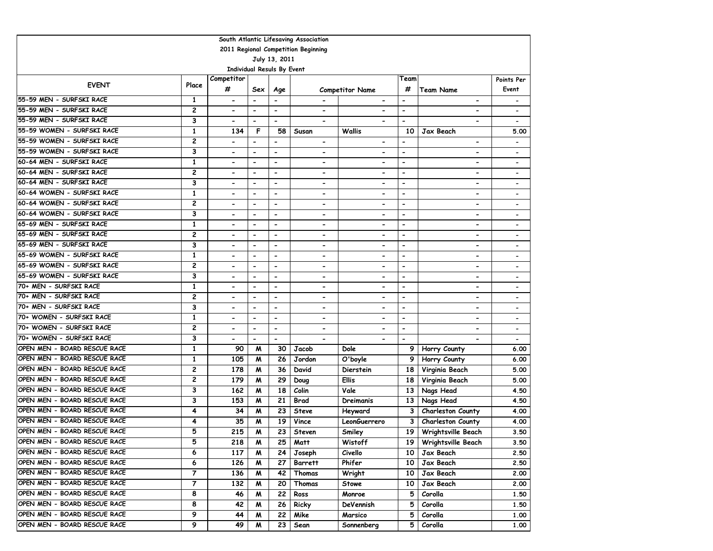| South Atlantic Lifesaving Association |                |                          |                              |                              |                          |                              |                          |                              |                              |  |  |
|---------------------------------------|----------------|--------------------------|------------------------------|------------------------------|--------------------------|------------------------------|--------------------------|------------------------------|------------------------------|--|--|
| 2011 Regional Competition Beginning   |                |                          |                              |                              |                          |                              |                          |                              |                              |  |  |
| July 13, 2011                         |                |                          |                              |                              |                          |                              |                          |                              |                              |  |  |
| <b>Individual Resuls By Event</b>     |                |                          |                              |                              |                          |                              |                          |                              |                              |  |  |
| <b>EVENT</b>                          | Place          | Competitor               |                              |                              |                          |                              | Team                     |                              | Points Per                   |  |  |
|                                       |                | #                        | Sex                          | Age                          |                          | <b>Competitor Name</b>       | #                        | <b>Team Name</b>             | Event                        |  |  |
| 55-59 MEN - SURFSKI RACE              | 1              | $\hbox{\small -}$        | $\qquad \qquad \blacksquare$ |                              |                          | $\blacksquare$               | $\overline{a}$           | $\blacksquare$               | $\qquad \qquad \blacksquare$ |  |  |
| 55-59 MEN - SURFSKI RACE              | 2              |                          | $\qquad \qquad \blacksquare$ | $\qquad \qquad \blacksquare$ | $\blacksquare$           |                              | $\overline{\phantom{0}}$ |                              | $\qquad \qquad \blacksquare$ |  |  |
| 55-59 MEN - SURFSKI RACE              | 3              | $\blacksquare$           | $\qquad \qquad \blacksquare$ | $\overline{\phantom{a}}$     | $\overline{\phantom{0}}$ |                              | $\overline{\phantom{0}}$ |                              |                              |  |  |
| 55-59 WOMEN - SURFSKI RACE            | 1              | 134                      | F                            | 58                           | Susan                    | Wallis                       | 10                       | Jax Beach                    | 5.00                         |  |  |
| 55-59 WOMEN - SURFSKI RACE            | 2              | $\overline{\phantom{0}}$ | $\blacksquare$               | $\blacksquare$               | $\overline{\phantom{a}}$ |                              | $\blacksquare$           | $\overline{\phantom{0}}$     | $\qquad \qquad \blacksquare$ |  |  |
| 55-59 WOMEN - SURFSKI RACE            | 3              | $\blacksquare$           | $\overline{\phantom{0}}$     | $\blacksquare$               | -                        |                              | $\overline{\phantom{0}}$ | $\blacksquare$               | $\overline{\phantom{a}}$     |  |  |
| 60-64 MEN - SURFSKI RACE              | 1              | $\blacksquare$           | $\overline{\phantom{0}}$     | $\blacksquare$               | $\overline{\phantom{0}}$ | $\blacksquare$               | $\overline{\phantom{0}}$ | $\overline{a}$               | $\overline{\phantom{a}}$     |  |  |
| 60-64 MEN - SURFSKI RACE              | 2              | $\overline{\phantom{0}}$ | $\qquad \qquad \blacksquare$ | $\blacksquare$               | -                        | $\qquad \qquad \blacksquare$ | -                        | $\overline{\phantom{0}}$     | $\overline{\phantom{a}}$     |  |  |
| 60-64 MEN - SURFSKI RACE              | 3              | $\blacksquare$           | $\qquad \qquad \blacksquare$ | $\blacksquare$               | $\overline{\phantom{0}}$ | $\blacksquare$               | $\overline{\phantom{0}}$ | $\qquad \qquad \blacksquare$ | $\overline{\phantom{a}}$     |  |  |
| 60-64 WOMEN - SURFSKI RACE            | 1              |                          | $\overline{\phantom{0}}$     | $\overline{a}$               | $\overline{\phantom{0}}$ |                              | $\blacksquare$           | $\overline{\phantom{0}}$     |                              |  |  |
| 60-64 WOMEN - SURFSKI RACE            | 2              | $\overline{\phantom{a}}$ | $\qquad \qquad \blacksquare$ | $\overline{\phantom{a}}$     | $\overline{\phantom{0}}$ | $\overline{\phantom{0}}$     | $\overline{\phantom{0}}$ | $\blacksquare$               | $\overline{\phantom{a}}$     |  |  |
| 60-64 WOMEN - SURFSKI RACE            | 3              | $\blacksquare$           | $\blacksquare$               | $\overline{\phantom{a}}$     | -                        | $\blacksquare$               | $\overline{\phantom{0}}$ | $\overline{\phantom{0}}$     | $\overline{\phantom{a}}$     |  |  |
| 65-69 MEN - SURFSKI RACE              | 1              | $\blacksquare$           | $\qquad \qquad \blacksquare$ | $\blacksquare$               | -                        | $\overline{\phantom{0}}$     | $\overline{\phantom{0}}$ | $\overline{\phantom{0}}$     | $\overline{\phantom{a}}$     |  |  |
| 65-69 MEN - SURFSKI RACE              | 2              |                          | $\hbox{\small -}$            | $\qquad \qquad \blacksquare$ | -                        | $\overline{\phantom{0}}$     | $\overline{a}$           | $\qquad \qquad \blacksquare$ | $\qquad \qquad \blacksquare$ |  |  |
| 65-69 MEN - SURFSKI RACE              | 3              | $\overline{\phantom{0}}$ | $\blacksquare$               | $\overline{\phantom{0}}$     | $\overline{\phantom{a}}$ | $\overline{\phantom{0}}$     | $\blacksquare$           | $\overline{\phantom{a}}$     | $\overline{\phantom{a}}$     |  |  |
| 65-69 WOMEN - SURFSKI RACE            | $\mathbf{1}$   |                          | $\blacksquare$               |                              | $\overline{\phantom{0}}$ |                              | $\overline{\phantom{0}}$ |                              |                              |  |  |
| 65-69 WOMEN - SURFSKI RACE            | $\overline{c}$ | $\blacksquare$           | $\hbox{\small -}$            | $\blacksquare$               | -                        |                              | $\blacksquare$           | $\blacksquare$               | $\overline{\phantom{a}}$     |  |  |
| 65-69 WOMEN - SURFSKI RACE            | 3              | $\overline{\phantom{0}}$ | $\blacksquare$               | $\overline{\phantom{0}}$     | -                        | $\overline{\phantom{0}}$     | $\overline{\phantom{0}}$ | $\overline{\phantom{0}}$     | $\overline{\phantom{a}}$     |  |  |
| 70+ MEN - SURFSKI RACE                | $\mathbf{1}$   |                          | $\blacksquare$               | $\blacksquare$               | $\overline{\phantom{0}}$ | $\blacksquare$               | $\overline{\phantom{0}}$ | $\overline{a}$               | $\overline{\phantom{a}}$     |  |  |
| 70+ MEN - SURFSKI RACE                | 2              | $\blacksquare$           | $\overline{\phantom{a}}$     | $\blacksquare$               | -                        | $\blacksquare$               | $\overline{a}$           | $\overline{\phantom{0}}$     | $\qquad \qquad \blacksquare$ |  |  |
| 70+ MEN - SURFSKI RACE                | 3              | $\overline{\phantom{a}}$ | $\qquad \qquad \blacksquare$ | $\blacksquare$               | -                        | $\qquad \qquad \blacksquare$ | -                        | $\qquad \qquad \blacksquare$ | $\overline{\phantom{a}}$     |  |  |
| 70+ WOMEN - SURFSKI RACE              | 1              | $\blacksquare$           | $\qquad \qquad \blacksquare$ | $\overline{a}$               | -                        | $\overline{\phantom{a}}$     | $\blacksquare$           | $\qquad \qquad \blacksquare$ | $\overline{\phantom{a}}$     |  |  |
| 70+ WOMEN - SURFSKI RACE              | 2              | $\hbox{\small -}$        | $\overline{\phantom{a}}$     | $\overline{\phantom{a}}$     | -                        | $\blacksquare$               | $\overline{\phantom{a}}$ | $\overline{\phantom{a}}$     | $\overline{\phantom{a}}$     |  |  |
| 70+ WOMEN - SURFSKI RACE              | 3              | $\overline{\phantom{a}}$ | $\overline{\phantom{0}}$     | $\blacksquare$               | $\overline{\phantom{0}}$ | $\overline{\phantom{0}}$     | $\overline{\phantom{0}}$ |                              | $\overline{\phantom{a}}$     |  |  |
| OPEN MEN - BOARD RESCUE RACE          | 1              | 90                       | M                            | 30                           | Jacob                    | Dole                         | 9                        | Horry County                 | 6.00                         |  |  |
| OPEN MEN - BOARD RESCUE RACE          | 1              | 105                      | M                            | 26                           | Jordon                   | O'boyle                      | 9                        | Horry County                 | 6.00                         |  |  |
| OPEN MEN - BOARD RESCUE RACE          | 2              | 178                      | M                            | 36                           | David                    | Dierstein                    | 18                       | Virginia Beach               | 5.00                         |  |  |
| OPEN MEN - BOARD RESCUE RACE          | 2              | 179                      | M                            | 29                           | Doug                     | Ellis                        | 18                       | Virginia Beach               | 5.00                         |  |  |
| OPEN MEN - BOARD RESCUE RACE          | 3              | 162                      | M                            | 18                           | Colin                    | Vale                         | 13                       | Nags Head                    | 4.50                         |  |  |
| OPEN MEN - BOARD RESCUE RACE          | 3              | 153                      | M                            | 21                           | <b>Brad</b>              | Dreimanis                    | 13                       | Nags Head                    | 4.50                         |  |  |
| OPEN MEN - BOARD RESCUE RACE          | 4              | 34                       | M                            | 23                           | <b>Steve</b>             | Heyward                      | 3                        | <b>Charleston County</b>     | 4.00                         |  |  |
| OPEN MEN - BOARD RESCUE RACE          | 4              | 35                       | M                            | 19                           | Vince                    | LeonGuerrero                 | 3                        | <b>Charleston County</b>     | 4.00                         |  |  |
| OPEN MEN - BOARD RESCUE RACE          | 5              | 215                      | M                            | 23                           | <b>Steven</b>            | Smiley                       | 19                       | Wrightsville Beach           | 3.50                         |  |  |
| OPEN MEN - BOARD RESCUE RACE          | 5              | 218                      | M                            | 25                           | Matt                     | Wistoff                      |                          | 19   Wrightsville Beach      | 3.50                         |  |  |
| OPEN MEN - BOARD RESCUE RACE          | 6              | 117                      | M                            | 24                           | Joseph                   | Civello                      | 10                       | Jax Beach                    | 2.50                         |  |  |
| OPEN MEN - BOARD RESCUE RACE          | 6              | 126                      | M                            | 27                           | <b>Barrett</b>           | Phifer                       | 10                       | Jax Beach                    | 2.50                         |  |  |
| OPEN MEN - BOARD RESCUE RACE          | 7              | 136                      | M                            | 42                           | Thomas                   | Wright                       | 10                       | Jax Beach                    | 2.00                         |  |  |
| OPEN MEN - BOARD RESCUE RACE          | 7              | 132                      | M                            | 20                           | Thomas                   | Stowe                        | 10                       | Jax Beach                    | 2.00                         |  |  |
| OPEN MEN - BOARD RESCUE RACE          | 8              | 46                       | M                            | 22                           | Ross                     | Monroe                       | 5                        | Corolla                      | 1.50                         |  |  |
| OPEN MEN - BOARD RESCUE RACE          | 8              | 42                       | M                            | 26                           | Ricky                    | DeVennish                    | 5                        | Corolla                      | 1.50                         |  |  |
| OPEN MEN - BOARD RESCUE RACE          | 9              | 44                       | M                            | 22                           | Mike                     | Marsico                      | 5                        | Corolla                      | 1.00                         |  |  |
| OPEN MEN - BOARD RESCUE RACE          | 9              | 49                       | M                            | 23                           | Sean                     | Sonnenberg                   | 5                        | Corolla                      | 1.00                         |  |  |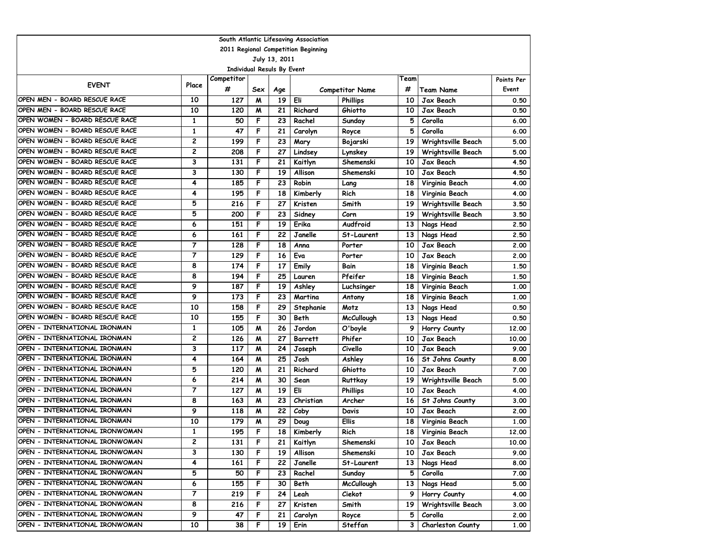| South Atlantic Lifesaving Association |                |                                   |     |     |                |                        |      |                          |            |  |
|---------------------------------------|----------------|-----------------------------------|-----|-----|----------------|------------------------|------|--------------------------|------------|--|
| 2011 Regional Competition Beginning   |                |                                   |     |     |                |                        |      |                          |            |  |
| July 13, 2011                         |                |                                   |     |     |                |                        |      |                          |            |  |
|                                       |                | <b>Individual Resuls By Event</b> |     |     |                |                        |      |                          |            |  |
| <b>EVENT</b>                          | Place          | Competitor                        |     |     |                |                        | Team |                          | Points Per |  |
|                                       |                | #                                 | Sex | Age |                | <b>Competitor Name</b> | #    | Team Name                | Event      |  |
| OPEN MEN - BOARD RESCUE RACE          | 10             | 127                               | M   | 19  | Eli            | <b>Phillips</b>        | 10   | Jax Beach                | 0.50       |  |
| OPEN MEN - BOARD RESCUE RACE          | 10             | 120                               | M   | 21  | Richard        | Ghiotto                | 10   | Jax Beach                | 0.50       |  |
| OPEN WOMEN - BOARD RESCUE RACE        | 1              | 50                                | F   | 23  | Rachel         | Sunday                 | 5    | Corolla                  | 6.00       |  |
| OPEN WOMEN - BOARD RESCUE RACE        | $\mathbf{1}$   | 47                                | F   | 21  | Carolyn        | Royce                  | 5    | Corolla                  | 6.00       |  |
| OPEN WOMEN - BOARD RESCUE RACE        | 2              | 199                               | F   | 23  | Mary           | Bojarski               | 19   | Wrightsville Beach       | 5.00       |  |
| OPEN WOMEN - BOARD RESCUE RACE        | 2              | 208                               | F   | 27  | Lindsey        | Lynskey                | 19   | Wrightsville Beach       | 5.00       |  |
| OPEN WOMEN - BOARD RESCUE RACE        | 3              | 131                               | F   | 21  | Kaitlyn        | Shemenski              | 10   | Jax Beach                | 4.50       |  |
| OPEN WOMEN - BOARD RESCUE RACE        | 3              | 130                               | F   | 19  | Allison        | Shemenski              | 10   | Jax Beach                | 4.50       |  |
| OPEN WOMEN - BOARD RESCUE RACE        | 4              | 185                               | F   | 23  | Robin          | Lang                   | 18   | Virginia Beach           | 4.00       |  |
| OPEN WOMEN - BOARD RESCUE RACE        | 4              | 195                               | F   | 18  | Kimberly       | Rich                   | 18   | Virginia Beach           | 4.00       |  |
| OPEN WOMEN - BOARD RESCUE RACE        | 5              | 216                               | F   | 27  | Kristen        | Smith                  | 19   | Wrightsville Beach       | 3.50       |  |
| OPEN WOMEN - BOARD RESCUE RACE        | 5              | 200                               | F   | 23  | Sidney         | Corn                   | 19   | Wrightsville Beach       | 3.50       |  |
| OPEN WOMEN - BOARD RESCUE RACE        | 6              | 151                               | F   | 19  | Erika          | Audfroid               | 13   | Nags Head                | 2.50       |  |
| OPEN WOMEN - BOARD RESCUE RACE        | 6              | 161                               | F   | 22  | Janelle        | St-Laurent             | 13   | Nags Head                | 2.50       |  |
| OPEN WOMEN - BOARD RESCUE RACE        | 7              | 128                               | F   | 18  | Anna           | Porter                 | 10   | Jax Beach                | 2.00       |  |
| OPEN WOMEN - BOARD RESCUE RACE        | $\overline{7}$ | 129                               | F   | 16  | Eva            | Porter                 | 10   | Jax Beach                | 2.00       |  |
| OPEN WOMEN - BOARD RESCUE RACE        | 8              | 174                               | F   | 17  | Emily          | Bain                   | 18   | Virginia Beach           | 1.50       |  |
| OPEN WOMEN - BOARD RESCUE RACE        | 8              | 194                               | F   | 25  | Lauren         | Pfeifer                | 18   | Virginia Beach           | 1.50       |  |
| OPEN WOMEN - BOARD RESCUE RACE        | 9              | 187                               | F   | 19  | Ashley         | Luchsinger             | 18   | Virginia Beach           | 1.00       |  |
| OPEN WOMEN - BOARD RESCUE RACE        | 9              | 173                               | F   | 23  | Martina        | Antony                 | 18   | Virginia Beach           | 1.00       |  |
| OPEN WOMEN - BOARD RESCUE RACE        | 10             | 158                               | F   | 29  | Stephanie      | Motz                   | 13   | Nags Head                | 0.50       |  |
| OPEN WOMEN - BOARD RESCUE RACE        | 10             | 155                               | F   | 30  | Beth           | <b>McCullough</b>      | 13   | Nags Head                | 0.50       |  |
| OPEN - INTERNATIONAL IRONMAN          | 1              | 105                               | M   | 26  | Jordon         | O'boyle                | 9    | Horry County             | 12.00      |  |
| OPEN - INTERNATIONAL IRONMAN          | 2              | 126                               | M   | 27  | <b>Barrett</b> | Phifer                 | 10   | Jax Beach                | 10.00      |  |
| OPEN - INTERNATIONAL IRONMAN          | 3              | 117                               | W   | 24  | Joseph         | Civello                | 10   | Jax Beach                | 9.00       |  |
| OPEN - INTERNATIONAL IRONMAN          | 4              | 164                               | M   | 25  | Josh           | Ashley                 | 16   | St Johns County          | 8.00       |  |
| OPEN - INTERNATIONAL IRONMAN          | 5              | 120                               | M   | 21  | Richard        | Ghiotto                | 10   | Jax Beach                | 7.00       |  |
| OPEN - INTERNATIONAL IRONMAN          | 6              | 214                               | M   | 30  | Sean           | Ruttkay                | 19   | Wrightsville Beach       | 5.00       |  |
| OPEN - INTERNATIONAL IRONMAN          | $\overline{7}$ | 127                               | M   | 19  | Eli            | <b>Phillips</b>        | 10   | Jax Beach                | 4.00       |  |
| OPEN - INTERNATIONAL IRONMAN          | 8              | 163                               | M   | 23  | Christian      | Archer                 | 16   | St Johns County          | 3.00       |  |
| OPEN - INTERNATIONAL IRONMAN          | 9              | 118                               | M   | 22  | Coby           | Davis                  | 10   | Jax Beach                | 2.00       |  |
| OPEN - INTERNATIONAL IRONMAN          | 10             | 179                               | м   | 29  | Doug           | Ellis                  | 18   | Virginia Beach           | 1.00       |  |
| OPEN - INTERNATIONAL IRONWOMAN        | 1              | 195                               | F   | 18  | Kimberly       | Rich                   | 18   | Virginia Beach           | 12.00      |  |
| OPEN - INTERNATIONAL IRONWOMAN        | 2              | 131                               | F   | 21  | Kaitlyn        | Shemenski              | 10   | Jax Beach                | 10.00      |  |
| OPEN - INTERNATIONAL IRONWOMAN        | 3              | 130                               | F   | 19  | Allison        | Shemenski              | 10   | Jax Beach                | 9.00       |  |
| OPEN - INTERNATIONAL IRONWOMAN        | 4              | 161                               | F   | 22  | Janelle        | St-Laurent             | 13   | Nags Head                | 8.00       |  |
| OPEN - INTERNATIONAL IRONWOMAN        | 5              | 50                                | F   | 23  | Rachel         | Sunday                 | 5    | Corolla                  | 7.00       |  |
| OPEN - INTERNATIONAL IRONWOMAN        | 6              | 155                               | F   | 30  | Beth           | McCullough             | 13   | Nags Head                | 5.00       |  |
| OPEN - INTERNATIONAL IRONWOMAN        | 7              | 219                               | F   | 24  | Leah           | Ciekot                 | 9    | Horry County             | 4.00       |  |
| OPEN - INTERNATIONAL IRONWOMAN        | 8              | 216                               | F   | 27  | Kristen        | Smith                  | 19   | Wrightsville Beach       | 3.00       |  |
| OPEN - INTERNATIONAL IRONWOMAN        | 9              | 47                                | F   | 21  | Carolyn        | Royce                  | 5    | Corolla                  | 2.00       |  |
| OPEN - INTERNATIONAL IRONWOMAN        | 10             | 38                                | F   | 19  | Erin           | Steffan                | 3    | <b>Charleston County</b> | 1.00       |  |
|                                       |                |                                   |     |     |                |                        |      |                          |            |  |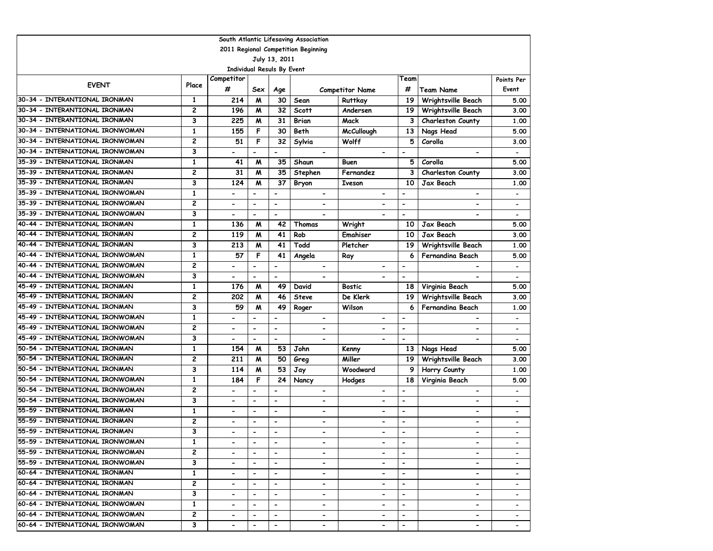| South Atlantic Lifesaving Association |                |                          |                              |                              |                              |                              |                          |                           |                          |  |
|---------------------------------------|----------------|--------------------------|------------------------------|------------------------------|------------------------------|------------------------------|--------------------------|---------------------------|--------------------------|--|
| 2011 Regional Competition Beginning   |                |                          |                              |                              |                              |                              |                          |                           |                          |  |
| July 13, 2011                         |                |                          |                              |                              |                              |                              |                          |                           |                          |  |
| <b>Individual Resuls By Event</b>     |                |                          |                              |                              |                              |                              |                          |                           |                          |  |
| <b>EVENT</b>                          | Place          | Competitor               |                              |                              |                              |                              | Team                     |                           | Points Per               |  |
|                                       |                | #                        | Sex                          | Age                          |                              | <b>Competitor Name</b>       | #                        | <b>Team Name</b>          | Event                    |  |
| 30-34 - INTERANTIONAL IRONMAN         | 1              | 214                      | M                            | 30                           | Sean                         | Ruttkay                      | 19                       | <b>Wrightsville Beach</b> | 5.00                     |  |
| 30-34 - INTERANTIONAL IRONMAN         | 2              | 196                      | M                            | 32                           | <b>Scott</b>                 | Andersen                     | 19                       | Wrightsville Beach        | 3.00                     |  |
| 30-34 - INTERANTIONAL IRONMAN         | 3              | 225                      | M                            | 31                           | Brian                        | Mack                         | 3                        | Charleston County         | 1.00                     |  |
| 30-34 - INTERNATIONAL IRONWOMAN       | $\mathbf{1}$   | 155                      | F                            | 30                           | Beth                         | <b>McCullough</b>            | 13                       | Nags Head                 | 5.00                     |  |
| 30-34 - INTERNATIONAL IRONWOMAN       | 2              | 51                       | F                            | 32                           | Sylvia                       | Wolff                        | 5                        | Corolla                   | 3.00                     |  |
| 30-34 - INTERNATIONAL IRONWOMAN       | 3              | $\overline{\phantom{a}}$ | $\overline{\phantom{0}}$     | $\overline{\phantom{a}}$     | $\qquad \qquad \blacksquare$ |                              | $\blacksquare$           | $\blacksquare$            |                          |  |
| 35-39 - INTERNATIONAL IRONMAN         | 1              | 41                       | M                            | 35                           | Shaun                        | Buen                         | 5                        | Corolla                   | 5.00                     |  |
| 35-39 - INTERNATIONAL IRONMAN         | 2              | 31                       | M                            | 35                           | Stephen                      | Fernandez                    | 3                        | Charleston County         | 3.00                     |  |
| 35-39 - INTERNATIONAL IRONMAN         | 3              | 124                      | M                            | 37                           | Bryon                        | <b>Iveson</b>                | 10                       | Jax Beach                 | 1.00                     |  |
| 35-39 - INTERNATIONAL IRONWOMAN       | $\mathbf{1}$   | $\blacksquare$           | $\overline{\phantom{0}}$     | $\overline{a}$               | $\blacksquare$               | $\overline{\phantom{0}}$     | $\blacksquare$           | $\overline{\phantom{0}}$  |                          |  |
| 35-39 - INTERNATIONAL IRONWOMAN       | $\overline{c}$ | $\overline{\phantom{a}}$ | $\overline{\phantom{a}}$     | $\overline{\phantom{a}}$     | $\overline{\phantom{a}}$     | $\qquad \qquad \blacksquare$ | $\overline{\phantom{a}}$ | $\blacksquare$            | $\overline{\phantom{0}}$ |  |
| 35-39 - INTERNATIONAL IRONWOMAN       | 3              | $\blacksquare$           | $\blacksquare$               | $\blacksquare$               |                              | $\qquad \qquad \blacksquare$ | $\overline{\phantom{a}}$ |                           | $\overline{\phantom{a}}$ |  |
| 40-44 - INTERNATIONAL IRONMAN         | $\mathbf{1}$   | 136                      | M                            | 42                           | Thomas                       | Wright                       | 10                       | <b>Jax Beach</b>          | 5.00                     |  |
| 40-44 - INTERNATIONAL IRONMAN         | 2              | 119                      | M                            | 41                           | Rob                          | Emahiser                     | 10                       | Jax Beach                 | 3.00                     |  |
| 40-44 - INTERNATIONAL IRONMAN         | 3              | 213                      | M                            | 41                           | Todd                         | Pletcher                     | 19                       | Wrightsville Beach        | 1.00                     |  |
| 40-44 - INTERNATIONAL IRONWOMAN       | $\mathbf{1}$   | 57                       | F                            | 41                           | Angela                       | Ray                          | 6                        | Fernandina Beach          | 5.00                     |  |
| 40-44 - INTERNATIONAL IRONWOMAN       | $\overline{c}$ | $\overline{\phantom{a}}$ | $\overline{\phantom{a}}$     | $\overline{\phantom{a}}$     | $\overline{\phantom{a}}$     | $\overline{\phantom{0}}$     | $\overline{\phantom{a}}$ |                           | $\overline{\phantom{a}}$ |  |
| 40-44 - INTERNATIONAL IRONWOMAN       | 3              | $\overline{\phantom{a}}$ | $\blacksquare$               | $\blacksquare$               |                              |                              | $\overline{\phantom{a}}$ |                           | $\overline{\phantom{a}}$ |  |
| 45-49 - INTERNATIONAL IRONMAN         | $\mathbf{1}$   | 176                      | M                            | 49                           | David                        | Bostic                       | 18                       | Virginia Beach            | 5.00                     |  |
| 45-49 - INTERNATIONAL IRONMAN         | $\overline{c}$ | 202                      | M                            | 46                           | <b>Steve</b>                 | De Klerk                     | 19                       | Wrightsville Beach        | 3.00                     |  |
| 45-49 - INTERNATIONAL IRONMAN         | 3              | 59                       | M                            | 49                           | Roger                        | Wilson                       | 6                        | Fernandina Beach          | 1.00                     |  |
| 45-49 - INTERNATIONAL IRONWOMAN       | $\mathbf{1}$   | $\overline{\phantom{a}}$ | $\overline{\phantom{0}}$     | $\blacksquare$               | $\blacksquare$               | $\overline{\phantom{0}}$     | $\blacksquare$           | $\overline{\phantom{0}}$  |                          |  |
| 45-49 - INTERNATIONAL IRONWOMAN       | $\overline{c}$ | $\overline{\phantom{a}}$ | $\overline{\phantom{a}}$     | $\overline{\phantom{a}}$     | $\overline{\phantom{0}}$     | $\hbox{\small -}$            | $\overline{\phantom{a}}$ | $\blacksquare$            | $\overline{\phantom{a}}$ |  |
| 45-49 - INTERNATIONAL IRONWOMAN       | 3              | $\hbox{\small -}$        | $\overline{\phantom{a}}$     | $\blacksquare$               | $\overline{\phantom{0}}$     | $\overline{\phantom{0}}$     | $\blacksquare$           | $\overline{\phantom{0}}$  | $\overline{\phantom{0}}$ |  |
| 50-54 - INTERNATIONAL IRONMAN         | $\mathbf{1}$   | 154                      | M                            | 53                           | John                         | Kenny                        | 13                       | Nags Head                 | 5.00                     |  |
| 50-54 - INTERNATIONAL IRONMAN         | 2              | 211                      | M                            | $\overline{50}$              | Greg                         | Miller                       | 19                       | Wrightsville Beach        | 3.00                     |  |
| 50-54 - INTERNATIONAL IRONMAN         | 3              | 114                      | M                            | 53                           | Jay                          | Woodward                     | 9                        | Horry County              | 1.00                     |  |
| 50-54 - INTERNATIONAL IRONWOMAN       | $\mathbf{1}$   | 184                      | F                            | 24                           | Nancy                        | Hodges                       | 18                       | Virginia Beach            | 5.00                     |  |
| 50-54 - INTERNATIONAL IRONWOMAN       | $\overline{c}$ |                          | $\qquad \qquad \blacksquare$ | $\blacksquare$               | $\qquad \qquad \blacksquare$ | $\overline{a}$               | $\overline{\phantom{a}}$ | $\hbox{\small -}$         |                          |  |
| 50-54 - INTERNATIONAL IRONWOMAN       | 3              | $\overline{\phantom{a}}$ | $\blacksquare$               | $\blacksquare$               | $\overline{\phantom{0}}$     | $\overline{\phantom{0}}$     | $\blacksquare$           | $\overline{\phantom{0}}$  |                          |  |
| 55-59 - INTERNATIONAL IRONMAN         | $\mathbf{1}$   | $\blacksquare$           | $\blacksquare$               | $\overline{\phantom{a}}$     | $\qquad \qquad \blacksquare$ | $\overline{\phantom{0}}$     | $\blacksquare$           | $\blacksquare$            |                          |  |
| 55-59 - INTERNATIONAL IRONMAN         | $\overline{c}$ | $\blacksquare$           | $\overline{\phantom{a}}$     | $\blacksquare$               | $\overline{\phantom{a}}$     | $\qquad \qquad \blacksquare$ | $\overline{\phantom{a}}$ | $\overline{\phantom{0}}$  | $\blacksquare$           |  |
| 55-59 - INTERNATIONAL IRONMAN         | 3              |                          | $\overline{\phantom{a}}$     |                              |                              |                              | $\overline{\phantom{a}}$ |                           |                          |  |
| 155-59 - INTERNATIONAL IRONWOMAN      | 1              | $\overline{\phantom{a}}$ | $\blacksquare$               | $\overline{\phantom{a}}$     |                              | $\qquad \qquad \blacksquare$ | $\overline{\phantom{a}}$ | $\overline{\phantom{0}}$  |                          |  |
| 55-59 - INTERNATIONAL IRONWOMAN       | $\mathbf{2}$   |                          | $\blacksquare$               | $\blacksquare$               | $\overline{\phantom{0}}$     |                              | $\blacksquare$           | $\overline{\phantom{0}}$  |                          |  |
| 55-59 - INTERNATIONAL IRONWOMAN       | 3              | $\overline{\phantom{a}}$ | $\overline{\phantom{a}}$     | $\blacksquare$               | $\qquad \qquad \blacksquare$ | $\qquad \qquad \blacksquare$ | $\overline{\phantom{a}}$ | $\blacksquare$            |                          |  |
| 160–64 – INTERNATIONAL IRONMAN        | $\mathbf{1}$   | $\overline{\phantom{a}}$ | $\overline{\phantom{a}}$     | $\qquad \qquad \blacksquare$ | -                            | $\qquad \qquad \blacksquare$ | $\overline{\phantom{a}}$ | $\blacksquare$            | $\overline{\phantom{a}}$ |  |
| 60-64 - INTERNATIONAL IRONMAN         | 2              | $\overline{\phantom{a}}$ | $\hbox{\small -}$            | $\overline{\phantom{a}}$     | $\overline{\phantom{a}}$     | $\qquad \qquad \blacksquare$ |                          | $\hbox{\small -}$         | $\overline{\phantom{a}}$ |  |
| 60-64 - INTERNATIONAL IRONMAN         | 3              | $\overline{\phantom{a}}$ | $\overline{\phantom{a}}$     | $\overline{\phantom{a}}$     | $\qquad \qquad \blacksquare$ | $\qquad \qquad \blacksquare$ | $\overline{\phantom{a}}$ | $\hbox{\small -}$         |                          |  |
| 60-64 - INTERNATIONAL IRONWOMAN       | 1              | $\overline{\phantom{a}}$ | $\blacksquare$               | $\overline{\phantom{a}}$     | $\hbox{\small -}$            | -                            |                          | $\hbox{\small -}$         |                          |  |
| 60-64 - INTERNATIONAL IRONWOMAN       | 2              | $\overline{\phantom{a}}$ | $\overline{\phantom{a}}$     | $\overline{\phantom{a}}$     | $\hbox{\small -}$            | $\qquad \qquad \blacksquare$ | $\overline{\phantom{a}}$ | $\blacksquare$            |                          |  |
| 60-64 - INTERNATIONAL IRONWOMAN       | 3              | $\overline{\phantom{0}}$ | $\hbox{\small -}$            | $\overline{\phantom{a}}$     | $\overline{\phantom{a}}$     | $\qquad \qquad \blacksquare$ | $\overline{\phantom{a}}$ | $\overline{\phantom{a}}$  |                          |  |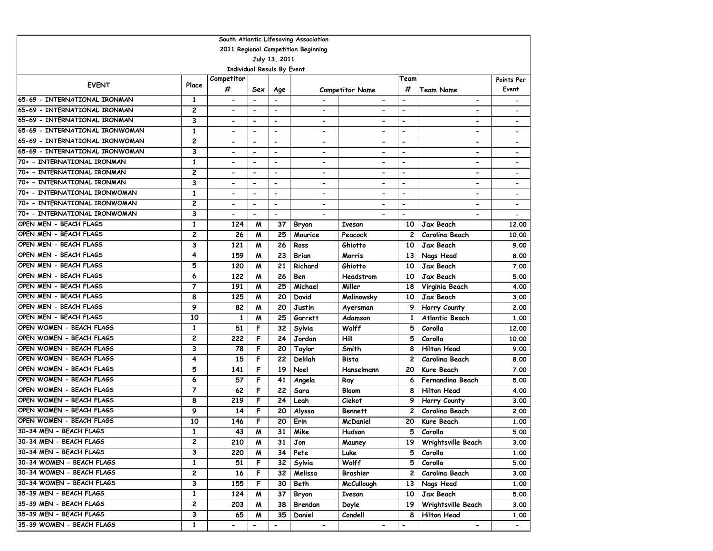| South Atlantic Lifesaving Association |                |                          |                                   |                          |                              |                              |                              |                              |                              |  |
|---------------------------------------|----------------|--------------------------|-----------------------------------|--------------------------|------------------------------|------------------------------|------------------------------|------------------------------|------------------------------|--|
| 2011 Regional Competition Beginning   |                |                          |                                   |                          |                              |                              |                              |                              |                              |  |
| July 13, 2011                         |                |                          |                                   |                          |                              |                              |                              |                              |                              |  |
|                                       |                |                          | <b>Individual Resuls By Event</b> |                          |                              |                              |                              |                              |                              |  |
| <b>EVENT</b>                          | Place          | Competitor               |                                   |                          |                              |                              | Team                         |                              | Points Per                   |  |
|                                       |                | #                        | Sex                               | Age                      |                              | <b>Competitor Name</b>       | #                            | <b>Team Name</b>             | Event                        |  |
| 65-69 - INTERNATIONAL IRONMAN         | 1              | $\overline{\phantom{a}}$ |                                   | $\overline{\phantom{a}}$ | $\overline{a}$               | $\overline{\phantom{a}}$     | $\overline{\phantom{a}}$     | $\overline{\phantom{a}}$     | $\qquad \qquad \blacksquare$ |  |
| 65-69 - INTERNATIONAL IRONMAN         | 2              | $\overline{\phantom{a}}$ | $\blacksquare$                    | $\overline{\phantom{a}}$ | $\qquad \qquad \blacksquare$ |                              | $\blacksquare$               |                              |                              |  |
| 65-69 - INTERNATIONAL IRONMAN         | 3              | $\overline{\phantom{0}}$ | $\overline{\phantom{a}}$          | $\overline{\phantom{0}}$ | $\blacksquare$               | $\overline{\phantom{a}}$     | $\overline{\phantom{a}}$     | $\overline{\phantom{a}}$     | $\qquad \qquad \blacksquare$ |  |
| 65-69 - INTERNATIONAL IRONWOMAN       | 1              |                          | $\overline{\phantom{a}}$          | $\blacksquare$           | $\blacksquare$               |                              | $\blacksquare$               | $\blacksquare$               | $\overline{\phantom{a}}$     |  |
| 65-69 - INTERNATIONAL IRONWOMAN       | 2              | $\blacksquare$           | $\overline{\phantom{a}}$          | $\overline{\phantom{a}}$ | $\qquad \qquad \blacksquare$ |                              | $\blacksquare$               | $\blacksquare$               | $\overline{\phantom{a}}$     |  |
| 65-69 - INTERNATIONAL IRONWOMAN       | 3              | $\overline{\phantom{0}}$ | $\overline{\phantom{a}}$          | $\overline{\phantom{a}}$ | $\overline{\phantom{0}}$     | $\overline{\phantom{0}}$     | $\overline{\phantom{0}}$     | $\overline{\phantom{0}}$     | $\overline{\phantom{a}}$     |  |
| 70+ - INTERNATIONAL IRONMAN           | 1              | $\blacksquare$           | $\blacksquare$                    | $\blacksquare$           | $\overline{\phantom{0}}$     | $\overline{\phantom{0}}$     | $\blacksquare$               | $\overline{\phantom{a}}$     | $\overline{\phantom{a}}$     |  |
| 70+ - INTERNATIONAL IRONMAN           | $\overline{c}$ | $\blacksquare$           | $\overline{\phantom{a}}$          | $\overline{\phantom{a}}$ | $\qquad \qquad \blacksquare$ | $\overline{\phantom{0}}$     | $\qquad \qquad \blacksquare$ | $\qquad \qquad \blacksquare$ |                              |  |
| 70+ - INTERNATIONAL IRONMAN           | 3              | $\overline{\phantom{0}}$ | $\overline{\phantom{a}}$          | $\overline{\phantom{0}}$ | $\overline{\phantom{0}}$     | $\overline{\phantom{0}}$     | $\overline{\phantom{a}}$     | $\overline{\phantom{a}}$     | $\overline{\phantom{a}}$     |  |
| 70+ - INTERNATIONAL IRONWOMAN         | 1              | $\overline{\phantom{a}}$ | $\blacksquare$                    | $\blacksquare$           | $\overline{\phantom{a}}$     | $\blacksquare$               | $\overline{\phantom{a}}$     | $\blacksquare$               | $\overline{\phantom{a}}$     |  |
| 70+ - INTERNATIONAL IRONWOMAN         | 2              | $\overline{\phantom{a}}$ | $\overline{\phantom{a}}$          | $\overline{\phantom{a}}$ | $\hbox{\small -}$            | $\blacksquare$               | $\overline{\phantom{a}}$     | $\hbox{\small -}$            | $\overline{\phantom{a}}$     |  |
| 70+ - INTERNATIONAL IRONWOMAN         | 3              | $\overline{\phantom{0}}$ | $\blacksquare$                    | $\blacksquare$           | $\overline{\phantom{a}}$     |                              | $\overline{\phantom{0}}$     | $\overline{\phantom{0}}$     | $\overline{\phantom{a}}$     |  |
| OPEN MEN - BEACH FLAGS                | $\mathbf{1}$   | 124                      | M                                 | 37                       | Bryon                        | <b>Iveson</b>                | 10                           | Jax Beach                    | 12,00                        |  |
| OPEN MEN - BEACH FLAGS                | 2              | 26                       | M                                 | 25                       | Maurice                      | Peacock                      | $\overline{c}$               | Carolina Beach               | 10.00                        |  |
| OPEN MEN - BEACH FLAGS                | 3              | 121                      | M                                 | 26                       | Ross                         | Ghiotto                      | 10                           | Jax Beach                    | 9.00                         |  |
| OPEN MEN - BEACH FLAGS                | 4              | 159                      | M                                 | 23                       | Brian                        | Morris                       | 13                           | Nags Head                    | 8.00                         |  |
| OPEN MEN - BEACH FLAGS                | 5              | 120                      | M                                 | 21                       | Richard                      | Ghiotto                      | 10                           | Jax Beach                    | 7.00                         |  |
| OPEN MEN - BEACH FLAGS                | 6              | 122                      | M                                 | 26                       | Ben                          | Headstrom                    | 10                           | Jax Beach                    | 5.00                         |  |
| OPEN MEN - BEACH FLAGS                | $\overline{7}$ | 191                      | M                                 | 25                       | Michael                      | Miller                       | 18                           | Virginia Beach               | 4.00                         |  |
| OPEN MEN - BEACH FLAGS                | 8              | 125                      | M                                 | 20                       | David                        | Malinowsky                   | 10                           | Jax Beach                    | 3.00                         |  |
| OPEN MEN - BEACH FLAGS                | 9              | 82                       | M                                 | 20                       | Justin                       | Ayersman                     | 9                            | Horry County                 | 2.00                         |  |
| OPEN MEN - BEACH FLAGS                | 10             | 1                        | M                                 | 25                       | Garrett                      | Adamson                      | $\mathbf{1}$                 | <b>Atlantic Beach</b>        | 1.00                         |  |
| OPEN WOMEN - BEACH FLAGS              | 1              | 51                       | F                                 | 32                       | Sylvia                       | Wolff                        | 5                            | Corolla                      | 12.00                        |  |
| OPEN WOMEN - BEACH FLAGS              | 2              | 222                      | F                                 | 24                       | Jordan                       | Hill                         | 5                            | Corolla                      | 10.00                        |  |
| OPEN WOMEN - BEACH FLAGS              | 3              | 78                       | F                                 | 20                       | Taylor                       | Smith                        | 8                            | <b>Hilton Head</b>           | 9.00                         |  |
| OPEN WOMEN - BEACH FLAGS              | 4              | 15                       | F                                 | 22                       | Delilah                      | Bista                        | $\overline{c}$               | Carolina Beach               | 8.00                         |  |
| OPEN WOMEN - BEACH FLAGS              | 5              | 141                      | F                                 | 19                       | Noel                         | Hanselmann                   | 20                           | Kure Beach                   | 7.00                         |  |
| OPEN WOMEN - BEACH FLAGS              | 6              | 57                       | F                                 | 41                       | Angela                       | Ray                          | 6                            | Fernandina Beach             | 5.00                         |  |
| OPEN WOMEN - BEACH FLAGS              | $\overline{7}$ | 62                       | F                                 | 22                       | Sara                         | <b>Bloom</b>                 | 8                            | <b>Hilton Head</b>           | 4.00                         |  |
| OPEN WOMEN - BEACH FLAGS              | 8              | 219                      | F                                 | 24                       | Leah                         | Ciekot                       | 9                            | Horry County                 | 3.00                         |  |
| OPEN WOMEN - BEACH FLAGS              | 9              | 14                       | F                                 | 20                       | Alyssa                       | <b>Bennett</b>               | 2                            | Carolina Beach               | 2.00                         |  |
| OPEN WOMEN - BEACH FLAGS              | 10             | 146                      | F                                 | 20                       | Erin                         | <b>McDaniel</b>              | 20                           | <b>Kure Beach</b>            | 1.00                         |  |
| 30-34 MEN - BEACH FLAGS               | 1              | 43                       | м                                 | 31                       | Mike                         | Hudson                       | 5                            | Corolla                      | 5.00                         |  |
| 30-34 MEN - BEACH FLAGS               | 2              | 210                      | M                                 | 31                       | Jon                          | Mauney                       |                              | 19   Wrightsville Beach      | 3.00                         |  |
| 30-34 MEN - BEACH FLAGS               | 3              | 220                      | M                                 | 34                       | Pete                         | Luke                         | 5                            | Corolla                      | 1.00                         |  |
| 30-34 WOMEN - BEACH FLAGS             | $\mathbf{1}$   | 51                       | F                                 | 32                       | Sylvia                       | Wolff                        | 5                            | Corolla                      | 5.00                         |  |
| 30-34 WOMEN - BEACH FLAGS             | 2              | 16                       | F                                 | 32                       | Melissa                      | Brashier                     | 2                            | Carolina Beach               | 3.00                         |  |
| 30-34 WOMEN - BEACH FLAGS             | 3              | 155                      | F                                 | 30                       | Beth                         | McCullough                   | 13                           | Nags Head                    | 1.00                         |  |
| 35-39 MEN - BEACH FLAGS               | $\mathbf{1}$   | 124                      | M                                 | 37                       | Bryon                        | Iveson                       | 10 I                         | Jax Beach                    | 5.00                         |  |
| 35-39 MEN - BEACH FLAGS               | 2              | 203                      | M                                 | 38                       | Brendan                      | Doyle                        | 19                           | Wrightsville Beach           | 3.00                         |  |
| 35-39 MEN - BEACH FLAGS               | 3              | 65                       | M                                 | 35                       | Daniel                       | Condell                      | 8                            | <b>Hilton Head</b>           | 1.00                         |  |
| 35-39 WOMEN - BEACH FLAGS             | $\mathbf{1}$   | $\overline{\phantom{a}}$ |                                   | $\blacksquare$           | $\blacksquare$               | $\qquad \qquad \blacksquare$ | $\qquad \qquad \blacksquare$ | $\blacksquare$               | $\blacksquare$               |  |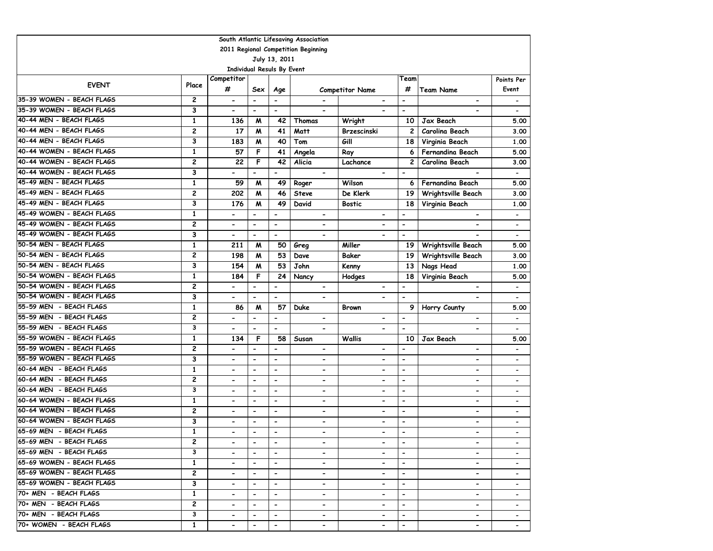| South Atlantic Lifesaving Association |                         |                            |                          |                          |                                                                                                                                                   |                              |                          |                              |                              |  |
|---------------------------------------|-------------------------|----------------------------|--------------------------|--------------------------|---------------------------------------------------------------------------------------------------------------------------------------------------|------------------------------|--------------------------|------------------------------|------------------------------|--|
| 2011 Regional Competition Beginning   |                         |                            |                          |                          |                                                                                                                                                   |                              |                          |                              |                              |  |
| July 13, 2011                         |                         |                            |                          |                          |                                                                                                                                                   |                              |                          |                              |                              |  |
|                                       |                         | Individual Resuls By Event |                          |                          |                                                                                                                                                   |                              |                          |                              |                              |  |
| <b>EVENT</b>                          | Place                   | Competitor                 |                          |                          |                                                                                                                                                   |                              | Team                     |                              | Points Per                   |  |
|                                       |                         | #                          | Sex                      | Age                      |                                                                                                                                                   | <b>Competitor Name</b>       | #                        | <b>Team Name</b>             | Event                        |  |
| 35-39 WOMEN - BEACH FLAGS             | 2                       | $\hbox{\small -}$          | $\overline{\phantom{a}}$ | $\overline{\phantom{a}}$ |                                                                                                                                                   | $\overline{\phantom{a}}$     | $\overline{\phantom{a}}$ | $\overline{\phantom{a}}$     | $\qquad \qquad \blacksquare$ |  |
| 35-39 WOMEN - BEACH FLAGS             | 3                       | $\overline{\phantom{a}}$   | $\overline{\phantom{a}}$ | $\overline{\phantom{a}}$ |                                                                                                                                                   |                              | $\overline{\phantom{0}}$ | $\overline{\phantom{0}}$     | $\hbox{\small -}$            |  |
| 40-44 MEN - BEACH FLAGS               | $\mathbf{1}$            | 136                        | M                        | 42                       | Thomas                                                                                                                                            | Wright                       | 10                       | Jax Beach                    | 5.00                         |  |
| 40-44 MEN - BEACH FLAGS               | 2                       | 17                         | M                        | 41                       | Matt                                                                                                                                              | Brzescinski                  | $\overline{c}$           | Carolina Beach               | 3.00                         |  |
| 40-44 MEN - BEACH FLAGS               | 3                       | 183                        | M                        | 40                       | Tom                                                                                                                                               | Gill                         | 18                       | Virginia Beach               | 1.00                         |  |
| 40-44 WOMEN - BEACH FLAGS             | $\mathbf{1}$            | 57                         | F                        | 41                       | Angela                                                                                                                                            | Ray                          | 6                        | <b>Fernandina Beach</b>      | 5.00                         |  |
| 40-44 WOMEN - BEACH FLAGS             | 2                       | 22                         | F                        | 42                       | Alicia                                                                                                                                            | Lachance                     | 2                        | Carolina Beach               | 3.00                         |  |
| 40-44 WOMEN - BEACH FLAGS             | 3                       |                            | $\overline{\phantom{0}}$ | $\blacksquare$           |                                                                                                                                                   |                              | $\overline{\phantom{a}}$ |                              |                              |  |
| 45-49 MEN - BEACH FLAGS               | 1                       | 59                         | M                        | 49                       | Roger                                                                                                                                             | Wilson                       | 6                        | Fernandina Beach             | 5.00                         |  |
| 45-49 MEN - BEACH FLAGS               | 2                       | 202                        | M                        | 46                       | <b>Steve</b>                                                                                                                                      | De Klerk                     | 19                       | Wrightsville Beach           | 3.00                         |  |
| 45-49 MEN - BEACH FLAGS               | 3                       | 176                        | M                        | 49                       | David                                                                                                                                             | <b>Bostic</b>                | 18                       | Virginia Beach               | 1.00                         |  |
| 45-49 WOMEN - BEACH FLAGS             | $\mathbf{1}$            | $\blacksquare$             | $\overline{\phantom{0}}$ | $\overline{\phantom{a}}$ | $\overline{\phantom{a}}$                                                                                                                          | $\qquad \qquad \blacksquare$ | $\overline{\phantom{a}}$ | $\overline{\phantom{0}}$     | $\qquad \qquad \blacksquare$ |  |
| 45-49 WOMEN - BEACH FLAGS             | 2                       | $\hbox{\small -}$          | $\overline{\phantom{0}}$ | $\overline{\phantom{a}}$ | $\overline{\phantom{a}}$                                                                                                                          | $\overline{\phantom{a}}$     | $\overline{\phantom{a}}$ | $\qquad \qquad \blacksquare$ | $\hbox{\small -}$            |  |
| 45-49 WOMEN - BEACH FLAGS             | 3                       | $\hbox{\small -}$          | $\overline{\phantom{0}}$ | $\overline{\phantom{a}}$ | $\overline{\phantom{a}}$                                                                                                                          | $\overline{\phantom{a}}$     | $\hbox{\small -}$        |                              | $\blacksquare$               |  |
| 50-54 MEN - BEACH FLAGS               | $\mathbf{1}$            | 211                        | M                        | 50                       | Greg                                                                                                                                              | Miller                       | 19                       | Wrightsville Beach           | 5.00                         |  |
| 50-54 MEN - BEACH FLAGS               | 2                       | 198                        | M                        | 53                       | Dave                                                                                                                                              | Baker                        | 19                       | Wrightsville Beach           | 3.00                         |  |
| 50-54 MEN - BEACH FLAGS               | 3                       | 154                        | M                        | 53                       | John                                                                                                                                              | Kenny                        | 13                       | Nags Head                    | 1.00                         |  |
| 50-54 WOMEN - BEACH FLAGS             | $\mathbf{1}$            | 184                        | F                        | 24                       | Nancy                                                                                                                                             | Hodges                       | 18                       | Virginia Beach               | 5.00                         |  |
| 50-54 WOMEN - BEACH FLAGS             | 2                       | $\blacksquare$             | $\overline{\phantom{0}}$ | $\overline{\phantom{a}}$ | $\blacksquare$                                                                                                                                    |                              | $\overline{\phantom{a}}$ |                              | $\overline{\phantom{a}}$     |  |
| 50-54 WOMEN - BEACH FLAGS             | 3                       | $\overline{\phantom{a}}$   | $\overline{\phantom{0}}$ | $\overline{\phantom{a}}$ | $\blacksquare$                                                                                                                                    | $\blacksquare$               | $\blacksquare$           |                              |                              |  |
| 55-59 MEN - BEACH FLAGS               | $\mathbf{1}$            | 86                         | M                        | 57                       | <b>Duke</b>                                                                                                                                       | <b>Brown</b>                 | 9                        | Horry County                 | 5.00                         |  |
| 55-59 MEN - BEACH FLAGS               | 2                       | $\blacksquare$             | $\overline{\phantom{0}}$ | $\frac{1}{2}$            | $\blacksquare$                                                                                                                                    | $\overline{\phantom{0}}$     | $\blacksquare$           | $\blacksquare$               | $\overline{\phantom{a}}$     |  |
| 55-59 MEN - BEACH FLAGS               | 3                       | $\overline{\phantom{a}}$   | $\blacksquare$           | $\blacksquare$           | $\overline{\phantom{0}}$                                                                                                                          | $\blacksquare$               | $\blacksquare$           | $\overline{\phantom{0}}$     | $\overline{\phantom{a}}$     |  |
| 55-59 WOMEN - BEACH FLAGS             | $\mathbf{1}$            | 134                        | F                        | 58                       | Susan                                                                                                                                             | <b>Wallis</b>                | 10                       | Jax Beach                    | 5.00                         |  |
| 55-59 WOMEN - BEACH FLAGS             | 2                       | $\overline{\phantom{a}}$   | $\blacksquare$           | $\blacksquare$           | $\qquad \qquad \blacksquare$                                                                                                                      | $\qquad \qquad \blacksquare$ | $\overline{\phantom{a}}$ | $\overline{\phantom{0}}$     | $\overline{\phantom{a}}$     |  |
| 55-59 WOMEN - BEACH FLAGS             | 3                       | $\hbox{\small -}$          | $\overline{\phantom{a}}$ | $\overline{\phantom{a}}$ | $\overline{\phantom{a}}$                                                                                                                          | $\qquad \qquad \blacksquare$ | $\hbox{\small -}$        | $\overline{\phantom{a}}$     | $\overline{\phantom{a}}$     |  |
| 60-64 MEN - BEACH FLAGS               | 1                       | $\overline{\phantom{a}}$   | $\blacksquare$           | $\overline{\phantom{0}}$ | $\blacksquare$                                                                                                                                    | -                            | $\overline{\phantom{a}}$ | -                            | $\blacksquare$               |  |
| 60-64 MEN - BEACH FLAGS               | 2                       | $\blacksquare$             | $\overline{\phantom{a}}$ | $\overline{a}$           | $\overline{\phantom{a}}$                                                                                                                          | $\qquad \qquad \blacksquare$ | $\overline{\phantom{a}}$ | $\qquad \qquad \blacksquare$ | $\qquad \qquad \blacksquare$ |  |
| 60-64 MEN - BEACH FLAGS               | $\overline{\mathbf{3}}$ |                            | $\blacksquare$           | $\blacksquare$           | $\blacksquare$                                                                                                                                    | $\overline{a}$               | $\overline{\phantom{a}}$ | $\overline{\phantom{0}}$     | $\overline{\phantom{0}}$     |  |
| 60-64 WOMEN - BEACH FLAGS             | $\mathbf{1}$            | $\overline{\phantom{a}}$   | $\blacksquare$           | $\overline{\phantom{a}}$ | $\overline{\phantom{0}}$                                                                                                                          | $\blacksquare$               | $\overline{\phantom{a}}$ | $\overline{\phantom{0}}$     | $\overline{\phantom{a}}$     |  |
| 60-64 WOMEN - BEACH FLAGS             | 2                       | $\blacksquare$             | $\overline{\phantom{a}}$ | $\overline{\phantom{a}}$ | $\qquad \qquad \blacksquare$                                                                                                                      | $\blacksquare$               | $\overline{\phantom{a}}$ | $\overline{\phantom{0}}$     | $\qquad \qquad \blacksquare$ |  |
| 60-64 WOMEN - BEACH FLAGS             | 3                       | $\blacksquare$             | $\overline{\phantom{0}}$ | $\overline{\phantom{a}}$ | $\overline{\phantom{a}}$                                                                                                                          | $\blacksquare$               | $\overline{\phantom{a}}$ | $\qquad \qquad \blacksquare$ | $\overline{\phantom{a}}$     |  |
| 65-69 MEN - BEACH FLAGS               | $\mathbf{1}$            |                            | $\blacksquare$           | $\overline{a}$           | $\blacksquare$                                                                                                                                    | $\blacksquare$               | $\overline{\phantom{a}}$ | $\overline{\phantom{0}}$     |                              |  |
| 65-69 MEN - BEACH FLAGS               | 2                       | $\blacksquare$             | $\overline{\phantom{a}}$ | $\blacksquare$           | $\hskip1.6pt\hskip1.6pt\hskip1.6pt\hskip1.6pt\hskip1.6pt\hskip1.6pt\hskip1.6pt\hskip1.6pt\hskip1.6pt\hskip1.6pt\hskip1.6pt\hskip1.6pt\hskip1.6pt$ | $\hbox{\small -}$            |                          | $\qquad \qquad \blacksquare$ |                              |  |
| 65-69 MEN - BEACH FLAGS               | 3                       | $\overline{\phantom{0}}$   | $\overline{\phantom{0}}$ | $\blacksquare$           | $\overline{\phantom{0}}$                                                                                                                          |                              | $\blacksquare$           | $\overline{\phantom{0}}$     |                              |  |
| 65-69 WOMEN - BEACH FLAGS             | $\mathbf{1}$            | $\overline{\phantom{a}}$   | $\blacksquare$           | $\blacksquare$           | $\overline{\phantom{0}}$                                                                                                                          | $\overline{\phantom{a}}$     | $\overline{\phantom{a}}$ | $\overline{\phantom{0}}$     |                              |  |
| 65-69 WOMEN - BEACH FLAGS             | $\mathbf{2}$            | $\blacksquare$             | $\blacksquare$           | $\blacksquare$           | $\blacksquare$                                                                                                                                    | $\blacksquare$               | $\overline{\phantom{a}}$ | $\overline{\phantom{0}}$     | $\qquad \qquad \blacksquare$ |  |
| 65-69 WOMEN - BEACH FLAGS             | З                       | $\blacksquare$             | $\overline{\phantom{0}}$ | $\hbox{\small -}$        | $\overline{\phantom{0}}$                                                                                                                          | $\qquad \qquad \blacksquare$ | $\hbox{\small -}$        | $\blacksquare$               | $\overline{\phantom{0}}$     |  |
| 70+ MEN - BEACH FLAGS                 | $\mathbf{1}$            |                            | $\blacksquare$           | $\overline{\phantom{a}}$ | $\overline{\phantom{a}}$                                                                                                                          |                              | $\hbox{\small -}$        | $\blacksquare$               |                              |  |
| 70+ MEN - BEACH FLAGS                 | 2                       | $\blacksquare$             | $\blacksquare$           | $\overline{\phantom{a}}$ | $\qquad \qquad \blacksquare$                                                                                                                      |                              | $\overline{\phantom{a}}$ | $\overline{\phantom{0}}$     | $\overline{\phantom{a}}$     |  |
| 70+ MEN - BEACH FLAGS                 | 3                       | $\hbox{\small -}$          | $\blacksquare$           | $\overline{\phantom{a}}$ | $\hbox{\small -}$                                                                                                                                 |                              | $\overline{\phantom{a}}$ | $\blacksquare$               |                              |  |
| 70+ WOMEN - BEACH FLAGS               | $\mathbf{1}$            |                            | $\hbox{\small -}$        | $\blacksquare$           | $\overline{\phantom{a}}$                                                                                                                          |                              | $\overline{\phantom{a}}$ | $\blacksquare$               |                              |  |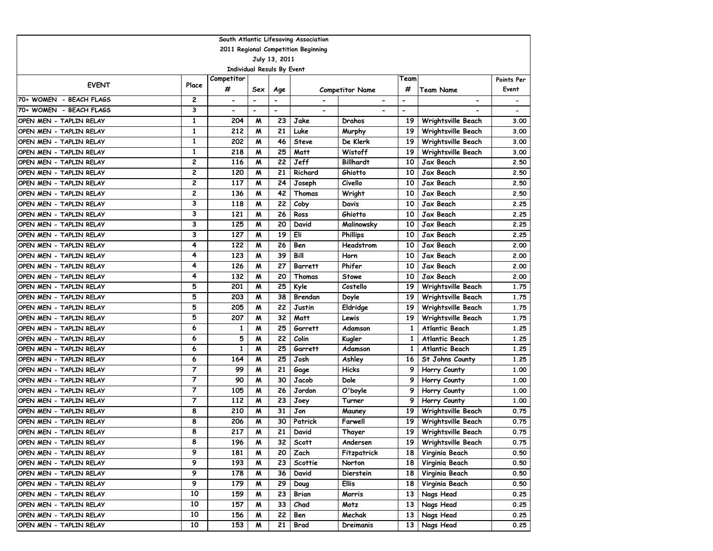| South Atlantic Lifesaving Association |                |                                   |                          |                          |                |                        |                          |                         |            |  |
|---------------------------------------|----------------|-----------------------------------|--------------------------|--------------------------|----------------|------------------------|--------------------------|-------------------------|------------|--|
| 2011 Regional Competition Beginning   |                |                                   |                          |                          |                |                        |                          |                         |            |  |
| July 13, 2011                         |                |                                   |                          |                          |                |                        |                          |                         |            |  |
|                                       |                | <b>Individual Resuls By Event</b> |                          |                          |                |                        |                          |                         |            |  |
| <b>EVENT</b>                          | Place          | Competitor                        |                          |                          |                |                        | Team                     |                         | Points Per |  |
|                                       |                | #                                 | Sex                      | Age                      |                | <b>Competitor Name</b> | #                        | <b>Team Name</b>        | Event      |  |
| 70+ WOMEN - BEACH FLAGS               | 2              | $\blacksquare$                    |                          | -                        |                |                        | $\overline{\phantom{0}}$ | -                       |            |  |
| 70+ WOMEN - BEACH FLAGS               | 3              | $\overline{\phantom{a}}$          | $\overline{\phantom{a}}$ | $\overline{\phantom{0}}$ |                |                        | $\overline{a}$           |                         |            |  |
| OPEN MEN - TAPLIN RELAY               | $\mathbf{1}$   | 204                               | M                        | 23                       | Jake           | Drahos                 | 19                       | Wrightsville Beach      | 3.00       |  |
| OPEN MEN - TAPLIN RELAY               | $\mathbf{1}$   | 212                               | M                        | 21                       | Luke           | Murphy                 | 19                       | Wrightsville Beach      | 3.00       |  |
| OPEN MEN - TAPLIN RELAY               | $\mathbf{1}$   | 202                               | M                        | 46                       | <b>Steve</b>   | De Klerk               | 19                       | Wrightsville Beach      | 3.00       |  |
| OPEN MEN - TAPLIN RELAY               | 1              | 218                               | M                        | 25                       | Matt           | Wistoff                | 19                       | Wrightsville Beach      | 3.00       |  |
| OPEN MEN - TAPLIN RELAY               | 2              | 116                               | м                        | 22                       | Jeff           | <b>Billhardt</b>       | 10                       | Jax Beach               | 2.50       |  |
| OPEN MEN - TAPLIN RELAY               | 2              | 120                               | M                        | 21                       | Richard        | Ghiotto                | 10                       | Jax Beach               | 2.50       |  |
| OPEN MEN - TAPLIN RELAY               | 2              | 117                               | M                        | 24                       | Joseph         | Civello                | 10                       | Jax Beach               | 2.50       |  |
| OPEN MEN - TAPLIN RELAY               | 2              | 136                               | M                        | 42                       | Thomas         | Wright                 | 10                       | Jax Beach               | 2.50       |  |
| OPEN MEN - TAPLIN RELAY               | 3              | 118                               | M                        | 22                       | Coby           | Davis                  | 10                       | Jax Beach               | 2.25       |  |
| OPEN MEN - TAPLIN RELAY               | 3              | 121                               | M                        | 26                       | Ross           | Ghiotto                | 10                       | Jax Beach               | 2.25       |  |
| OPEN MEN - TAPLIN RELAY               | 3              | 125                               | м                        | 20                       | David          | Malinowsky             | 10                       | Jax Beach               | 2.25       |  |
| OPEN MEN - TAPLIN RELAY               | 3              | 127                               | M                        | 19                       | Eli            | <b>Phillips</b>        | 10                       | Jax Beach               | 2.25       |  |
| OPEN MEN - TAPLIN RELAY               | 4              | 122                               | M                        | 26                       | Ben            | Headstrom              | 10                       | Jax Beach               | 2.00       |  |
| OPEN MEN - TAPLIN RELAY               | 4              | 123                               | M                        | 39                       | Bill           | Horn                   | 10                       | Jax Beach               | 2.00       |  |
| OPEN MEN - TAPLIN RELAY               | 4              | 126                               | M                        | 27                       | <b>Barrett</b> | Phifer                 | 10                       | Jax Beach               | 2.00       |  |
| OPEN MEN - TAPLIN RELAY               | 4              | 132                               | M                        | 20                       | Thomas         | <b>Stowe</b>           | 10                       | Jax Beach               | 2.00       |  |
| OPEN MEN - TAPLIN RELAY               | 5              | 201                               | W                        | 25                       | Kyle           | Costello               | 19                       | Wrightsville Beach      | 1.75       |  |
| OPEN MEN - TAPLIN RELAY               | 5              | 203                               | M                        | 38                       | Brendan        | Doyle                  | 19                       | Wrightsville Beach      | 1.75       |  |
| OPEN MEN - TAPLIN RELAY               | 5              | 205                               | M                        | 22                       | Justin         | Eldridge               | 19                       | Wrightsville Beach      | 1.75       |  |
| OPEN MEN - TAPLIN RELAY               | 5              | 207                               | M                        | 32                       | Matt           | Lewis                  | 19                       | Wrightsville Beach      | 1.75       |  |
| OPEN MEN - TAPLIN RELAY               | 6              | 1                                 | M                        | 25                       | Garrett        | Adamson                | 1                        | <b>Atlantic Beach</b>   | 1.25       |  |
| OPEN MEN - TAPLIN RELAY               | 6              | 5                                 | M                        | 22                       | Colin          | Kugler                 | 1                        | <b>Atlantic Beach</b>   | 1.25       |  |
| OPEN MEN - TAPLIN RELAY               | 6              | 1                                 | M                        | 25                       | Garrett        | Adamson                | 1                        | Atlantic Beach          | 1.25       |  |
| OPEN MEN - TAPLIN RELAY               | 6              | 164                               | M                        | 25                       | Josh           | Ashley                 | 16                       | St Johns County         | 1.25       |  |
| OPEN MEN - TAPLIN RELAY               | 7              | 99                                | M                        | 21                       | Gage           | <b>Hicks</b>           | 9                        | Horry County            | 1.00       |  |
| OPEN MEN - TAPLIN RELAY               | $\overline{7}$ | 90                                | M                        | 30                       | Jacob          | Dole                   | 9                        | Horry County            | 1.00       |  |
| OPEN MEN - TAPLIN RELAY               | $\overline{7}$ | 105                               | M                        | 26                       | Jordon         | O'boyle                | 9                        | Horry County            | 1.00       |  |
| OPEN MEN - TAPLIN RELAY               | $\overline{7}$ | 112                               | M                        | 23                       | Joey           | Turner                 | 9                        | Horry County            | 1.00       |  |
| OPEN MEN - TAPLIN RELAY               | 8              | 210                               | W                        | 31                       | Jon            | Mauney                 | 19                       | Wrightsville Beach      | 0.75       |  |
| OPEN MEN - TAPLIN RELAY               | 8              | 206                               | м                        | 30                       | Patrick        | Farwell                | 19                       | Wrightsville Beach      | 0.75       |  |
| OPEN MEN - TAPLIN RELAY               | 8              | 217                               | M                        | 21                       | David          | Thayer                 | 19                       | Wrightsville Beach      | 0.75       |  |
| OPEN MEN - TAPLIN RELAY               | 8              | 196                               | M                        | 32 I                     | Scott          | Andersen               |                          | 19   Wrightsville Beach | 0.75       |  |
| OPEN MEN - TAPLIN RELAY               | 9              | 181                               | M                        | 20                       | Zach           | Fitzpatrick            | <b>18</b>                | Virginia Beach          | 0.50       |  |
| OPEN MEN - TAPLIN RELAY               | 9              | 193                               | M                        | 23                       | Scottie        | Norton                 | <b>18</b>                | Virginia Beach          | 0.50       |  |
| OPEN MEN - TAPLIN RELAY               | 9              | 178                               | M                        | 36                       | David          | Dierstein              | 18                       | Virginia Beach          | 0.50       |  |
| OPEN MEN - TAPLIN RELAY               | 9              | 179                               | M                        | 29                       | Doug           | <b>Ellis</b>           | 18 I                     | Virginia Beach          | 0.50       |  |
| OPEN MEN - TAPLIN RELAY               | 10             | 159                               | M                        | 23                       | Brian          | Morris                 | 13 <sup>1</sup>          | Nags Head               | 0.25       |  |
| OPEN MEN - TAPLIN RELAY               | 10             | 157                               | M                        | 33                       | Chad           | Motz                   | 13 <sup>1</sup>          | Nags Head               | 0.25       |  |
| OPEN MEN - TAPLIN RELAY               | 10             | <b>156</b>                        | M                        | 22                       | Ben            | Mechak                 | 13 <sup>1</sup>          | Nags Head               | 0.25       |  |
| OPEN MEN - TAPLIN RELAY               | 10             | 153                               | M                        | 21                       | Brad           | Dreimanis              |                          | 13 Nags Head            | 0.25       |  |